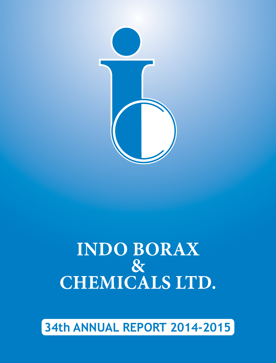

# **INDO BORAX** CHEMICALS LTD.

**34th ANNUAL REPORT 2014-2015**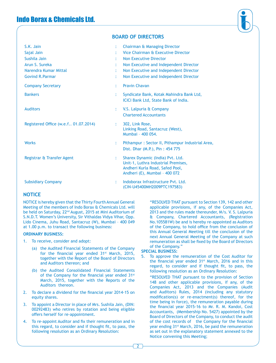| S.K. Jain                              | t | Chairman & Managing Director                     |
|----------------------------------------|---|--------------------------------------------------|
| Sajal Jain                             |   | Vice Chairman & Executive Director               |
| Sushila Jain                           |   | Non Executive Director                           |
| Arun S. Sureka                         |   | Non Executive and Independent Director           |
| Narendra Kumar Mittal                  | t | Non Executive and Independent Director           |
| <b>Govind R.Parmar</b>                 | t | Non Executive and Independent Director           |
| <b>Company Secretary</b>               | ÷ | <b>Pravin Chavan</b>                             |
| <b>Bankers</b>                         | t | Syndicate Bank, Kotak Mahindra Bank Ltd,         |
|                                        |   | <b>ICICI Bank Ltd, State Bank of India.</b>      |
| <b>Auditors</b>                        | t | V.S. Lalpuria & Company                          |
|                                        |   | <b>Chartered Accountants</b>                     |
| Registered Office (w.e.f., 01.07.2014) | ÷ | 302, Link Rose,                                  |
|                                        |   | Linking Road, Santacruz (West),                  |
|                                        |   | Mumbai - 400 054.                                |
| <b>Works</b>                           | ÷ | Pithampur: Sector II, Pithampur Industrial Area, |
|                                        |   | Dist. Dhar (M.P.), Pin: 454 775                  |
| Registrar & Transfer Agent             | t | Sharex Dynamic (India) Pvt. Ltd.                 |
|                                        |   | Unit-1, Luthra Industrial Premises,              |
|                                        |   | Andheri Kurla Road, Safed Pool,                  |
|                                        |   | Andheri (E), Mumbai - 400 072                    |
| <b>Subsidiary Company</b>              | t | Indoborax Infrastructure Pvt. Ltd.               |
|                                        |   | (CIN-U45400MH2009PTC197583)                      |

**BOARD OF DIRECTORS**

### **NOTICE**

NOTICE is hereby given that the Thirty Fourth Annual General Meeting of the members of Indo Borax & Chemicals Ltd. will be held on Saturday, 22<sup>nd</sup> August, 2015 at Mini Auditorium of S.N.D.T. Women's University, Sir Vithaldas Vidya Vihar, Opp. Lido Cinema, Juhu Road, Santacruz (W), Mumbai – 400 049 at 1.00 p.m. to transact the following business:

#### **ORDINARY BUSINESS:**

- 1. To receive, consider and adopt:
	- (a) the Audited Financial Statements of the Company for the financial year ended  $31^{st}$  March, 2015, together with the Report of the Board of Directors and Auditors thereon; and
	- (b) the Audited Consolidated Financial Statements of the Company for the financial year ended 31<sup>st</sup> March, 2015, together with the Reports of the Auditors thereon.
- 2. To declare a dividend for the financial year 2014-15 on equity shares.
- 3. To appoint a Director in place of Mrs. Sushila Jain, (DIN: 00292483) who retires by rotation and being eligible offers herself for re-appointment.
- 4. To re-appoint Auditor and fix their remuneration and in this regard, to consider and if thought fit, to pass, the following resolution as an Ordinary Resolution:

"RESOLVED THAT pursuant to Section 139, 142 and other applicable provisions, if any, of the Companies Act, 2013 and the rules made thereunder, M/s. V. S. Lalpuria & Company, Chartered Accountants, (Registration No.105581W) be and is hereby re-appointed as Auditors of the Company, to hold office from the conclusion of this Annual General Meeting till the conclusion of the next Annual General Meeting of the Company at such remuneration as shall be fixed by the Board of Directors of the Company."

#### **SPECIAL BUSINESS:**

5. To approve the remuneration of the Cost Auditor for the financial year ended 31<sup>st</sup> March, 2016 and in this regard, to consider and if thought fit, to pass, the following resolution as an Ordinary Resolution:

"RESOLVED THAT pursuant to the provision of Section 148 and other applicable provisions, if any, of the Companies Act, 2013 and the Companies (Audit and Auditors) Rules, 2014 (including any statutory modification(s) or re-enactment(s) thereof, for the time being in force), the remuneration payable during the financial year 2015-16 to Mr. R. M. Kandoi, Cost Accountants, (Membership No. 5427) appointed by the Board of Directors of the Company, to conduct the audit of the cost records of the Company for the financial year ending 31st March, 2016, be paid the remuneration as set out in the explanatory statement annexed to the Notice convening this Meeting;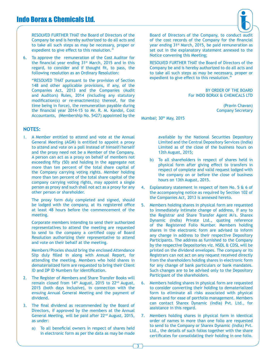RESOLVED FURTHER THAT the Board of Directors of the Company be and is hereby authorized to do all acts and to take all such steps as may be necessary, proper or expedient to give effect to this resolution."

6. To approve the remuneration of the Cost Auditor for the financial year ending 31<sup>st</sup> March, 2015 and in this regard, to consider and if thought fit, to pass, the following resolution as an Ordinary Resolution:

"RESOLVED THAT pursuant to the provision of Section 148 and other applicable provisions, if any, of the Companies Act, 2013 and the Companies (Audit and Auditors) Rules, 2014 (including any statutory modification(s) or re-enactment(s) thereof, for the time being in force), the remuneration payable during the financial year 2014-15 to Mr. R. M. Kandoi, Cost Accountants, (Membership No. 5427) appointed by the

#### **NOTES:**

1. A Member entitled to attend and vote at the Annual General Meeting (AGM) is entitled to appoint a proxy to attend and vote on a poll instead of himself/herself and the proxy need not be a Member of the Company. A person can act as a proxy on behalf of members not exceeding fifty (50) and holding in the aggregate not more than ten percent of the total share capital of the Company carrying voting rights. Member holding more than ten percent of the total share capital of the company carrying voting rights, may appoint a single person as proxy and such shall not act as a proxy for any other person or shareholder.

 The proxy form duly completed and signed, should be lodged with the company, at its registered office at least 48 hours before the commencement of the meeting.

 Corporate members intending to send their authorized representatives to attend the meeting are requested to send to the company a certified copy of Board Resolution authorizing their representative to attend and vote on their behalf at the meeting.

Members/Proxies should bring the enclosed Attendance Slip duly filled in along with Annual Report, for attending the meeting. Members who hold shares in dematerialized form are requested to bring their Client ID and DP ID Numbers for identification.

- 2. The Register of Members and Share Transfer Books will remain closed from 14<sup>th</sup> August, 2015 to 22<sup>nd</sup> August, 2015 (both days inclusive), in connection with the ensuing Annual General Meeting and the payment of dividend.
- 3. The final dividend as recommended by the Board of Directors, if approved by the members at the Annual General Meeting, will be paid after 22nd August, 2015, as under:
	- a) To all beneficial owners in respect of shares held in electronic form as per the data as may be made

Board of Directors of the Company, to conduct audit of the cost records of the Company for the financial year ending 31st March, 2015, be paid remuneration as set out in the explanatory statement annexed to the Notice convening this Meeting;

RESOLVED FURTHER THAT the Board of Directors of the Company be and is hereby authorized to do all acts and to take all such steps as may be necessary, proper or expedient to give effect to this resolution.'

> BY ORDER OF THE BOARD For INDO BORAX & CHEMICALS LTD

> > (Pravin Chavan) Company Secretary

Mumbai; 30th May, 2015

available by the National Securities Depository Limited and the Central Depository Services (India) Limited as of the close of the business hours on 13th August, 2015;

- b) To all shareholders in respect of shares held in physical form after giving effect to transfers in respect of complete and valid request lodged with the company on or before the close of business hours on 13th August, 2015.
- 4. Explanatory statement in respect of Item No. 5 & 6 of the accompanying notice as required by Section 102 of the Companies Act, 2013 is annexed hereto.
- 5. Members holding shares in physical form are requested to immediately intimate change of address, if any to the Registrar and Share Transfer Agent M/s. Sharex Dynamic (India) Private Ltd., quoting reference of the Registered Folio Number. Members holding shares in the electronic form are advised to inform any change in address to their respective Depository Participants. The address as furnished to the Company by the respective Depositories viz. NSDL & CDSL will be printed on the dividend envelopes. The company or its Registrars can not act on any request received directly from the shareholders holding shares in electronic form for any change of bank particulars or bank mandates. Such changes are to be advised only to the Depository Participant of the shareholders.
- 6. Members holding shares in physical form are requested to consider converting their holding to dematerialized form to eliminate all risks associated with physical shares and for ease of portfolio management. Members can contact Sharex Dynamic (India) Pvt. Ltd., for assistance in this regard.
- 7. Members holding shares in physical form in identical order of names in more than one folio are requested to send to the Company or Sharex Dynamic (India) Pvt. Ltd., the details of such folios together with the share certificates for consolidating their holding in one folio.

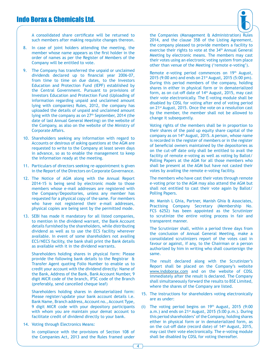

A consolidated share certificate will be returned to such members after making requisite changes thereon.

- 8. In case of joint holders attending the meeting, the member whose name appears as the first holder in the order of names as per the Register of Members of the Company will be entitled to vote.
- 9. The Company has transferred the unpaid or unclaimed dividends declared up to financial year 2006-07, from time to time on due dates, to the Investors Education and Protection Fund (IEPF) established by the Central Government. Pursuant to provisions of Investors Education and Protection Fund (Uploading of information regarding unpaid and unclaimed amount lying with companies) Rules, 2012, the company has uploaded the details of unpaid and unclaimed amount lying with the company as on 27<sup>th</sup> September, 2014 (the date of last Annual General Meeting) on the website of the Company, as also on the website of the Ministry of Corporate Affairs.
- 10. Shareholders seeking any information with regard to Accounts or desirous of asking questions at the AGM are requested to write to the Company at least seven days in advance, so as to enable the management to keep the information ready at the meeting.
- 11. Particulars of directors seeking re-appointment is given in the Report of the Directors on Corporate Governance.
- 12. The Notice of AGM along with the Annual Report 2014-15 is being send by electronic mode to those members whose e-mail addresses are registered with the Company/Depositories, unless any member has requested for a physical copy of the same. For members who have not registered their e-mail addresses, physical copies are being sent by the permitted mode.
- 13. SEBI has made it mandatory for all listed companies, to mention in the dividend warrant, the Bank Account details furnished by the shareholders, while distributing dividend as well as to use the ECS facility wherever available. In event of some shareholders not availing ECS/NECS facility, the bank shall print the Bank details as available with it in the dividend warrants.

 Shareholders holding shares in physical form: Please provide the following bank details to the Registrar & Transfer Agent quoting Folio Number to enable us to credit your account with the dividend directly: Name of the Bank, Address of the Bank, Bank Account Number, 9 digit MICR code of the branch, IFSC code of the Branch (preferably, send cancelled cheque leaf)

 Shareholders holding shares in dematerialized form: Please register/update your bank account details i.e. Bank Name, Branch address, Account no., Account Type, 9 digit MICR code with your depository participants with whom you are maintain your demat account to facilitate credit of dividend directly to your bank.

14. Voting through Electronics Means:

In compliance with the provisions of Section 108 of the Companies Act, 2013 and the Rules framed under

the Companies (Management & Administration) Rules 2014, and the clause 35B of the Listing Agreement, the company pleased to provide members a facility to exercise their rights to vote at the 34<sup>th</sup> Annual General Meeting by electronic means. The members may cast their votes using an electronic voting system from place other than venue of the Meeting ('remote e-voting').

Remote e-voting period commences on 19<sup>th</sup> August, 2015 (9:00 am) and ends on 21<sup>st</sup> August, 2015 (5:00 pm). During this period members of the company, holding shares in either in physical form or in dematerialized form, as on cut-off date of 14th August, 2015, may cast their vote electronically. The E-voting module shall be disabled by CDSL for voting after end of voting period on 21st August, 2015. Once the vote on a resolution cast by the member, the member shall not be allowed to change it subsequently.

 Voting rights of the members shall be in proportion to their shares of the paid up equity share capital of the company as on 14th August, 2015. A person, whose name is recorded in the register of members or in the register of beneficial owners maintained by the depositories as on the cut-off date only shall be entitled to avail the facility of remote e-voting as well as voting by Ballot/ Polling Papers at the AGM for all those members who shall be present at the AGM but have not casted their votes by availing the remote e-voting facility.

The members who have cast their votes through remote e-voting prior to the AGM may also attend the AGM but shall not entitled to cast their vote again by Ballot/ Polling Papers.

 Mr. Manish L Ghia, Partner, Manish Ghia & Associates, Practising Company Secretary (Membership No. FCS 6252) has been appointed as the Scrutinizer to scrutinize the entire voting process in fair and transparent manner.

The Scrutinizer shall, within a period three days from the conclusion of Annual General Meeting, make a consolidated scrutinizers report of the votes cast in favour or against, if any, to the Chairman or a person authorized by him in writing who shall countersign the same.

The result declared along with the Scrutinizer's Report shall be placed on the Company's website www.indoborax.com and on the website of CDSL immediately after the result is declared. The Company shall simultaneously forward the results to BSE Limited, where the shares of the Company are listed.

- 15. The instructions for shareholders voting electronically are as under:
- (i) The voting period begins on  $19<sup>th</sup>$  August, 2015 (9:00) a.m.) and ends on  $21^{st}$  August,  $2015$  (5:00 p.m.). During this period shareholders' of the Company, holding shares either in physical form or in dematerialized form, as on the cut-off date (record date) of 14th August, 2015, may cast their vote electronically. The e-voting module shall be disabled by CDSL for voting thereafter.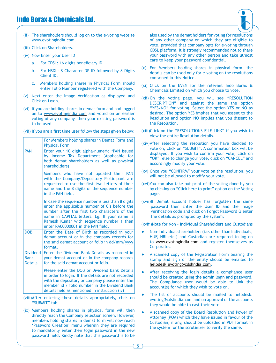

- (ii) The shareholders should log on to the e-voting website www.evotingindia.com.
- (iii) Click on Shareholders.
- (iv) Now Enter your User ID
	- a. For CDSL: 16 digits beneficiary ID,
	- b. For NSDL: 8 Character DP ID followed by 8 Digits Client ID,
	- c. Members holding shares in Physical Form should enter Folio Number registered with the Company.
- (v) Next enter the Image Verification as displayed and Click on Login.
- (vi) If you are holding shares in demat form and had logged on to www.evotingindia.com and voted on an earlier voting of any company, then your existing password is to be used.
- (vii) If you are a first time user follow the steps given below:

|                                                  | For Members holding shares in Demat Form and<br><b>Physical Form</b>                                                                                                                                                                                                                 |
|--------------------------------------------------|--------------------------------------------------------------------------------------------------------------------------------------------------------------------------------------------------------------------------------------------------------------------------------------|
| <b>PAN</b>                                       | Enter your 10 digit alpha-numeric *PAN issued<br>by Income Tax Department (Applicable for<br>both demat shareholders as well as physical<br>shareholders)                                                                                                                            |
|                                                  | Members who have not updated their PAN<br>with the Company/Depository Participant are<br>requested to use the first two letters of their<br>name and the 8 digits of the sequence number<br>in the PAN field.                                                                        |
|                                                  | In case the sequence number is less than 8 digits<br>enter the applicable number of 0's before the<br>number after the first two characters of the<br>name in CAPITAL letters. Eg. If your name is<br>Ramesh Kumar with sequence number 1 then<br>enter RA00000001 in the PAN field. |
| <b>DOB</b>                                       | Enter the Date of Birth as recorded in your<br>demat account or in the company records for<br>the said demat account or folio in dd/mm/yyyy<br>format.                                                                                                                               |
| <b>Dividend</b><br><b>Bank</b><br><b>Details</b> | Enter the Dividend Bank Details as recorded in<br>your demat account or in the company records<br>for the said demat account or folio.                                                                                                                                               |
|                                                  | Please enter the DOB or Dividend Bank Details<br>in order to login. If the details are not recorded<br>with the depository or company please enter the<br>member id / folio number in the Dividend Bank<br>details field as mentioned in instruction (iv)                            |

- (viii)After entering these details appropriately, click on "SUBMIT" tab.
- (ix) Members holding shares in physical form will then directly reach the Company selection screen. However, members holding shares in demat form will now reach 'Password Creation' menu wherein they are required to mandatorily enter their login password in the new password field. Kindly note that this password is to be

also used by the demat holders for voting for resolutions of any other company on which they are eligible to vote, provided that company opts for e-voting through CDSL platform. It is strongly recommended not to share your password with any other person and take utmost care to keep your password confidential.

- (x) For Members holding shares in physical form, the details can be used only for e-voting on the resolutions contained in this Notice.
- (xi) Click on the EVSN for the relevant Indo Borax & Chemicals Limited on which you choose to vote.
- (xii) On the voting page, you will see "RESOLUTION DESCRIPTION" and against the same the option "YES/NO" for voting. Select the option YES or NO as desired. The option YES implies that you assent to the Resolution and option NO implies that you dissent to the Resolution.
- (xiii)Click on the "RESOLUTIONS FILE LINK" if you wish to view the entire Resolution details.
- (xiv)After selecting the resolution you have decided to vote on, click on "SUBMIT". A confirmation box will be displayed. If you wish to confirm your vote, click on "OK", else to change your vote, click on "CANCEL" and accordingly modify your vote.
- (xv) Once you "CONFIRM" your vote on the resolution, you will not be allowed to modify your vote.
- (xvi)You can also take out print of the voting done by you by clicking on "Click here to print" option on the Voting page.
- (xvii)If Demat account holder has forgotten the same password then Enter the User ID and the image verification code and click on Forgot Password & enter the details as prompted by the system.

(xviii)Note for Non – Individual Shareholders and Custodians

- Non-Individual shareholders (i.e. other than Individuals, HUF, NRI etc.) and Custodian are required to log on to www.evotingindia.com and register themselves as Corporates.
- A scanned copy of the Registration Form bearing the stamp and sign of the entity should be emailed to helpdesk.evoting@cdslindia.com.
- After receiving the login details a compliance user should be created using the admin login and password. The Compliance user would be able to link the account(s) for which they wish to vote on.
- The list of accounts should be mailed to helpdesk. evoting@cdslindia.com and on approval of the accounts they would be able to cast their vote.
- A scanned copy of the Board Resolution and Power of Attorney (POA) which they have issued in favour of the Custodian, if any, should be uploaded in PDF format in the system for the scrutinizer to verify the same.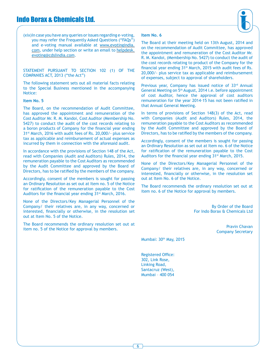

(xix)In case you have any queries or issues regarding e-voting, you may refer the Frequently Asked Questions ("FAQs") and e-voting manual available at www.evotingindia. com, under help section or write an email to helpdesk. evoting@cdslindia.com.

STATEMENT PURSUANT TO SECTION 102 (1) OF THE COMPANIES ACT, 2013 ("the Act")

The following statement sets out all material facts relating to the Special Business mentioned in the accompanying Notice:

#### **Item No. 5**

The Board, on the recommendation of Audit Committee, has approved the appointment and remuneration of the Cost Auditor Mr. R. M. Kandoi, Cost Auditor (Membership No. 5427) to conduct the audit of the cost records relating to a boron products of Company for the financial year ending 31st March, 2016 with audit fees of Rs. 20,000/- plus service tax as applicable and reimbursement of actual expenses as incurred by them in connection with the aforesaid audit.

In accordance with the provisions of Section 148 of the Act, read with Companies (Audit and Auditors) Rules, 2014, the remuneration payable to the Cost Auditors as recommended by the Audit Committee and approved by the Board of Directors, has to be ratified by the members of the company.

Accordingly, consent of the members is sought for passing an Ordinary Resolution as set out at Item no. 5 of the Notice for ratification of the remuneration payable to the Cost Auditors for the financial year ending 31<sup>st</sup> March, 2016.

None of the Directors/Key Managerial Personnel of the Company/ their relatives are, in any way, concerned or interested, financially or otherwise, in the resolution set out at Item No. 5 of the Notice.

The Board recommends the ordinary resolution set out at item no. 5 of the Notice for approval by members.

#### **Item No. 6**

The Board at their meeting held on 13th August, 2014 and on the recommendation of Audit Committee, has approved the appointment and remuneration of the Cost Auditor Mr. R. M. Kandoi, (Membership No. 5427) to conduct the audit of the cost records relating to product of the Company for the financial year ending 31<sup>st</sup> March, 2015 with audit fees of Rs. 20,000/- plus service tax as applicable and reimbursement of expenses, subject to approval of shareholders.

Previous year, Company has issued notice of 33rd Annual General Meeting on 5th August, 2014 i.e. before appointment of cost Auditor, hence the approval of cost auditors remuneration for the year 2014-15 has not been ratified in that Annual General Meeting.

In terms of provisions of Section 148(3) of the Act, read with Companies (Audit and Auditors) Rules, 2014, the remuneration payable to the Cost Auditors as recommended by the Audit Committee and approved by the Board of Directors, has to be ratified by the members of the company.

Accordingly, consent of the members is sought for passing an Ordinary Resolution as set out at Item no. 6 of the Notice for ratification of the remuneration payable to the Cost Auditors for the financial year ending 31st March, 2015.

None of the Directors/Key Managerial Personnel of the Company/ their relatives are, in any way, concerned or interested, financially or otherwise, in the resolution set out at Item No. 6 of the Notice.

The Board recommends the ordinary resolution set out at item no. 6 of the Notice for approval by members.

> By Order of the Board For Indo Borax & Chemicals Ltd

> > Pravin Chavan Company Secretary

Mumbai: 30<sup>th</sup> May, 2015

Registered Office: 302, Link Rose, Linking Road, Santacruz (West), Mumbai – 400 054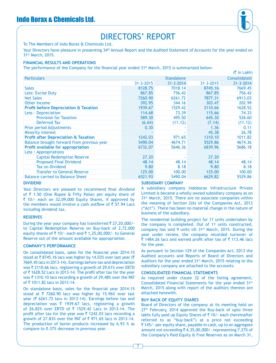

 $(\bar{z}$  in Lakh)

## DIRECTORS' REPORT

To The Members of Indo Borax & Chemicals Ltd,

Your Directors have pleasure in presenting 34<sup>th</sup> Annual Report and the Audited Statement of Accounts for the year ended on 31st March, 2015.

#### **FINANCIAL RESULTS AND OPERATIONS**

The performance of the Company for the financial year ended 31<sup>st</sup> March, 2015 is summarized below:

|                                                  |                 |                   |                 | $1.1111 - 1.01111$ |
|--------------------------------------------------|-----------------|-------------------|-----------------|--------------------|
| <b>Particulars</b>                               |                 | <b>Standalone</b> |                 | Consolidated       |
|                                                  | $31 - 3 - 2015$ | $31 - 3 - 2014$   | $31 - 3 - 2015$ | $31 - 3 - 2014$    |
| <b>Sales</b>                                     | 8128.75         | 7018.14           | 8745.16         | 7669.45            |
| Less: Excise Duty                                | 867.85          | 756.42            | 867.85          | 756.42             |
| <b>Net Sales</b>                                 | 7260.90         | 6261.72           | 7877.31         | 6913.03            |
| Other Income                                     | 392.95          | 344.16            | 303.47          | 202.99             |
| <b>Profit before Depreciation &amp; Taxation</b> | 1939.67         | 1529.42           | 2110.66         | 1628.52            |
| Less: Depreciation                               | 114.68          | 73.39             | 115.66          | 74.33              |
| <b>Provision for Taxation</b>                    | 589.30          | 495.50            | 645.30          | 526.60             |
| <b>Deferred Tax</b>                              | (6.64)          | (11.12)           | (7.14)          | (11.12)            |
| <b>Prior period Adjustments</b>                  | 0.30            |                   | 1.36            | 0.11               |
| <b>Minority interest</b>                         |                 |                   | 45.38           | 26.78              |
| <b>Profit after Depreciation &amp; Taxation</b>  | 1242.03         | 971.65            | 1310.10         | 1011.82            |
| Balance brought forward from previous year       | 5490.04         | 4674.71           | 5529.86         | 4674.36            |
| Profit available for appropriation               | 6732.07         | 5646.36           | 6839.96         | 5686.18            |
| Less: Appropriations                             |                 |                   |                 |                    |
| <b>Capital Redemption Reserve</b>                | 27.20           |                   | 27.20           |                    |
| <b>Proposed Final Dividend</b>                   | 48.14           | 48.14             | 48.14           | 48.14              |
| <b>Tax on Dividend</b>                           | 9.80            | 8.18              | 9.80            | 8.18               |
| <b>Transfer to General Reserve</b>               | 125.00          | 100.00            | 125.00          | 100.00             |
| <b>Balance carried to Balance Sheet</b>          | 6521.93         | 5490.04           | 6629.82         | 5529.86            |
|                                                  |                 |                   |                 |                    |

#### **DIVIDEND**

Your Directors are pleased to recommend final dividend of  $\bar{\tau}$  1.50 (One Rupee & Fifty Paise) per equity share of  $\bar{\tau}$  10/- each on 32,09,000 Equity Shares, if approved by the members would involve a cash outflow of  $\bar{z}$  57.94 Lacs including dividend tax.

#### **RESERVES**

During the year your company has transferred  $\bar{\tau}$  27,20,000/to Capital Redemption Reserve on Buy-back of 2,72,000 equity shares of  $\overline{\zeta}$  10/- each and  $\overline{\zeta}$  1,25,00,000/- to General Reserve out of the amount available for appropriation.

#### **COMPANY'S PERFORMANCE**

On consolidated basis, sales for the financial year 2014-15 stood at  $\bar{\tau}$  8745.16 lacs was higher by 14.03% over last year ( $\bar{\tau}$ ) 7669.45 lacs in 2013-14). Earnings before tax and depreciation was  $\bar{\tau}$  2110.66 lacs, registering a growth of 29.61% over EBTD of  $\bar{\tau}$  1628.52 Lacs in 2013-14. The profit after tax for the year was  $\bar{\tau}$  1310.10 lacs recording a growth of 29.48% over the PAT of ₹ 1011.82 lacs in 2013-14.

On standalone basis, sales for the financial year 2014-15 stood at  $\bar{\tau}$  7260.90 lacs was higher by 15.96% over last year ( $\bar{\epsilon}$  6261.72 lacs in 2013-14). Earnings before tax and depreciation was  $\bar{\tau}$  1939.67 lacs, registering a growth of 26.82% over EBTD of  $\bar{z}$  1529.42 Lacs in 2013-14. The profit after tax for the year was  $\bar{\tau}$  1242.03 lacs recording a growth of 27.83% over the PAT of  $\bar{\tau}$  971.65 lacs in 2013-14. The production of boron products increased by 6.93 % as compare to 0.37% decrease in previous year.

#### **SUBSIDIARY COMPANY**

A subsidiary company Indoborax Infrastructure Private Limited is became a wholly owned subsidiary company as on 31<sup>st</sup> March, 2015. There are no associate companies within the meaning of Section 2(6) of the Companies Act, 2013 ("Act"). There has been no material change in the nature of business of the subsidiary.

The residential building project for 11 units undertaken by the company is completed. Out of 11 units constructed, company has sold 9 units till 31st March, 2015. During the year under review, the company recorded turnover of ₹ 1484.26 lacs and earned profit after tax of ₹ 113.46 lacs for the year.

As pursuant to Section 129 of the Companies Act, 2013 the Audited accounts and Reports of Board of Directors and Auditors for the year ended 31<sup>st</sup> March, 2015 relating to the subsidiary company are attached to the accounts.

#### **CONSOLIDATED FINANCIAL STATEMENTS**

As required under clause 32 of the listing agreement, Consolidated Financial Statements for the year ended 31<sup>st</sup> March, 2015 along with report of the auditors thereon are attached herewith.

#### **BUY BACK OF EQUITY SHARES**

Board of Directors of the company at its meeting held on 27<sup>th</sup> February, 2014 approved the Buy-back of upto three lakhs fully paid up Equity Shares of  $\bar{\tau}$  10/- each (hereinafter referred to as "buy-back") at a price not exceeding  $\bar{\tau}$  145/- per equity share, payable in cash, up to an aggregate amount not exceeding  $\bar{\tau}$  4,35,00,000/- representing 7.27% of the Company's Paid Equity & Free Reserves as on March 31,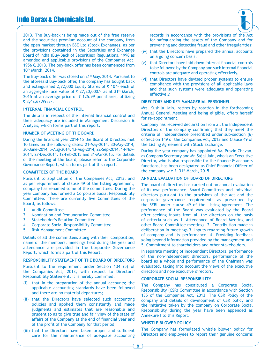2013. The Buy-back is being made out of the free reserve and the securities premium account of the company, from the open market through BSE Ltd (Stock Exchange), as per the provisions contained in the Securities and Exchange Board of India (Buy-Back of Securities) Regulations, 1998 as amended and applicable provisions of the Companies Act, 1956 & 2013. The buy-back offer has been commenced from 10th March, 2014.

The Buy-back offer was closed on 21<sup>st</sup> May, 2014. Pursuant to the aforesaid Buy-back offer, the company has bought back and extinguished 2,72,000 Equity Shares of  $\bar{z}$  10/- each of an aggregate face value of  $\bar{\tau}$  27,20,000/- as at 31<sup>st</sup> March, 2015 at an average price of  $\bar{\tau}$  125.99 per shares, utilizing ₹ 3,42,67,998/-.

#### **INTERNAL FINANCIAL CONTROL**

The details in respect of the internal financial control and their adequacy are included in Management Discussion & Analysis, which forms part of this report.

#### **NUMBER OF MEETING OF THE BOARD**

During the financial year 2014-15 the Board of Directors met 10 times on the following dates: 21-May-2014, 30-May-2014, 30-June-2014, 5-Aug-2014, 13-Aug-2014, 22-Sep-2014, 14-Nov-2014, 27-Dec-2014, 12-Feb-2015 and 31-Mar-2015. For details of the meeting of the board, please refer to the Corporate Governance Report, which forms part of this report.

#### **COMMITTEES OF THE BOARD**

Pursuant to application of the Companies Act, 2013, and as per requirement of clause 49 of the listing agreement, company has renamed some of the committees. During the year company has formed a Corporate Social Responsibility Committee. There are currently five Committees of the Board, as follows:

- 1. Audit Committee
- 2. Nomination and Remuneration Committee
- 3. Stakeholder's Relation Committee
- 4. Corporate Social Responsibility Committee
- 5. Risk Management Committee

Details of all the committees along with their composition, name of the members, meetings held during the year and attendance are provided in the Corporate Governance Report, which forms a part of this Report.

#### **RESPONSIBILITY STATEMENT OF THE BOARD OF DIRECTORS**

Pursuant to the requirement under Section 134 (5) of the Companies Act, 2013, with respect to Directors' Responsibility Statement, it is hereby confirmed:

- (i) that in the preparation of the annual accounts; the applicable accounting standards have been followed and there are no material departures;
- (ii) that the Directors have selected such accounting policies and applied them consistently and made judgments and estimates that are reasonable and prudent so as to give true and fair view of the state of affairs of the Company at the end of financial year and of the profit of the Company for that period;
- (iii) that the Directors have taken proper and sufficient care for the maintenance of adequate accounting



records in accordance with the provisions of the Act for safeguarding the assets of the Company and for preventing and detecting fraud and other irregularities;

- (iv) that the Directors have prepared the annual accounts on a going concern basis;
- (v) that Directors have laid down internal financial controls to be followed by the Company and such internal financial controls are adequate and operating effectively.
- (vi) that Directors have devised proper systems to ensure compliance with the provisions of all applicable laws and that such systems were adequate and operating effectively.

#### **DIRECTORS AND KEY MANAGERIAL PERSONNEL**

Mrs. Sushila Jain, retires by rotation in the forthcoming Annual General Meeting and being eligible, offers herself for re-appointment.

Company has received declaration from all the Independent Directors of the company confirming that they meet the criteria of independence prescribed under sub-section (6) of Section 149 of the Companies Act, 2013 and Clause 49 of the Listing Agreement with Stock Exchange.

During the year company has appointed Mr. Pravin Chavan, as Company Secretary and Mr. Sajal Jain, who is an Executive Director, who is also responsible for the finance & accounts functions, has been designated as Chief Financial Officer of the company w.e.f. 31<sup>st</sup> March, 2015.

#### **ANNUAL EVALUATION OF BOARD OF DIRECTORS**

The board of directors has carried out an annual evaluation of its own performance, Board Committees and individual directors pursuant to the provisions of the Act and the corporate governance requirements as prescribed by the SEBI under clause 49 of the Listing Agreement. The performance of the Board was evaluated by the Board after seeking inputs from all the directors on the basis of criteria such as 1. Attendance of Board Meeting and other Board Committee meetings, 2. Contribution made in deliberation in meetings 3. Inputs regarding future growth of company and its performance, 4. Providing feedback going beyond information provided by the management and 5. Commitment to shareholders and other stakeholders.

In separate meeting of independent Directors, performance of the non-independent directors, performance of the board as a whole and performance of the Chairman was evaluated, taking into account the views of the executive directors and non-executive directors.

#### **CORPORATE SOCIAL RESPONSIBILITY**

The Company has constituted a Corporate Social Responsibility (CSR) Committee in accordance with Section 135 of the Companies Act, 2013. The CSR Policy of the company and details of development of CSR policy and the initiative taken by the company on Corporate Social Responsibility during the year have been appended as Annexure I to this Report.

#### **WHISTLE BLOWER POLICY**

The Company has formulated whistle blower policy for Directors and employees to report their genuine concerns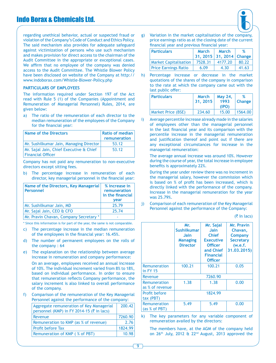regarding unethical behavior, actual or suspected fraud or violation of the Company's Code of Conduct and Ethics Policy. The said mechanism also provides for adequate safeguard against victimization of persons who use such mechanism and makes provision for direct access to the chairman of the Audit Committee in the appropriate or exceptional cases. We affirm that no employee of the company was denied access to the Audit Committee. The Whistle Blower Policy have been disclosed on website of the Company at http:// www.indoborax.com/Whistle-Blower-Policy.php

#### **PARTICULARS OF EMPLOYEES**

The information required under Section 197 of the Act read with Rule 5 (1) of the Companies (Appointment and Remuneration of Managerial Personnel) Rules, 2014, are given below:

a) The ratio of the remuneration of each director to the median remuneration of the employees of the Company for the financial year:

| Name of the Directors                                               | <b>Ratio of median</b><br>remuneration |
|---------------------------------------------------------------------|----------------------------------------|
| Mr. Sushilkumar Jain, Managing Director                             | 53.12                                  |
| Mr. Sajal Jain, Chief Executive & Chief<br><b>Financial Officer</b> | 53.12                                  |

Company has not paid any remuneration to non-executive directors except sitting fees.

b) The percentage increase in remuneration of each director, key managerial personnel in the financial year:

| Name of the Directors, Key Managerial<br>Personnel | % increase in<br>remuneration<br>in the financial<br>vear |
|----------------------------------------------------|-----------------------------------------------------------|
| Mr. Sushilkumar Jain, MD                           | 25.79                                                     |
| Mr. Sajal Jain, CEO & CFO                          | 25.74                                                     |
| Mr. Pravin Chavan, Company Secretary *             |                                                           |

\* Since this information is for part of the year, the same is not comparable.

- c) The percentage increase in the median remuneration of the employees in the financial year: 16.45%.
- d) The number of permanent employees on the rolls of the company : 64
- e) The explanation on the relationship between average increase in remuneration and company performance:

 On an average, employees received an annual increase of 10%. The individual increment varied from 8% to 18%, based on individual performance. In order to ensure that remuneration reflects Company performance, the salary increment is also linked to overall performance of the company.

f) Comparison of the remuneration of the Key Managerial Personnel against the performance of the company:

| Aggregate remuneration of Key Managerial<br>  personnel (KMP) in FY 2014-15 (₹ in lacs) | 200.42  |
|-----------------------------------------------------------------------------------------|---------|
| Revenue                                                                                 | 7260.90 |
| Remuneration to KMP (as % of revenue)                                                   | 2.76    |
| <b>Profit before Tax</b>                                                                | 1824.99 |
| Remuneration of KMP (% of PBT)                                                          | 10.98   |



g) Variation in the market capitalisation of the company, price earnings ratio as at the closing date of the current financial year and previous financial year:

| <b>Particulars</b>           | <b>March</b> | March<br>31, 2015 31, 2014 Change | %     |
|------------------------------|--------------|-----------------------------------|-------|
| <b>Market Capitalisation</b> | 7528.31      | 4177.20                           | 80.22 |
| <b>Price Earnings Ratio</b>  | 6.09         | 4.30                              | 41.63 |

h) Percentage increase or decrease in the market quotations of the shares of the company in comparison to the rate at which the company came out with the last public offer:

| <b>Particulars</b>        | <b>March</b><br>31.2015 | May 24,<br>1993<br>(IPO) | ℅<br><b>Change</b> |
|---------------------------|-------------------------|--------------------------|--------------------|
| <b>Market Price (BSE)</b> | 234.60                  | 15.00                    | 1564.00            |

i) Average percentile increase already made in the salaries of employees other than the managerial personnel in the last financial year and its comparison with the percentile increase in the managerial remuneration and justification thereof and point out if there are any exceptional circumstances for increase in the managerial remuneration:

The average annual increase was around 10%. However during the course of year, the total increase in employee benefits is approximately 22%.

During the year under review there was no increment in the managerial salary, however the commission which is based on % of profit has been increased, which is directly linked with the performance of the company. Increase in the managerial remuneration for the year was 25.79%.

j) Comparison of each remuneration of the Key Managerial Personnel against the performance of the Company:

| ın<br>ıа |  |  | ı |
|----------|--|--|---|
|----------|--|--|---|

|                                 | Mr.<br><b>Sushilkumar</b><br>Jain<br><b>Managing</b><br><b>Director</b> | Mr. Sajal<br>Jain<br><b>Chief</b><br><b>Executive</b><br><b>Officer</b><br>and Chief<br><b>Financial</b><br><b>Officer</b> | <b>Mr. Pravin</b><br>Chavan,<br><b>Company</b><br><b>Secretary</b><br>(w.e.f.<br>31.03.2015) |
|---------------------------------|-------------------------------------------------------------------------|----------------------------------------------------------------------------------------------------------------------------|----------------------------------------------------------------------------------------------|
| Remuneration<br>in FY 15        | 100.21                                                                  | 100.21                                                                                                                     | 0.05                                                                                         |
| Revenue                         |                                                                         | 7260.90                                                                                                                    |                                                                                              |
| Remuneration<br>as % of revenue | 1.38                                                                    | 1.38                                                                                                                       | 0.00                                                                                         |
| Profit before<br>$tax$ (PBT)    |                                                                         | 1824.99                                                                                                                    |                                                                                              |
| Remuneration<br>(as % of PBT)   | 5.49                                                                    | 5.49                                                                                                                       | 0.00                                                                                         |

k) The key parameters for any variable component of remuneration availed by the directors:

 The members have, at the AGM of the company held on 26th July, 2012 & 22nd August, 2013 approved the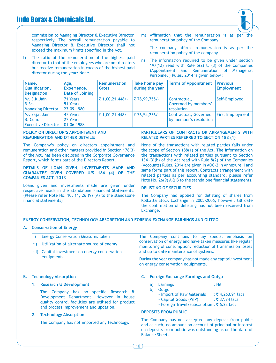commission to Managing Director & Executive Director, respectively. The overall remuneration payable to Managing Director & Executive Director shall not exceed the maximum limits specified in the Act.

- l) The ratio of the remuneration of the highest paid director to that of the employees who are not directors but receive remuneration in excess of the highest paid director during the year: None.
- m) Affirmation that the remuneration is as per the remuneration policy of the Company:

The company affirms remuneration is as per the remuneration policy of the company.

n) The information required to be given under section 197(12) read with Rule  $5(2)$  &  $(3)$  of the Companies (Appointment and Remuneration of Managerial Personnel ) Rules, 2014 is given below :

| Name,<br><b>Qualification,</b><br><b>Designation</b>   | Age,<br>Experience,<br><b>Date of Joining</b> | <b>Remuneration</b><br><b>Gross</b> | Take home pay<br>during the year | <b>Terms of Appointment</b>                        | <b>Previous</b><br><b>Employment</b> |
|--------------------------------------------------------|-----------------------------------------------|-------------------------------------|----------------------------------|----------------------------------------------------|--------------------------------------|
| Mr. S.K.Jain<br>B.Sc.<br><b>Managing Director</b>      | 71 Years<br>51 Years<br>23-09-1980            | ₹ 1,00,21,448/-                     | ₹ 78,99,755/-                    | Contractual,<br>Governed by members'<br>resolution | Self-Employed                        |
| Mr. Sajal Jain<br>B. Com.<br><b>Executive Director</b> | 47 Years<br>27 Years<br>$ 01 - 06 - 1988 $    | ₹ 1,00,21,448/-                     | ₹76,54,236/-                     | Contractual, Governed<br>by member's resolution    | <b>First Employment</b>              |

#### **POLICY ON DIRECTOR'S APPOINTMENT AND REMUNERATION AND OTHER DETAILS:**

The Company's policy on directors appointment and remuneration and other matters provided in Section 178(3) of the Act, has been disclosed in the Corporate Governance Report, which forms part of the Directors Report.

**DETAILS OF LOAN GIVEN, INVESTMENTS MADE AND GUARANTEE GIVEN COVERED U/S 186 (4) OF THE COMPANIES ACT, 2013**

Loans given and investments made are given under respective heads in the Standalone Financial Statements. (Please refer Note No. 10, 11, 26 (9) (A) to the standalone financial statements)

#### **PARTICULARS OF CONTRACTS OR ARRANGEMENTS WITH RELATED PARTIES REFERRED TO SECTION 188 (1)**

None of the transactions with related parties falls under the scope of Section 188(1) of the Act. The information on the transactions with related parties pursuant to Section 134 (3)(h) of the Act read with Rule 8(2) of the Companies (Accounts) Rules, 2014 are given in AOC-2 in Annexure II and same forms part of this report. Contracts arrangement with related parties as per accounting standard, please refer Note No. 26(9) A & B to the standalone financial statements.

#### **DELISTING OF SECURITIES**

The Company had applied for delisting of shares from Kolkatta Stock Exchange in 2005-2006, however, till date the confirmation of delisting has not been received from Exchange.

#### **ENERGY CONSERVATION, TECHNOLOGY ABSORPTION AND FOREIGN EXCHANGE EARNINGS AND OUTGO**

#### **A. Conservation of Energy**

| <b>Energy Conservation Measures taken</b>             | The Company continues to lay special emphasis on                                                                           |
|-------------------------------------------------------|----------------------------------------------------------------------------------------------------------------------------|
| $\vert$ ii) Utilization of alternate source of energy | conservation of energy and have taken measures like regular<br>monitoring of consumption, reduction of transmission losses |
| iii) Capital Investment on energy conservation        | and up to date maintenance of systems.                                                                                     |
| equipment.                                            | During the year company has not made any capital investment<br>on energy conservation equipments.                          |

#### **B. Technology Absorption**

#### **1. Research & Development**

The Company has no specific Research & Development Department. However in house quality control facilities are utilised for product and process improvement and updation.

#### **2. Technology Absorption**

The Company has not imported any technology.

#### **C. Foreign Exchange Earnings and Outgo**

|  | a) Earnings | : Nil |
|--|-------------|-------|
|--|-------------|-------|

b) Outgo - Import of Raw Materials :  $\overline{5}$  4,260.91 lacs - Capital Goods (WIP) :  $\bar{\tau}$  37.74 lacs

- Foreign Travel/subscription : ₹6.23 lacs

#### **DEPOSITS FROM PUBLIC**

The Company has not accepted any deposit from public and as such, no amount on account of principal or interest on deposits from public was outstanding as on the date of Balance Sheet.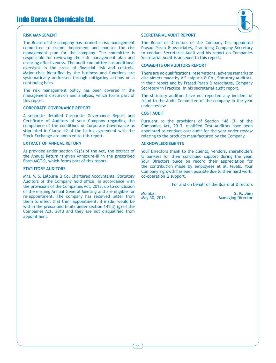#### **RISK MANGEMENT**

The Board of the company has formed a risk management committee to frame, implement and monitor the risk management plan for the company. The committee is responsible for reviewing the risk management plan and ensuring effectiveness. The audit committee has additional oversight in the areas of financial risk and controls. Major risks identified by the business and functions are systematically addressed through mitigating actions on a continuing basis.

The risk management policy has been covered in the management discussion and analysis, which forms part of this report.

#### **CORPORATE GOVERNANCE REPORT**

A separate detailed Corporate Governance Report and Certificate of Auditors of your Company regarding the compliance of the conditions of Corporate Governance as stipulated in Clause 49 of the listing agreement with the Stock Exchange are annexed to this report.

#### **EXTRACT OF ANNUAL RETURN**

As provided under section 92(3) of the Act, the extract of the Annual Return is given Annexure-III in the prescribed Form MGT-9, which forms part of this report.

#### **STATUTORY AUDITORS**

M/s. V. S. Lalpuria & Co, Chartered Accountants, Statutory Auditors of the Company hold office, in accordance with the provisions of the Companies Act, 2013, up to conclusion of the ensuing Annual General Meeting and are eligible for re-appointment. The company has received letter from them to effect that their appointment, if made, would be within the prescribed limits under section 141(3) (g) of the Companies Act, 2013 and they are not disqualified from appointment.

#### **SECRETARIAL AUDIT REPORT**

The Board of Directors of the Company has appointed Prasad Parab & Associates, Practicing Company Secretary to conduct Secretarial Audit and his report on Companies Secretarial Audit is annexed to this report.

#### **COMMENTS ON AUDITORS REPORT**

There are no qualifications, reservations, adverse remarks or disclaimers made by V S Lalpuria & Co., Statutory Auditors, in their report and by Prasad Parab & Associates, Company Secretary in Practice, in his secretarial audit report.

The statutory auditors have not reported any incident of fraud to the Audit Committee of the company in the year under review.

#### **COST AUDIT**

Pursuant to the provisions of Section 148 (3) of the Companies Act, 2013, qualified Cost Auditors have been appointed to conduct cost audit for the year under review relating to the products manufactured by the Company.

#### **ACKNOWLEDGEMENTS**

Your Directors thank to the clients, vendors, shareholders & bankers for their continued support during the year. Your Directors place on record their appreciation for the contribution made by employees at all levels. Your Company's growth has been possible due to their hard work, co-operation & support.

For and on behalf of the Board of Directors

Mumbai **S. K. Jain Managing Director** 

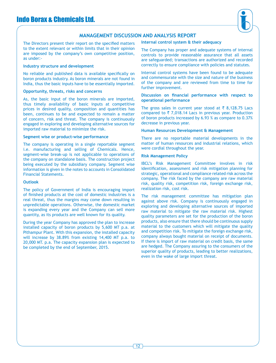

#### **MANAGEMENT DISCUSSION AND ANALYSIS REPORT**

The Directors present their report on the specified matters to the extent relevant or within limits that in their opinion are imposed by the company's own competitive position, as under:-

#### **Industry structure and development**

No reliable and published data is available specifically on boron products industry. As boron minerals are not found in India, thus the basic inputs have to be essentially imported.

#### **Opportunity, threats, risks and concerns**

As, the basic input of the boron minerals are imported, thus timely availability of basic inputs at competitive prices in desired quality, composition and quantities has been, continues to be and expected to remain a matter of concern, risk and threat. The company is continuously engaged in exploring and developing alternative sources for imported raw material to minimize the risk.

#### **Segment wise or product-wise performance**

The company is operating in a single reportable segment i.e. manufacturing and selling of Chemicals. Hence, segment-wise break-up is not applicable to operations of the company on standalone basis. The construction project being executed by the subsidiary company. Segment wise information is given in the notes to accounts in Consolidated Financial Statements.

#### **Outlook**

The policy of Government of India is encouraging import of finished products at the cost of domestic industries is a real threat, thus the margins may come down resulting in unpredictable operations. Otherwise, the domestic market is expanding every year and the Company can sell more quantity, as its products are well known for its quality.

During the year Company has approved the plan to increase installed capacity of boron products by 5,600 MT p.a. at Pithampur Plant. With this expansion, the installed capacity will increase by 38.89% from existing 14,400 MT p.a. to 20,000 MT. p.a. The capacity expansion plan is expected to be completed by the end of September, 2015.

#### **Internal control system & their adequacy**

The Company has proper and adequate systems of internal controls to provide reasonable assurance that all assets are safeguarded; transactions are authorized and recorded correctly to ensure compliance with policies and statutes.

Internal control systems have been found to be adequate and commensurate with the size and nature of the business of the company and are reviewed from time to time for further improvement.

#### **Discussion on financial performance with respect to operational performance**

The gross sales in current year stood at  $\bar{\tau}$  8,128.75 Lacs compared to  $\overline{z}$  7,018.14 Lacs in previous year. Production of boron products increased by 6.93 % as compare to 0.37% decrease in previous year.

#### **Human Resources Development & Management**

There are no reportable material developments in the matter of human resources and industrial relations, which were cordial throughout the year.

#### **Risk Management Policy**

IBCL's Risk Management Committee involves in risk identification, assessment and risk mitigation planning for strategic, operational and compliance related risk across the company. The risk faced by the company are raw material risk, quality risk, competition risk, foreign exchange risk, realization risk, cost risk.

The risk management committee has mitigation plan against above risk. Company is continuously engaged in exploring and developing alternative sources of imported raw material to mitigate the raw material risk. Highest quality parameters are set for the production of the boron products, also ensure that there should be continuous supply material to the customers which will mitigate the quality and competition risk. To mitigate the foreign exchange risk, company always bought material on receipt of documents. If there is import of raw material on credit basis, the same are hedged. The Company assuring to the consumers of the superior quality of products, leading to better realizations, even in the wake of large import threat.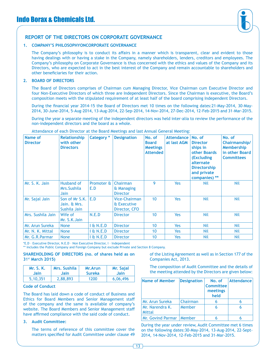

#### **REPORT OF THE DIRECTORS ON CORPORATE GOVERNANCE**

#### **1. COMPANY'S PHILOSOPHYONCORPORATE GOVERNANCE**

The Company's philosophy is to conduct its affairs in a manner which is transparent, clear and evident to those having dealings with or having a stake in the Company, namely shareholders, lenders, creditors and employees. The Company's philosophy on Corporate Governance is thus concerned with the ethics and values of the Company and its Directors, who are expected to act in the best interest of the Company and remain accountable to shareholders and other beneficiaries for their action.

#### **2. BOARD OF DIRECTORS**

 The Board of Directors comprises of Chairman cum Managing Director, Vice Chairman cum Executive Director and four Non-Executive Directors of which three are Independent Directors. Since the Chairman is executive, the Board's composition meets with the stipulated requirement of at least half of the board comprising Independent Directors.

During the financial year 2014-15 the Board of Directors met 10 times on the following dates:21-May-2014, 30-May-2014, 30-June-2014, 5-Aug-2014, 13-Aug-2014, 22-Sep-2014, 14-Nov-2014, 27-Dec-2014, 12-Feb-2015 and 31-Mar-2015.

During the year a separate meeting of the independent directors was held inter-alia to review the performance of the non-independent directors and the board as a whole.

| Name of<br><b>Director</b> | <b>Relationship</b><br>with other<br><b>Directors</b> | Category *        | <b>Designation</b>                            | No. of<br><b>Board</b><br><b>Meetings</b><br><b>Attended</b> | <b>Attendance</b><br>at last AGM | No. of<br><b>Director</b><br>ships in<br>other Boards<br>(Excluding<br>alternate<br><b>Directorship</b><br>and private<br>companies) ** | No. of<br>Chairmanship/<br><b>Membership</b><br>in other Board<br><b>Committees</b> |
|----------------------------|-------------------------------------------------------|-------------------|-----------------------------------------------|--------------------------------------------------------------|----------------------------------|-----------------------------------------------------------------------------------------------------------------------------------------|-------------------------------------------------------------------------------------|
| Mr. S. K. Jain             | Husband of<br>Mrs. Sushila<br>Jain                    | Promoter &<br>E.D | Chairman<br>& Managing<br><b>Director</b>     | 9                                                            | Yes                              | <b>Nil</b>                                                                                                                              | <b>Nil</b>                                                                          |
| Mr. Sajal Jain             | Son of Mr S.K.<br>Jain. & Mrs.<br>Sushila Jain        | E.D               | Vice-Chairman<br>& Executive<br>Director, CFO | 10                                                           | Yes                              | <b>Nil</b>                                                                                                                              | <b>Nil</b>                                                                          |
| Mrs. Sushila Jain          | Wife of<br>Mr. S.K.Jain                               | N.E.D             | <b>Director</b>                               | 10                                                           | Yes                              | <b>Nil</b>                                                                                                                              | <b>Nil</b>                                                                          |
| Mr. Arun Sureka            | <b>None</b>                                           | 1 & N.E.D         | <b>Director</b>                               | 10 <sup>°</sup>                                              | Yes                              | <b>Nil</b>                                                                                                                              | <b>Nil</b>                                                                          |
| Mr. N. K. Mittal           | <b>None</b>                                           | 1 & N.E.D         | <b>Director</b>                               | 10                                                           | Yes                              | <b>Nil</b>                                                                                                                              | <b>Nil</b>                                                                          |
| Mr. G.R.Parmar             | <b>None</b>                                           | 1 & N.E.D         | <b>Director</b>                               | 10                                                           | Yes                              | <b>Nil</b>                                                                                                                              | <b>Nil</b>                                                                          |

Attendance of each Director at the Board Meetings and last Annual General Meeting:

\*E.D – Executive Director, N.E.D – Non Executive Director, I – Independent

\*\* Includes the Public Company and Foreign Company but exclude Private and Section 8 Company.

**SHAREHOLDING OF DIRECTORS (no. of shares held as on 3**1st **March 2015)**

| Mr. S. K. | Mrs. Sushila | <b>Mr.Arun</b> | Mr. Sajal   |
|-----------|--------------|----------------|-------------|
| Jain      | Jain         | Sureka         | <b>Jain</b> |
| 5.10.351  | 2,88,893     | 1200           | 6,06,496    |

#### **Code of Conduct**

The Board has laid down a code of conduct of Business and Ethics for Board Members and Senior Management staff of the company and the same is available of company's website. The Board Members and Senior Management staff have affirmed compliance with the said code of conduct.

#### **3. Audit Committee:**

 The terms of reference of this committee cover the matters specified for Audit Committee under clause 49

of the Listing Agreement as well as in Section 177 of the Companies Act, 2013.

 The composition of Audit Committee and the details of the meeting attended by the Directors are given below:

| Name of Member                   | Designation | No. of<br><b>Committee</b><br>meetings<br>held | Attendance |
|----------------------------------|-------------|------------------------------------------------|------------|
| Mr. Arun Sureka                  | Chairman    |                                                |            |
| Mr. Narendra K.<br><b>Mittal</b> | Member      |                                                |            |
| Mr. Govind Parmar   Member       |             |                                                |            |

During the year under review, Audit Committee met 6 times on the following dates:30-May-2014, 13-Aug-2014, 22-Sept-2014, 14-Nov-2014, 12-Feb-2015 and 31-Mar-2015.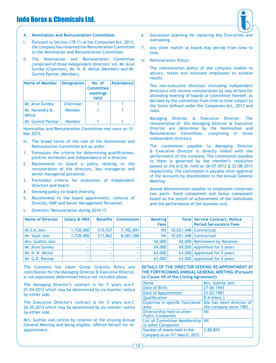- **4. Nomination and Remuneration Committee:**
- i. Pursuant to Section 178 (1) of the Companies Act, 2013, the company has renamed the Remuneration Committee to the Nomination and Remuneration Committee.
- ii. The Nomination and Remuneration Committee comprised of three independent directors' viz. Mr. Arun Sureka (Chairman), Mr. N. K. Mittal (Member) and Mr. Govind Parmar (Member).

| Name of Member            | Designation | No. of<br><b>Committee</b><br>meetings<br>held | Attendance |
|---------------------------|-------------|------------------------------------------------|------------|
| Mr. Arun Sureka           | Chairman    |                                                |            |
| Mr. Narendra K.<br>Mittal | Member      |                                                |            |
| Mr. Govind Parmar         | Member      |                                                |            |

Nomination and Remuneration Committee met once on 31- Mar-2015.

- iii. The broad terms of the role of the Nomination and Remuneration Committee are as under:
- 1. Formulate the criteria for determining qualifications, positive attributes and independence of a director.
- 2. Recommend to board a policy relating to the remuneration of the directors, key managerial and senior managerial personnel.
- 3. Formulate criteria for evaluation of independent directors and board.
- 4. Devising policy on board diversity.
- 5. Recommend to the board appointment, removal of Director, KMP and Senior Management Personnel.
- v. Directors' Remuneration during 2014-15
- 6. Succession planning for replacing Key Executives and overseeing.
- 7. Any other matter as board may decide from time to time.
- iv. Remuneration Policy:

 The remuneration policy of the company enable to attract, retain and motivate employees to achieve results.

The non-executive directors (including independent directors) will receive remuneration by way of fees for attending meeting of boards or committee thereof, as decided by the committee from time to time subject to the limits defined under the Companies Act, 2013 and rules.

 Managing Director & Executive Director: The remuneration of the Managing Director & Executive Director are determine by the Nomination and Remuneration Committee, comprising of three independent directors.

 The commission payable to Managing Director & Executive Director is directly linked with the performance of the company. The commission payable to them is governed by the member's resolution passed at the A.G.M. held on 26-07-2012 & 22-08-2013 respectively. The commission is payable after approval of the accounts by shareholders in the Annual General Meeting.

 Annual Remuneration payable to employees comprises two parts- fixed component and bonus component based on the extent of achievement of the individuals and the performance of the business unit.

| <b>Name of Director</b> | Salary & HRA | <b>Benefits</b> | <b>Commission</b> | <b>Meeting</b> | <b>Total Service Contract, Notice</b> |
|-------------------------|--------------|-----------------|-------------------|----------------|---------------------------------------|
|                         |              |                 |                   | <b>Fees</b>    | <b>Period Serverance Fees</b>         |
| Mr.S.K.Jain             | 1,728,000    | 510,557         | 7,782,891         | <b>Nil</b>     | 10,021,448   Contractual              |
| Mr. Sajal Jain          | 1,728,000    | 211,862         | 8,081,586         | <b>Nil</b>     | 10,021,448   Contractual              |
| Mrs. Sushila Jain       | $-$          | ---             |                   | 42,000         | 42,000 Retirement by Rotation         |
| Mr. Arun Sureka         | --           | --              |                   | 69,000         | 69,000 Appointed for 5 years          |
| Mr. N. K. Mittal        | $-$          | --              | $\sim$ $-$        | 63,000         | 63,000 Appointed for 5 years          |
| Mr. G.R. Parmar         | --           | --              | --                | 63,000         | 63,000 Appointed for 5 years          |

The Company has taken Group Gratuity Policy and contribution for the Managing Director & Executive Director, is not separately determined hence not included above.

The Managing Director's contract is for 5 years w.e.f. 01.04.2012 which may be determined by six months' notice by either side.

The Executive Director's contract is for 5 years w.e.f. 26.05.2013 which may be determined by six months' notice by either side.

Mrs. Sushila Jain,retires by rotation at the ensuing Annual General Meeting and being eligible, offered herself for reappointment.

**DETAILS OF THE DIRECTOR SEEKING RE-APPOINTMENT AT THE FORTHCOMING ANNUAL GENERAL MEETING (Pursuant to Clause 49 of the Listing Agreement)**

| <b>Name</b>                                           | Mrs. Sushila Jain        |
|-------------------------------------------------------|--------------------------|
| Date of Birth                                         | 27-06-1943               |
| Date of Appointment                                   | 21-02-1981               |
| Qualification                                         | B.A (Hons.)              |
| Expertise in specific functional                      | She has been director of |
| area                                                  | the company since 1981   |
| Directorship held in other<br><b>Public Companies</b> | <b>Nil</b>               |
| List of Committee Membership<br>in other Companies    | l Nil                    |
| Number of shares held in the                          | 2,88,893                 |
| Company as on 31 <sup>st</sup> March, 2015            |                          |

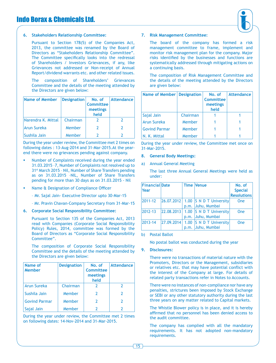

Pursuant to Section 178(5) of the Companies Act, 2013, the committee was renamed by the Board of Directors as "Stakeholders Relationship Committee". The Committee specifically looks into the redressal of Shareholders / Investors Grievances, if any, like Grievances not addressed or Non-receipt of Annual Report/dividend warrants etc. and other related issues.

The composition of Shareholders' Grievances Committee and the details of the meeting attended by the Directors are given below:

| <b>Name of Member</b> | Designation | No. of<br><b>Committee</b><br>meetings<br>held | Attendance |
|-----------------------|-------------|------------------------------------------------|------------|
| Narendra K. Mittal    | Chairman    |                                                |            |
| Arun Sureka           | Member      |                                                |            |
| Sushila Jain          | Member      |                                                |            |

During the year under review, the Committee met 2 times on following dates : 13-Aug-2014 and 31-Mar-2015.At the yearend there were no grievances pending against company.

- Number of Complaints received during the year ended 31.03.2015 –7, Number of Complaints not resolved up to 31st March 2015 – Nil, Number of Share Transfers pending as on 31.03.2015 –NIL, Number of Share Transfers pending for more than 30 days as on 31.03.2015 - Nil
- Name & Designation of Compliance Officer
	- Mr. Sajal Jain- Executive Director upto 30-Mar-15
	- Mr. Pravin Chavan-Company Secretary from 31-Mar-15
- **6. Corporate Social Responsibility Committee:**

Pursuant to Section 135 of the Companies Act, 2013 read with Companies (Corporate Social Responsibility Policy) Rules, 2014, committee was formed by the Board of Directors as "Corporate Social Responsibility Committee".

 The composition of Corporate Social Responsibility Committee and the details of the meeting attended by the Directors are given below:

| Name of<br>Member    | <b>Designation</b> | No. of<br><b>Committee</b><br>meetings<br>held | <b>Attendance</b> |
|----------------------|--------------------|------------------------------------------------|-------------------|
| Arun Sureka          | Chairman           |                                                |                   |
| Sushila Jain         | Member             |                                                |                   |
| <b>Govind Parmar</b> | Member             |                                                |                   |
| Sajal Jain           | Member             |                                                |                   |

During the year under review, the Committee met 2 times on following dates: 14-Nov-2014 and 31-Mar-2015.

#### **7. Risk Management Committee:**

 The board of the company has formed a risk management committee to frame, implement and monitor risk management plan for the company. Major risks identified by the businesses and functions are systematically addressed through mitigating actions on a continuing basis.

 The composition of Risk Management Committee and the details of the meeting attended by the Directors are given below:

| Name of Member   Designation |          | No. of<br>Committee<br>meetings<br>held | <b>Attendance</b> |
|------------------------------|----------|-----------------------------------------|-------------------|
| Sajal Jain                   | Chairman |                                         |                   |
| Arun Sureka                  | Member   |                                         |                   |
| <b>Govind Parmar</b>         | Member   |                                         |                   |
| N. K. Mittal                 | Member   |                                         |                   |

During the year under review, the Committee met once on 31-Mar-2015.

#### **8. General Body Meetings:**

a) Annual General Meeting

The last three Annual General Meetings were held as under:

| <b>Financial</b> Date<br>Year |      | <b>Time Venue</b>                                  | No. of<br><b>Special</b><br><b>Resolutions</b> |
|-------------------------------|------|----------------------------------------------------|------------------------------------------------|
| 2011-12                       | D.m. | 26.07.2012 1.00 S N D T University<br>Juhu, Mumbai | <b>One</b>                                     |
| 2012-13                       | D.m. | 22.08.2013 1.00 S N D T University<br>Juhu, Mumbai | One                                            |
| 2013-14                       | D.m. | 27.09.2014 1.00 S N D T University<br>Juhu, Mumbai | One                                            |

#### b) Postal Ballot

No postal ballot was conducted during the year

#### **9. Disclosures:**

There were no transactions of material nature with the Promoters, Directors or the Management, subsidiaries or relatives etc. that may have potential conflict with the interest of the Company at large. For details of related party transactions refer in Notes to Accounts.

There were no instances of non-compliance nor have any penalties, strictures been imposed by Stock Exchange or SEBI or any other statutory authority during the last three years on any matter related to Capital markets.

The Whistle Blower policy is in place, and it is hereby affirmed that no personnel has been denied access to the audit committee.

The company has complied with all the mandatory requirements. It has not adopted non-mandatory requirements.

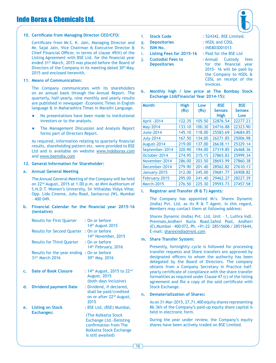**10. Certificate from Managing Director CEO/CFO:**

Certificate from Mr.S. K. Jain, Managing Director and Mr. Sajal Jain, Vice Chairman & Executive Director & Chief Financial Officer, in terms of clause 49(V) of the Listing Agreement with BSE Ltd. for the financial year ended 31<sup>st</sup> March, 2015 was placed before the Board of Directors of the Company in its meeting dated 30th May, 2015 and enclosed herewith.

**11. Means of Communication:**

The Company communicates with its shareholders on an annual basis through the Annual Report. The quarterly, half-yearly, nine monthly and yearly results are published in newspaper -Economic Times in English language & in Maharashtra Times in Marathi Language.

- No presentations have been made to institutional investors or to the analysts.
- The Management Discussion and Analysis Report forms part of Directors Report.

As required, information relating to quarterly financial results, shareholding pattern etc. were provided to BSE Ltd and is available on website www.indoborax.com and www.bseindia.com

**12. General Information for Shareholder:**

#### **a. Annual General Meeting**

The Annual General Meeting of the Company will be held on 22nd August, 2015 at 1.00 p.m. at Mini Auditorium of S.N.D.T. Women's University, Sir Vithaldas Vidya Vihar, Opp. Lido Cinema, Juhu Road, Santacruz (W), Mumbai  $-4000049.$ 

#### **b. Financial Calendar for the financial year 2015-16 (tentative)**

|    | <b>Results for First Quarter</b>                                          | : On or before<br>14 <sup>th</sup> August 2015                                                                                 |
|----|---------------------------------------------------------------------------|--------------------------------------------------------------------------------------------------------------------------------|
|    | Results for Second Quarter : On or before                                 | 14 <sup>th</sup> November, 2015                                                                                                |
|    | <b>Results for Third Quarter</b>                                          | : On or before<br>14 <sup>th</sup> February, 2016                                                                              |
|    | Results for the year ending : On or before<br>31 <sup>st</sup> March 2016 | 30th May, 2016                                                                                                                 |
| Ċ. | <b>Date of Book Closure</b>                                               | : $14$ <sup>th</sup> August, 2015 to 22 <sup>nd</sup><br><b>August, 2015</b><br>(both days inclusive)                          |
| d. | <b>Dividend payment Date</b>                                              | : Dividend, if declared,<br>shall be paid/credited<br>on or after 22 <sup>nd</sup> August,<br>2015                             |
| e. | <b>Listing on Stock</b>                                                   | : BSE Ltd, (BSE) Mumbai,                                                                                                       |
|    | <b>Exchanges:</b>                                                         | (The Kolkatta Stock<br><b>Exchange Ltd.-Delisting</b><br>confirmation from The<br>Kolkatta Stock Exchange<br>is still awaited) |

- f. **Stock Code** : 524342, BSE Limited.
- g. **Depositories** : NSDL and CDSL
- h. **ISIN No.** : INE803D01013
- i. **Listing Fees for 2015-16** : Paid for the BSE Ltd
- **j. Custodial Fees to Depositories**

: Annual Custody fees for the financial year 2015- 16 will be paid by the Company to NSDL & CDSL on receipt of the invoices.

**k. Monthly high / low price at The Bombay Stock Exchange Ltd(Financial Year 2014-15):**

| <b>Month</b>       | <b>High</b><br>(Rs) | Low<br>(Rs) | <b>BSE</b><br><b>Sensex</b><br><b>High</b> | <b>BSE</b><br><b>Sensex</b><br>Low |
|--------------------|---------------------|-------------|--------------------------------------------|------------------------------------|
| <b>April -2014</b> | 122.35              | 105.50      | 22876.54                                   | 22277.23                           |
| May-2014           | 133.10              | 100.30      | 24716.88                                   | 22323.90                           |
| <b>June-2014</b>   | 145.10              | 118.00      | 25583.69                                   | 24684.85                           |
| <b>July-2014</b>   | 167.50              | 134.00      | 26271.85                                   | 25006.98                           |
| August-2014        | 219.00              | 137.00      | 26638.11                                   | 25329.14                           |
| September-2014     | 320.90              | 194.00      | 27319.85                                   | 26468.36                           |
| October-2014       | 274.95              | 215.15      | 27865.83                                   | 25999.34                           |
| November-2014      | 286.00              | 203.50      | 28693.99                                   | 27860.38                           |
| December-2014      | 279.90              | 201.40      | 28562.82                                   | 27610.13                           |
| January-2015       | 312.00              | 245.00      | 29681.77                                   | 26908.82                           |
| February-2015      | 295.00              | 241.40      | 29462.27                                   | 28227.39                           |
| <b>March-2015</b>  | 276.50              | 225.30      | 29593.73                                   | 27457.58                           |

#### **l. Registrar and Transfer (R & T) Agents:**

The Company has appointed M/s. Sharex Dynamic (India) Pvt. Ltd. as its R & T Agent. In this regard, Members may contact them at following address:

Sharex Dynamic (India) Pvt. Ltd, Unit – 1, Luthra Indl. Premises,Andheri Kurla Road,Safed Pool, Andheri (E),Mumbai – 400 072, Ph. +91-22- 28515606 / 28515644, E-mail: sharexindia@vsnl.com

#### **m. Share Transfer System:**

Presently, fortnightly cycle is followed for processing transfer requests and Share transfers are approved by designated officers to whom the authority has been delegated by the Board of Directors. The company obtains from a Company Secretary in Practice halfyearly certificate of compliance with the share transfer formalities as required under Clause 47 (c) of the listing agreement and file a copy of the said certificate with Stock Exchange.

#### **n. Dematerialization of Shares:**

As on 31-Mar-2015, 27,71,400 equity shares representing 86.36% of the Company's paid-up equity share capital is held in electronic form.

During the year under review, the Company's equity shares have been actively traded on BSE Limited.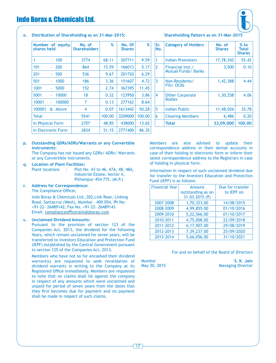#### **p. Outstanding GDRs/ADRs/Warrants or any Convertible instruments:**

The Company has not issued any GDRs/ ADRs/ Warrants or any Convertible instruments.

#### **q. Location of Plant Facilities:**

Plant locations : Plot No. 43 to 46, 47A, 48, 48A, Industrial Estate, Sector II, Pithampur–454 775. (M.P.)

#### **r. Address for Correspondence:** The Compliance Officer,

Indo Borax & Chemicals Ltd.,302,Link Rose, Linking Road, Santacruz (West), Mumbai – 400 054, Ph No: +91-22- 26489142; Fax No. +91-22- 26489143 Email: complianceofficer@indoborax.com

#### **s. Unclaimed Dividend Amounts:**

Pursuant to the provision of section 123 of the Companies Act, 2013, the dividend for the following Years, which remain unclaimed for seven years, will be transferred to Investors Education and Protection Fund (IEPF) established by the Central Government pursuant to section 125 of the Companies Act, 2013.

Members who have not so far encashed their dividend warrant(s) are requested to seek revalidation of dividend warrants in writing to the Company at its Registered Office immediately. Members are requested to note that no claims shall lie against the company in respect of any amounts which were unclaimed and unpaid for period of seven years from the dates that they first becomes due for payment and no payment shall be made in respect of such claims.

 Members are also advised to update their correspondence address in their demat accounts in case of their holding in electronic form or inform their latest correspondence address to the Registrars in case of holding in physical form.

 Information in respect of such unclaimed dividend due for transfer to the Investors Education and Protection Fund (IEPF) is as follows:

| $1.1.01$ ( $1.001$ $1.00$ $1.00$ $1.00$ $1.00$ $1.00$ |                                                  |                                |
|-------------------------------------------------------|--------------------------------------------------|--------------------------------|
| <b>Financial Year</b>                                 | Amount<br>outstanding as on<br>31.03.2015 $($ ₹) | Due for transfer<br>to IEPF on |
| 2007-2008                                             | 1,70,323.00                                      | 14/08/2015                     |
| 2008-2009                                             | 4,99,855.00                                      | 01/10/2016                     |
| 2009-2010                                             | 5,22,566.00                                      | 01/10/2017                     |
| 2010-2011                                             | 4,75,008.00                                      | 22/09/2018                     |
| 2011-2012                                             | 6,17,907.00                                      | 29/08/2019                     |
| 2012-2013                                             | 7,39,237.00                                      | 25/09/2020                     |
| 2013-2014                                             | 5,66,056.00                                      | 31/10/2021                     |

#### For and on behalf of the Board of Directors

Mumbai **S. K. Jain Managing Director** 

#### **o. Distribution of Shareholding as on 31-Mar-2015: Shareholding Pattern as on 31-Mar-2015**

| shares held        |                            | Number of equity | No. of<br><b>Shareholders</b> | %      | No. Of<br><b>Shares</b> | %      | Sr.<br>No.     | <b>Category of Holders</b> | No. of<br><b>Shares</b> | % to<br>Total<br><b>Shares</b> |
|--------------------|----------------------------|------------------|-------------------------------|--------|-------------------------|--------|----------------|----------------------------|-------------------------|--------------------------------|
|                    |                            | $-100$           | 3774                          | 68.11  | 307711                  | 9.59   |                | <b>Indian Promoters</b>    | 17,78,342               | 55.42                          |
| 101                | A.                         | 200              | 864                           | 15.59  | 166013                  | 5.17   | $\overline{2}$ | Financial Inst./           | 3,500                   | 0.10                           |
| 201                | ÷.                         | 500              | 536                           | 9.67   | 201720                  | 6.29   |                | <b>Mutual Funds/ Banks</b> |                         |                                |
| 501                | a.                         | 1000             | 186                           | 3.36   | 151607                  | 4.72   | 3              | Non-Residents/             | 1,42,388                | 4.44                           |
| 1001               | ÷.                         | 5000             | 152                           | 2.74   | 367395                  | 11.45  |                | FIIs/OCBs                  |                         |                                |
| 5001               | $\mathcal{L}^{\text{max}}$ | 10000            | 18                            | 0.32   | 123950                  | 3.86   | 4              | <b>Other Corporate</b>     | 1,30,258                | 4.06                           |
| 10001              | ÷.                         | 100000           | 7                             | 0.13   | 277162                  | 8.64   |                | <b>Bodies</b>              |                         |                                |
| 100001             |                            | & Above          | 4                             | 0.07   | 1613442                 | 50.28  | 5              | <b>Indian Public</b>       | 11,48,026               | 35.78                          |
| <b>Total</b>       |                            |                  | 5541                          | 100.00 | 3209000                 | 100.00 | 6              | <b>Clearing Members</b>    | 6,486                   | 0.20                           |
| In Physical Form   |                            |                  | 2707                          | 48.85  | 438000                  | 13.65  |                | <b>Total</b>               | 32,09,000               | 100.00                         |
| In Electronic Form |                            |                  | 2834                          | 51.15  | 2771400                 | 86.35  |                |                            |                         |                                |

| %              | Sr.<br>No.     | <b>Category of Holders</b> | No. of<br><b>Shares</b> | $%$ to<br><b>Total</b><br><b>Shares</b> |  |
|----------------|----------------|----------------------------|-------------------------|-----------------------------------------|--|
| 59             | 1              | <b>Indian Promoters</b>    | 17,78,342               | 55.42                                   |  |
| $\overline{7}$ | $\overline{2}$ | Financial Inst./           | 3,500                   | 0.10                                    |  |
| 9              |                | <b>Mutual Funds/ Banks</b> |                         |                                         |  |
| $\overline{2}$ | 3              | Non-Residents/             | 1,42,388                | 4.44                                    |  |
| $\overline{5}$ |                | FIIs/OCBs                  |                         |                                         |  |
| 86             | 4              | <b>Other Corporate</b>     | 1,30,258                | 4.06                                    |  |
| $\mathbf{A}$   |                | <b>Bodies</b>              |                         |                                         |  |
| $\overline{8}$ | 5              | <b>Indian Public</b>       | 11,48,026               | 35.78                                   |  |
| 10             | 6              | <b>Clearing Members</b>    | 6,486                   | 0.20                                    |  |
| 5 <sub>5</sub> |                | <b>Total</b>               | 32,09,000               | 100.00                                  |  |

## Indo Borax & Chemicals Ltd.

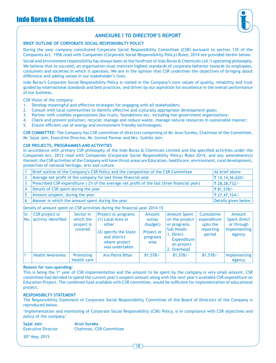

#### **ANNEXURE I TO DIRECTOR'S REPORT**

#### **BRIEF OUTLINE OF CORPORATE SOCIAL RESPONSIBILTY POLICY**

During the year company constituted Corporate Social Responsibility Committee (CSR) pursuant to section 135 of the Companies Act, 1956 read with Companies (Corporate Social Responsibility Policy) Rules, 2014 are provided herein below:

Social and environment responsibility has always been at the forefront of Indo Borax & Chemicals Ltd.'s operating philosophy. We believe that to succeed, an organization must maintain highest standards of corporate behavior towards its employees, consumers and societies in which it operates. We are in the opinion that CSR underlines the objectives of bringing about difference and adding values in our stakeholder's lives.

Indo Borax's Corporate Social Responsibility Policy is rooted in the Company's core values of quality, reliability and trust guided by international standards and best practices, and driven by our aspiration for excellence in the overall performance of our business.

CSR Vision of the company

- 1. Develop meaningful and effective strategies for engaging with all stakeholders;
- 2. Consult with local communities to identify effective and culturally appropriate development goals;
- 3. Partner with credible organizations like trusts, foundations etc. including non-government organizations;
- 4. Check and prevent pollution; recycle; manage and reduce waste, manage natural resources in sustainable manner;
- 5. Ensure efficient use of energy and environment friendly technologies;

**CSR COMMITTEE:** The Company has CSR committee of directors comprising of Mr. Arun Sureka, Chairman of the Committee, Mr. Sajal Jain, Executive Director, Mr. Govind Parmar and Mrs. Sushila Jain.

#### **CSR PROJECTS, PROGRAMMES AND ACTIVITIES**

In accordance with primary CSR philosophy of the Indo Borax & Chemicals Limited and the specified activities under the Companies Act, 2013 read with Companies (Corporate Social Responsibility Policy) Rules 2014, and any amendment(s) thereof, the CSR activities of the Company will have thrust areas are Education, healthcare, environment, rural development, protection of national heritage, arts and culture.

|    | Brief outline of the Company's CSR Policy and the composition of the CSR Committee         | As brief above      |
|----|--------------------------------------------------------------------------------------------|---------------------|
|    | Average net profit of the company for last three financial year                            | † 14,14,36,620/-    |
|    | Prescribed CSR expenditure (2% of the average net profit of the last three financial year) | † 28,28,732/-       |
|    | Details of CSR spent during the year                                                       | ₹81,578/-           |
|    | Amount unspent, during the year                                                            | ₹ 27,47,154/-       |
| 6. | Manner in which the amount spent during the year                                           | Details given below |

Details of amount spent on CSR activities during the financial year 2014-15

| lSr. | CSR project or<br>No. activity identified | Sector in<br>which the<br>project is<br>covered | Project or programs<br>(1) Local Area or<br>other<br>(2) specify the State<br>and district<br>where project<br>was undertaken | Amount<br>outlay<br>(budget)<br>Project or<br>programs<br>wise | <b>Amount Spent</b><br>on the project<br>or programs<br>Sub Heads:<br>1. Direct<br>Expenditure<br>on project<br>2. Overhead | Cumulative<br>expenditure<br>upto the<br>reporting<br>period | Amount<br>Spent direct<br>or through<br>Implementing<br>Agency |
|------|-------------------------------------------|-------------------------------------------------|-------------------------------------------------------------------------------------------------------------------------------|----------------------------------------------------------------|-----------------------------------------------------------------------------------------------------------------------------|--------------------------------------------------------------|----------------------------------------------------------------|
|      | <b>Health Awareness</b>                   | Promoting<br>Health care                        | Ara-Patna Bihar                                                                                                               | $81.578/-$                                                     | $81.578/-$                                                                                                                  | $81.578/-$                                                   | Implementing<br>Agency                                         |

#### **Reason for non-spending:**

This is being the 1<sup>st</sup> year of CSR implementation and the amount to be spent by the company is very small amount. CSR committee had decided to spend the current year's unspent amount along with the next year's available CSR expenditure on Education Project. The combined fund available with CSR committee, would be sufficient for implementation of educational project.

#### **RESPONSIBILTY STATEMENT**

The Responsibility Statement of Corporate Social Responsibility Committee of the Board of Directors of the Company is reproduced below.

'Implementation and monitoring of Corporate Social Responsibility (CSR) Policy, is in compliance with CSR objectives and policy of the company.'

**Sajal Jain Arun Sureka** Executive Director Chairman, CSR Committee

30th May, 2015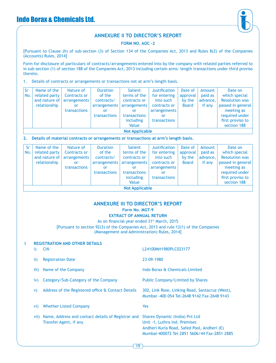

#### **ANNEXURE II TO DIRECTOR'S REPORT**

**FORM NO. AOC -2** 

[Pursuant to Clause (h) of sub-section (3) of Section 134 of the Companies Act, 2013 and Rules 8(2) of the Companies (Accounts) Rules, 2014]

Form for disclosure of particulars of contracts/arrangements entered into by the company with related parties referred to in sub-section (1) of section 188 of the Companies Act, 2013 including certain arms- length transactions under third proviso thereto.

1. Details of contracts or arrangements or transactions not at arm's length basis.

| Sr                                              | Name of the        | Nature of    | <b>Duration</b> | Salient               | Justification | Date of           | Amount           | Date on               |
|-------------------------------------------------|--------------------|--------------|-----------------|-----------------------|---------------|-------------------|------------------|-----------------------|
| No.                                             | related party      | Contracts or | of the          | terms of the          | for entering  | approval          | paid as          | which special         |
|                                                 | and nature of      | arrangements | contracts/      | contracts or          | into such     | by the            | advance,         | <b>Resolution was</b> |
| relationship<br>arrangements arrangements<br>or |                    |              | contracts or    | <b>Board</b>          | if any        | passed in general |                  |                       |
|                                                 | transactions<br>or |              | or              | arrangements          |               |                   | meeting as       |                       |
|                                                 |                    |              | transactions    | transactions          | or            |                   |                  | required under        |
|                                                 |                    |              | including       | transactions          |               |                   | first proviso to |                       |
|                                                 |                    |              |                 | Value                 |               |                   |                  | section 188           |
|                                                 |                    |              |                 | <b>Not Applicable</b> |               |                   |                  |                       |

#### **2. Details of material contracts or arrangements or transactions at arm's length basis.**

| <b>Sr</b>                                           | Name of the        | Nature of           | <b>Duration</b> | Salient               | <b>Justification</b> | Date of           | Amount     | Date on               |
|-----------------------------------------------------|--------------------|---------------------|-----------------|-----------------------|----------------------|-------------------|------------|-----------------------|
| No.                                                 | related party      | <b>Contracts or</b> | of the          | terms of the          | for entering         | approval          | paid as    | which special         |
|                                                     | and nature of      | arrangements        | contracts/      | contracts or          | into such            | by the            | advance,   | <b>Resolution was</b> |
| relationship<br>arrangements   arrangements  <br>or |                    |                     | contracts or    | <b>Board</b>          | if any               | passed in general |            |                       |
|                                                     | transactions<br>or |                     | or              | arrangements          |                      |                   | meeting as |                       |
|                                                     |                    |                     | transactions    | transactions          | or                   |                   |            | required under        |
|                                                     |                    |                     |                 | including             | transactions         |                   |            | first proviso to      |
|                                                     |                    |                     |                 | Value                 |                      |                   |            | section 188           |
|                                                     |                    |                     |                 | <b>Not Applicable</b> |                      |                   |            |                       |

#### **ANNEXURE III TO DIRECTOR'S REPORT Form No. MGT-9**

#### **EXTRACT OF ANNUAL RETURN**

As on financial year ended 31<sup>st</sup> March, 2015 [Pursuant to section 92(3) of the Companies Act, 2013 and rule 12(1) of the Companies (Management and Administration) Rules, 2014]

#### **I REGISTRATION AND OTHER DETAILS**

|               | CIN                                                                          | L24100MH1980PLC023177                                                                                                                                          |
|---------------|------------------------------------------------------------------------------|----------------------------------------------------------------------------------------------------------------------------------------------------------------|
| $\mathbf{ii}$ | <b>Registration Date</b>                                                     | 23-09-1980                                                                                                                                                     |
| iii)          | Name of the Company                                                          | Indo Borax & Chemicals Limited                                                                                                                                 |
| iv)           | Category/Sub-Category of the Company                                         | <b>Public Company/Limited by Shares</b>                                                                                                                        |
| V)            | Address of the Registered office & Contact Details                           | 302, Link Rose, Linking Road, Santacruz (West),<br>Mumbai -400 054 Tel-2648 9142 Fax-2648 9143                                                                 |
| Vi)           | <b>Whether Listed Company</b>                                                | Yes                                                                                                                                                            |
| vii)          | Name, Address and contact details of Registrar and<br>Transfer Agent, if any | Sharex Dynamic (India) Pvt Ltd<br>Unit -1, Luthra Ind. Premises<br>Andheri Kurla Road, Safed Pool, Andheri (E)<br>Mumbai-400072 Tel-2851 5606/44 Fax-2851 2885 |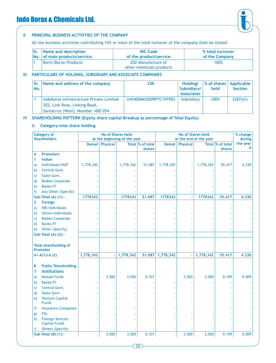

#### **II PRINCIPAL BUSINESS ACTIVITIES OF THE COMPANY**

All the business activities contributing 10% or more of the total turnover of the company shall be stated:

| Name and description         | NIC Code                                       | % total turnover |
|------------------------------|------------------------------------------------|------------------|
| No. of main products/service | of the product/service                         | of the Company   |
| <b>Boric/Boron Products</b>  | 202-Manufacture of<br>other chemicals products |                  |

#### **III PARTICULARS OF HOLDING, SUBSIDIARY AND ASSOCIATE COMPANIES**

| No. | <b>Sr.</b> Name and address of the company                                                                     | CIN                   | Holding/<br>Subsidiary/<br><b>Associates</b> | % of shares   Applicable<br>held | <b>Section</b> |
|-----|----------------------------------------------------------------------------------------------------------------|-----------------------|----------------------------------------------|----------------------------------|----------------|
|     | Indoborax Infrastructure Private Limited<br>302, Link Rose, Linking Road,<br>Santacruz (West), Mumbai -400 054 | U45400MH2009PTC197583 | Subsidiary                                   | 100%                             | 2(87)(ii)      |

#### **IV SHAREHOLDING PATTERN (Equity share capital Breakup as percentage of Total Equity)**

#### **i) Category-wise share holding**

|              | <b>Category of</b><br><b>Shareholders</b>         |           |                 | <b>No of Shares held</b><br>at the beginning of the year |                             |           |                 | <b>No of Shares held</b><br>at the end of the year |                      | % change<br>during |
|--------------|---------------------------------------------------|-----------|-----------------|----------------------------------------------------------|-----------------------------|-----------|-----------------|----------------------------------------------------|----------------------|--------------------|
|              |                                                   | Demat     | <b>Physical</b> |                                                          | Total  % of total<br>shares | Demat     | <b>Physical</b> | <b>Total</b>                                       | % of total<br>shares | the year<br>#      |
| A            | <b>Promoters</b>                                  |           |                 |                                                          |                             |           |                 |                                                    |                      |                    |
| 1            | <b>Indian</b>                                     |           |                 |                                                          |                             |           |                 |                                                    |                      |                    |
| a)           | Individuals/HUF                                   | 1,778,342 |                 | 1,778,342                                                | 51.087                      | 1,778,342 |                 | 1,778,342                                          | 55.417               | 4.330              |
| b)           | Central Govt.                                     |           |                 |                                                          |                             |           |                 |                                                    |                      |                    |
| C)           | <b>State Govt.</b>                                |           |                 |                                                          |                             |           |                 |                                                    |                      |                    |
| $\mathsf{d}$ | <b>Bodies Corporate</b>                           |           |                 |                                                          |                             |           |                 |                                                    |                      |                    |
| e)           | Banks/FI                                          |           |                 |                                                          |                             |           |                 |                                                    |                      |                    |
| f            | Any Other (Specify)                               |           |                 |                                                          |                             |           |                 |                                                    |                      |                    |
|              | Sub-Total (A) (1):-                               | 1778342   |                 | 1778342                                                  | 51.087                      | 1778342   |                 | 1778342                                            | 55.417               | 4.330              |
| $\mathbf{2}$ | <b>Foreign</b>                                    |           |                 |                                                          |                             |           |                 |                                                    |                      |                    |
| a)           | <b>NRI-Individuals</b>                            |           |                 |                                                          |                             |           |                 |                                                    |                      |                    |
| b)           | <b>Others-Individuals</b>                         |           |                 |                                                          |                             |           |                 |                                                    |                      |                    |
| C)           | <b>Bodies Corporate</b>                           |           |                 |                                                          |                             |           |                 |                                                    |                      |                    |
| $\mathsf{d}$ | <b>Banks/Fl</b>                                   |           |                 |                                                          |                             |           |                 |                                                    |                      |                    |
| e)           | Other (Specify)                                   |           |                 |                                                          |                             |           |                 |                                                    |                      |                    |
|              | Sub-Total (A) $(2)$ :-                            |           |                 |                                                          |                             |           |                 |                                                    |                      |                    |
|              | <b>Total shareholding of</b><br><b>Promoter</b>   |           |                 |                                                          |                             |           |                 |                                                    |                      |                    |
|              | $A = A(1) + A(2)$                                 | 1,778,342 |                 | 1,778,342                                                | 51.087                      | 1,778,342 |                 | 1,778,342                                          | 55.417               | 4.330              |
| B<br>1       | <b>Public Shareholding</b><br><b>Institutions</b> |           |                 |                                                          |                             |           |                 |                                                    |                      |                    |
| a)           | <b>Mutual Funds</b>                               |           | 3,500           | 3,500                                                    | 0.101                       |           | 3,500           | 3,500                                              | 0.109                | 0.009              |
| b)           | <b>Banks/FI</b>                                   |           |                 |                                                          |                             |           |                 |                                                    |                      |                    |
| C)           | Central Govt.                                     |           |                 |                                                          |                             |           |                 |                                                    |                      |                    |
| $\mathsf{d}$ | <b>State Govt.</b>                                |           |                 |                                                          |                             |           |                 |                                                    |                      |                    |
| e)           | <b>Venture Capital</b><br><b>Funds</b>            |           |                 |                                                          |                             |           |                 |                                                    |                      |                    |
| f)           | <b>Insurance Companies</b>                        |           |                 |                                                          |                             |           |                 |                                                    |                      |                    |
| g)           | <b>FIIs</b>                                       |           |                 |                                                          |                             |           |                 |                                                    |                      |                    |
| h)           | <b>Foreign Venture</b><br><b>Capital Funds</b>    |           |                 |                                                          |                             |           |                 |                                                    |                      |                    |
| $\mathbf{i}$ | <b>Others (Specify)</b>                           |           |                 |                                                          |                             |           |                 |                                                    |                      |                    |
|              | Sub-Total $(B)$ $(1)$ :-                          |           | 3,500           | 3,500                                                    | 0.101                       |           | 3,500           | 3,500                                              | 0.109                | 0.009              |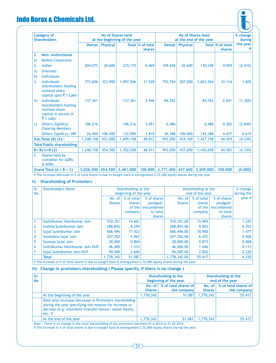## **Indo Bo**

|                     | <b>Borax &amp; Chemicals Ltd.</b>                                                                       |                   |                 |                              |                             |                   |                 |                        |                             |          |
|---------------------|---------------------------------------------------------------------------------------------------------|-------------------|-----------------|------------------------------|-----------------------------|-------------------|-----------------|------------------------|-----------------------------|----------|
|                     | <b>Category of</b>                                                                                      | No of Shares held |                 |                              |                             | No of Shares held |                 |                        |                             |          |
| <b>Shareholders</b> |                                                                                                         |                   |                 | at the beginning of the year |                             |                   |                 | at the end of the year |                             | during   |
|                     |                                                                                                         | <b>Demat</b>      | <b>Physical</b> |                              | Total  % of total<br>shares | <b>Demat</b>      | <b>Physical</b> |                        | Total  % of total<br>shares | the year |
| $\overline{2}$      | <b>Non-Institutional</b>                                                                                |                   |                 |                              |                             |                   |                 |                        |                             |          |
| a)                  | <b>Bodies Corporates</b>                                                                                |                   |                 |                              |                             |                   |                 |                        |                             |          |
| $\mathbf{i}$        | Indian                                                                                                  | 204,575           | 20,600          | 225,175                      | 6.469                       | 109,658           | 20,600          | 130,258                | 4.059                       | (2.410)  |
| ii)                 | <b>Overseas</b>                                                                                         |                   |                 |                              |                             |                   |                 |                        |                             |          |
| b)                  | <b>Individuals</b>                                                                                      |                   |                 |                              |                             |                   |                 |                        |                             |          |
| $\mathbf{i}$        | <b>Individuals</b><br>shareholders holding<br>nominal share<br>capital upto ₹1 Lakh                     | 773,606           | 323,900         | 1,097,506                    | 31.528                      | 755,764           | 307,500         | 1,063,264              | 33.134                      | 1.605    |
| ii)                 | <b>Individuals</b><br>shareholders holding<br>nominal share<br>capital in excess of<br>$\bar{z}$ 1 Lakh | 137,361           |                 | 137,361                      | 3.946                       | 84,762            |                 | 84,762                 | 2.641                       | (1.305)  |
| $\mathsf{C}$        | Others (Speficy)-<br><b>Clearing Members</b>                                                            | 106,216           |                 | 106,216                      | 3.051                       | 6,486             |                 | 6,486                  | 0.202                       | (2.849)  |
|                     | Others (Speficy) - NRI                                                                                  | 26,400            | 106,500         | 132,900                      | 3.818                       | 36,388            | 106,000         | 142,388                | 4.437                       | 0.619    |
|                     | Sub-Total $(B)$ $(2)$ :-                                                                                | 1,248,158         | 451,000         | 1,699,158                    | 48.812                      | 993,058           | 434,100         | 1,427,158              | 44.474                      | (4.339)  |
|                     | <b>Total Public shareholding</b>                                                                        |                   |                 |                              |                             |                   |                 |                        |                             |          |
|                     | $B = B(1) + B(2)$                                                                                       | 1,248,158         | 454,500         | 1,702,658                    | 48.913                      | 993,058           | 437,600         | 1,430,658              | 44.583                      | (4.330)  |
| C                   | Shares held by<br>custodian for GDRs<br>& ADRs                                                          |                   |                 |                              |                             |                   |                 |                        |                             |          |
|                     | Grand Total $(A + B + C)$                                                                               | 3,026,500         | 454,500         | 3,481,000                    | 100,000                     | 2,771,400 437,600 |                 | 3,209,000              | 100.000                     | (0.000)  |

ኈ

# The increase/decrease in % of total shares is due to bought back & extinguished 2,72,000 equity shares during the year.

#### **ii) Shareholding of Promoters**

| Sr. | <b>Shareholders Name</b>                                                                                         |               | Shareholding at the<br>Shareholding at the |             |                 | % change   |             |          |
|-----|------------------------------------------------------------------------------------------------------------------|---------------|--------------------------------------------|-------------|-----------------|------------|-------------|----------|
| No. |                                                                                                                  |               | beginning of the year                      |             | end of the year | during the |             |          |
|     |                                                                                                                  | No. of        | % of total                                 | % of shares | No. of          | % of total | % of shares | year $#$ |
|     |                                                                                                                  | <b>Shares</b> | shares                                     | pledged/    | <b>Shares</b>   | shares     | pledged/    |          |
|     |                                                                                                                  |               | of the                                     | encumbered  |                 | of the     | encumbered  |          |
|     |                                                                                                                  |               | company                                    | to total    |                 | company    | to total    |          |
|     |                                                                                                                  |               |                                            | shares      |                 |            | shares      |          |
|     | Sushilkumar Naimkumar Jain                                                                                       | 510,351       | 14.661                                     |             | 510,351.00      | 15.904     |             | 1.243    |
| 2   | Sushila Sushilkumar Jain                                                                                         | 288,893       | 8.299                                      |             | 288,893.00      | 9.003      |             | 0.703    |
|     | Sajal Sushilkumar Jain                                                                                           | 606,496       | 17.423                                     |             | 606,496.00      | 18.900     |             | 1.477    |
| 4   | Sreelekha Sajal Jain                                                                                             | 207,702       | 5.967                                      |             | 207,702.00      | 6.472      |             | 0.506    |
| 5   | Saumya Sajal Jain                                                                                                | 28,000        | 0.804                                      |             | 28,000.00       | 0.873      |             | 0.068    |
| 6   | Sushilkumar Naimkumar Jain-HUF                                                                                   | 46,400        | 1.333                                      |             | 46,400.00       | 1.446      |             | 0.113    |
|     | Sajal Sushilkumar Jain-HUF                                                                                       | 90,500        | 2.600                                      |             | 90,500.00       | 2.820      |             | 0.220    |
|     | <b>Total</b>                                                                                                     | 1,778,342     | 51.087                                     |             | 1,778,342,00    | 55.417     |             | 4.330    |
|     | # The increase in % of total shares is due to bought back & extinguished 2,72,000 equity shares during the year. |               |                                            |             |                 |            |             |          |

#### **iii) Change in promoters shareholding ( Please specify, if there is no change )**

| Sr.<br><b>No</b> |                                                                                                                                                                                     | Shareholding at the<br>beginning of the year |                                              | Shareholding at the<br>end of the year |                                              |
|------------------|-------------------------------------------------------------------------------------------------------------------------------------------------------------------------------------|----------------------------------------------|----------------------------------------------|----------------------------------------|----------------------------------------------|
|                  |                                                                                                                                                                                     | <b>Shares</b>                                | No. of   % of total shares of<br>the company | <b>Shares</b>                          | No. of   % of total shares of<br>the company |
|                  | At the beginning of the year                                                                                                                                                        | 1,778,342                                    | 51.087                                       | 1.778.342                              | 55.417                                       |
|                  | Date wise increase/decrease in Promoters shareholding<br>during the year specifying the reasons for increase or<br>decrese (e.g. allotment/transfer/bonus/ sweat equity<br>etc. $#$ |                                              |                                              |                                        |                                              |
|                  | At the end of the year                                                                                                                                                              | 1,778,342                                    | 51.087                                       | 1.778.342                              | 55.417                                       |

Note : There is no change in the total shareholding of the promoters between 01.4.2014 to 31.03.2015

# The increase in % of total shares is due to bought back & extinguished 2,72,000 equity shares during the year.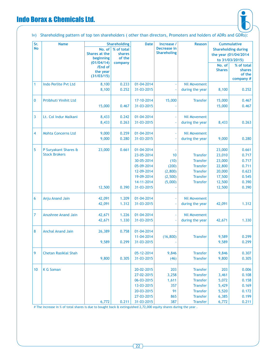

| iv) Shareholding pattern of top ten shareholders (other than directors, Promoters and holders of ADRs and GDRs): |  |  |
|------------------------------------------------------------------------------------------------------------------|--|--|

| Sr.       | <b>Name</b>                 |                     | <b>Shareholding</b> | <b>Date</b> | Increase /         | <b>Reason</b>       |               | <b>Cummulative</b>         |
|-----------|-----------------------------|---------------------|---------------------|-------------|--------------------|---------------------|---------------|----------------------------|
| <b>No</b> |                             | No. of              | % of total          |             | Decrease in        |                     |               | <b>Shareholding during</b> |
|           |                             | Shares at the       | <b>shares</b>       |             | <b>Shareholing</b> |                     |               | the year (01/04/2014       |
|           |                             | beginning           | of the              |             |                    |                     |               | to 31/03/2015)             |
|           |                             | (01/04/14)          | company             |             |                    |                     | No. of        | % of total                 |
|           |                             | /End of<br>the year |                     |             |                    |                     | <b>Shares</b> | <b>shares</b>              |
|           |                             | (31/03/15)          |                     |             |                    |                     |               | of the                     |
|           |                             |                     |                     |             |                    |                     |               | company #                  |
| 1         | Indo Perlite Pvt Ltd        | 8,100               | 0.233               | 01-04-2014  |                    | <b>Nil Movement</b> |               |                            |
|           |                             | 8,100               | 0.252               | 31-03-2015  |                    | during the year     | 8,100         | 0.252                      |
| 0         | Prtibhuti Vinihit Ltd       |                     |                     | 17-10-2014  | 15,000             | <b>Transfer</b>     | 15,000        | 0.467                      |
|           |                             | 15,000              | 0.467               | 31-03-2015  |                    |                     | 15,000        | 0.467                      |
| 3         | Lt. Col Indur Malkani       | 8,433               | 0.242               | 01-04-2014  |                    | <b>Nil Movement</b> |               |                            |
|           |                             | 8,433               | 0.263               | 31-03-2015  |                    | during the year     | 8,433         | 0.263                      |
| 4         | <b>Mohta Concerns Ltd</b>   | 9,000               | 0.259               | 01-04-2014  |                    | <b>Nil Movement</b> |               |                            |
|           |                             | 9,000               | 0.280               | 31-03-2015  |                    | during the year     | 9,000         | 0.280                      |
| 5         | P Suryakant Shares &        | 23,000              | 0.661               | 01-04-2014  |                    |                     | 23,000        | 0.661                      |
|           | <b>Stock Brokers</b>        |                     |                     | 23-05-2014  | 10                 | <b>Transfer</b>     | 23,010        | 0.717                      |
|           |                             |                     |                     | 30-05-2014  | (10)               | <b>Transfer</b>     | 23,000        | 0.717                      |
|           |                             |                     |                     | 05-09-2014  | (200)              | <b>Transfer</b>     | 22,800        | 0.711                      |
|           |                             |                     |                     | 12-09-2014  | (2,800)            | <b>Transfer</b>     | 20,000        | 0.623                      |
|           |                             |                     |                     | 19-09-2014  | (2,500)            | <b>Transfer</b>     | 17,500        | 0.545                      |
|           |                             |                     |                     | 14-11-2014  | (5,000)            | <b>Transfer</b>     | 12,500        | 0.390                      |
|           |                             | 12,500              | 0.390               | 31-03-2015  |                    |                     | 12,500        | 0.390                      |
| 6         | Anju Anand Jain             | 42,091              | 1.209               | 01-04-2014  |                    | <b>Nil Movement</b> |               |                            |
|           |                             | 42,091              | 1.312               | 31-03-2015  |                    | during the year     | 42,091        | 1.312                      |
|           |                             |                     |                     |             |                    |                     |               |                            |
| 7         | <b>Anushree Anand Jain</b>  | 42,671              | 1.226               | 01-04-2014  |                    | <b>Nil Movement</b> |               |                            |
|           |                             | 42,671              | 1.330               | 31-03-2015  |                    | during the year     | 42,671        | 1.330                      |
| 8         | <b>Anchal Anand Jain</b>    | 26,389              | 0.758               | 01-04-2014  |                    |                     |               |                            |
|           |                             |                     |                     | 11-04-2014  | (16, 800)          | <b>Transfer</b>     | 9,589         | 0.299                      |
|           |                             | 9,589               | 0.299               | 31-03-2015  |                    |                     | 9,589         | 0.299                      |
| 9         | <b>Chetan Rasiklal Shah</b> |                     |                     | 05-12-2014  | 9,846              | <b>Transfer</b>     | 9,846         | 0.307                      |
|           |                             | 9,800               | 0.305               | 31-03-2015  | (46)               | <b>Transfer</b>     | 9,800         | 0.305                      |
| 10        | <b>K G Soman</b>            |                     |                     | 20-02-2015  | 203                | <b>Transfer</b>     | 203           | 0.006                      |
|           |                             |                     |                     | 27-02-2015  | 3,258              | <b>Transfer</b>     | 3,461         | 0.108                      |
|           |                             |                     |                     | 06-03-2015  | 1,611              | <b>Transfer</b>     | 5,072         | 0.158                      |
|           |                             |                     |                     | 13-03-2015  | 357                | <b>Transfer</b>     | 5,429         | 0.169                      |
|           |                             |                     |                     | 20-03-2015  | 91                 | <b>Transfer</b>     | 5,520         | 0.172                      |
|           |                             |                     |                     | 27-03-2015  | 865                | <b>Transfer</b>     | 6,385         | 0.199                      |
|           |                             | 6,772               | 0.211               | 31-03-2015  | 387                | <b>Transfer</b>     | 6,772         | 0.211                      |

# The increase in % of total shares is due to bought back & extinguished 2,72,000 equity shares during the year .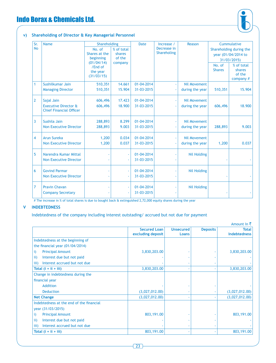#### **v) Shareholding of Director & Key Managerial Personnel**

| Sr.       | <b>Name</b>                     | Shareholding          |            | <b>Date</b> | Increase /  | Reason              |               | Cummulative             |
|-----------|---------------------------------|-----------------------|------------|-------------|-------------|---------------------|---------------|-------------------------|
| <b>No</b> |                                 | No. of                | % of total |             | Decrease in |                     |               | Shareholding during the |
|           |                                 | Shares at the         | shares     |             | Shareholing |                     |               | year (01/04/2014 to     |
|           |                                 | beginning             | of the     |             |             |                     |               | 31/03/2015)             |
|           |                                 | (01/04/14)<br>/End of | company    |             |             |                     | No. of        | % of total              |
|           |                                 | the year              |            |             |             |                     | <b>Shares</b> | shares                  |
|           |                                 | (31/03/15)            |            |             |             |                     |               | of the                  |
|           | Sushilkumar Jain                |                       | 14.661     | 01-04-2014  |             | <b>Nil Movement</b> |               | company #               |
| 1         |                                 | 510,351               |            |             |             |                     |               |                         |
|           | <b>Managing Director</b>        | 510,351               | 15.904     | 31-03-2015  |             | during the year     | 510,351       | 15.904                  |
| 2         | <b>Sajal Jain</b>               | 606,496               | 17.423     | 01-04-2014  |             | <b>Nil Movement</b> |               |                         |
|           | <b>Executive Director &amp;</b> | 606,496               | 18.900     | 31-03-2015  |             | during the year     | 606,496       | 18.900                  |
|           | <b>Chief Financial Officer</b>  |                       |            |             |             |                     |               |                         |
| 3         | Sushila Jain                    | 288,893               | 8.299      | 01-04-2014  |             | <b>Nil Movement</b> |               |                         |
|           | <b>Non Executive Director</b>   | 288,893               | 9.003      | 31-03-2015  |             | during the year     | 288,893       | 9.003                   |
|           |                                 |                       |            |             |             |                     |               |                         |
| 4         | <b>Arun Sureka</b>              | 1,200                 | 0.034      | 01-04-2014  |             | <b>Nil Movement</b> |               |                         |
|           | <b>Non Executive Director</b>   | 1,200                 | 0.037      | 31-03-2015  |             | during the year     | 1,200         | 0.037                   |
| 5         | Narendra Kumar Mittal           |                       |            | 01-04-2014  |             | <b>Nil Holding</b>  |               |                         |
|           | <b>Non Executive Director</b>   |                       |            | 31-03-2015  |             |                     |               |                         |
|           |                                 |                       |            |             |             |                     |               |                         |
| 6         | <b>Govind Parmar</b>            |                       |            | 01-04-2014  |             | <b>Nil Holding</b>  |               |                         |
|           | <b>Non Executive Director</b>   |                       |            | 31-03-2015  |             |                     |               |                         |
| 7         | <b>Pravin Chavan</b>            |                       |            | 01-04-2014  |             | <b>Nil Holding</b>  |               |                         |
|           | <b>Company Secretary</b>        |                       |            | 31-03-2015  |             |                     |               |                         |
|           |                                 |                       |            |             |             |                     |               |                         |

# The increase in % of total shares is due to bought back & extinguished 2,72,000 equity shares during the year

#### **V INDEBTEDNESS**

Indebtedness of the company including interest outstading/ accrued but not due for payment

|                                                |                                          |                           |                 | Amount In ₹                         |
|------------------------------------------------|------------------------------------------|---------------------------|-----------------|-------------------------------------|
|                                                | <b>Secured Loan</b><br>excluding deposit | <b>Unsecured</b><br>Loans | <b>Deposits</b> | <b>Total</b><br><b>Indebtedness</b> |
| Indebtedness at the beginning of               |                                          |                           |                 |                                     |
| the financial year $(01/04/2014)$              |                                          |                           |                 |                                     |
| <b>Principal Amount</b><br>$\mathbf{i}$        | 3,830,203.00                             |                           |                 | 3,830,203.00                        |
| $\mathbf{ii}$<br>Interest due but not paid     |                                          |                           |                 |                                     |
| Interest accrued but not due<br>$\mathbf{iii}$ |                                          |                           |                 |                                     |
| Total $(i + ii + iii)$                         | 3,830,203.00                             |                           |                 | 3,830,203.00                        |
| Change in indebtedness during the              |                                          |                           |                 |                                     |
| financial year                                 |                                          |                           |                 |                                     |
| Addition                                       |                                          |                           |                 |                                     |
| <b>Deduction</b>                               | (3,027,012.00)                           |                           |                 | (3,027,012.00)                      |
| <b>Net Change</b>                              | (3,027,012.00)                           |                           |                 | (3,027,012.00)                      |
| Indebtedness at the end of the financial       |                                          |                           |                 |                                     |
| year (31/03/2015)                              |                                          |                           |                 |                                     |
| <b>Principal Amount</b><br>$\mathbf{i}$        | 803,191.00                               |                           |                 | 803,191.00                          |
| Interest due but not paid<br>ii)               |                                          |                           |                 |                                     |
| Interest accrued but not due<br>iii)           |                                          |                           |                 |                                     |
| Total $(i + ii + iii)$                         | 803,191.00                               |                           |                 | 803,191.00                          |

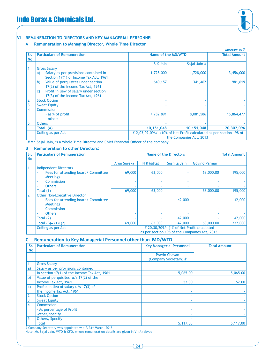

#### **VI REMUNERATION TO DIRECTORS AND KEY MANAGERIAL PERSONNEL**

#### **A Remuneration to Managing Director, Whole Time Director**

|                  |                                                                                      |            |                                                                                                | Amount in $\bar{\tau}$ |  |  |  |
|------------------|--------------------------------------------------------------------------------------|------------|------------------------------------------------------------------------------------------------|------------------------|--|--|--|
| Sr.<br><b>No</b> | <b>Particulars of Remuneration</b>                                                   |            | Name of the MD/WTD                                                                             |                        |  |  |  |
|                  |                                                                                      | S K Jain   | Sajal Jain #                                                                                   |                        |  |  |  |
|                  | <b>Gross Salary</b>                                                                  |            |                                                                                                |                        |  |  |  |
|                  | Salary as per provisions contained in<br>a)<br>Section 17(1) of Income Tax Act, 1961 | 1,728,000  | 1,728,000                                                                                      | 3,456,000              |  |  |  |
|                  | Value of perquisites under section<br>b)<br>17(2) of the Income Tax Act, 1961        | 640,157    | 341,462                                                                                        | 981,619                |  |  |  |
|                  | Profit in liew of salary under section<br>C)<br>17(3) of the Income Tax Act, 1961    |            |                                                                                                |                        |  |  |  |
| 2                | <b>Stock Option</b>                                                                  |            |                                                                                                |                        |  |  |  |
| 3                | <b>Sweat Equity</b>                                                                  |            |                                                                                                |                        |  |  |  |
| 4                | Commission                                                                           |            |                                                                                                |                        |  |  |  |
|                  | - as % of profit<br>- others                                                         | 7,782,891  | 8,081,586                                                                                      | 15,864,477             |  |  |  |
| 5                | <b>Others</b>                                                                        |            |                                                                                                |                        |  |  |  |
|                  | Total (A)                                                                            | 10,151,048 | 10,151,048                                                                                     | 20,302,096             |  |  |  |
|                  | Ceiling as per Act                                                                   |            | ₹ 2,03,02,096/- (10% of Net Profit calculated as per section 198 of<br>the Companies Act, 2013 |                        |  |  |  |

# Mr. Sajal Jain, is a Whole Time Director and Chief Financial Officer of the company

#### **B Remuneration to other Directors:**

| Sr.            | <b>Particulars of Remuneration</b>  | <b>Name of the Directors</b>                |                   |              |                                               | <b>Total Amount</b> |
|----------------|-------------------------------------|---------------------------------------------|-------------------|--------------|-----------------------------------------------|---------------------|
| <b>No</b>      |                                     |                                             |                   |              |                                               |                     |
|                |                                     | Arun Sureka                                 | <b>N K Mittal</b> | Sushila Jain | <b>Govind Parmar</b>                          |                     |
|                | <b>Indipendent Directors</b>        |                                             |                   |              |                                               |                     |
|                | Fees for attending board/ Committee | 69,000                                      | 63,000            |              | 63,000.00                                     | 195,000             |
|                | <b>Meetings</b>                     |                                             |                   |              |                                               |                     |
|                | Commission                          |                                             |                   |              |                                               |                     |
|                | <b>Others</b>                       |                                             |                   |              |                                               |                     |
|                | Total (1)                           | 69,000                                      | 63,000            |              | 63,000.00                                     | 195,000             |
| $\overline{2}$ | <b>Other Non-Executive Director</b> |                                             |                   |              |                                               |                     |
|                | Fees for attending board/ Committee |                                             |                   | 42,000       |                                               | 42,000              |
|                | <b>Meetings</b>                     |                                             |                   |              |                                               |                     |
|                | Commission                          |                                             |                   |              |                                               |                     |
|                | <b>Others</b>                       |                                             |                   |              |                                               |                     |
|                | Total $(2)$                         |                                             |                   | 42,000       |                                               | 42,000              |
|                | Total $(B)=(1)+(2)$                 | 69,000                                      | 63,000            | 42,000       | 63,000.00                                     | 237,000             |
|                | Ceiling as per Act                  | ₹ 20,30,209/ - (1% of Net Profit calculated |                   |              |                                               |                     |
|                |                                     |                                             |                   |              | as per section 198 of the Companies Act, 2013 |                     |

#### **C Remuneration to Key Managerial Personnel other than MD/WTD**

| Sr.          | <b>Particulars of Remuneration</b>           | <b>Key Managerial Personnel</b> | <b>Total Amount</b> |
|--------------|----------------------------------------------|---------------------------------|---------------------|
| No           |                                              |                                 |                     |
|              |                                              | <b>Pravin Chavan</b>            |                     |
|              |                                              | (Company Secretary) #           |                     |
|              | <b>Gross Salary</b>                          |                                 |                     |
| a)           | Salary as per provisions contained           |                                 |                     |
|              | in section 17(1) of the Income Tax Act, 1961 | 5,065.00                        | 5.065.00            |
| b)           | Value of perquisites u/s 17(2) of the        |                                 |                     |
|              | Income Tax Act, 1961                         | 52.00                           | 52.00               |
| $\mathsf{C}$ | Profits in lieu of salary u/s 17(3) of       |                                 |                     |
|              | the Income Tax Act, 1961                     |                                 |                     |
|              | <b>Stock Option</b>                          |                                 |                     |
|              | <b>Sweat Equity</b>                          |                                 |                     |
|              | Commission                                   |                                 |                     |
|              | - As percentage of Profit                    |                                 |                     |
|              | -other, specify                              |                                 |                     |
| 5            | Others, Specify                              |                                 |                     |
|              | <b>Total</b>                                 | 5.117.00                        | 5,117.00            |

# Company Secretary was appointed w.e.f. 31<sup>st</sup> March, 2015

Note: Mr. Sajal Jain, WTO & CFO, whose remuneration details are given in VI (A) abvoe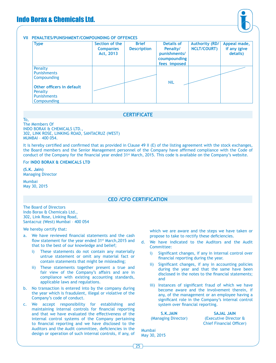

#### **VII PENALTIES/PUNISHMENT/COMPOUNDING OF OFFENCES**

| <b>Type</b>                                                                                                               | Section of the<br><b>Companies</b><br>Act, 2013 | <b>Brief</b><br><b>Description</b> | <b>Details of</b><br>Penalty/<br>punishments/<br>coumpounding<br>fees imposed | <b>Authority (RD/</b><br><b>NCLT/COURT)</b> | Appeal made,<br>if any (give<br>details) |
|---------------------------------------------------------------------------------------------------------------------------|-------------------------------------------------|------------------------------------|-------------------------------------------------------------------------------|---------------------------------------------|------------------------------------------|
| Penalty<br><b>Punishments</b><br>Compounding<br>Other officers in default<br>Penalty<br><b>Punishments</b><br>Compounding |                                                 |                                    | <b>NIL</b>                                                                    |                                             |                                          |

To,

#### **Certificate**

The Members Of INDO BORAX & CHEMICALS LTD., 302, LINK ROSE, LINKING ROAD, SANTACRUZ (WEST) MUMBAI – 400 054.

It is hereby certified and confirmed that as provided in Clause 49 II (E) of the listing agreement with the stock exchanges, the Board members and the Senior Management personnel of the Company have affirmed compliance with the Code of conduct of the Company for the financial year ended 31<sup>st</sup> March, 2015. This code is available on the Company's website.

#### For **INDO BORAX & CHEMICALS LTD**

**(S.K. Jain)** Managing Director

Mumbai May 30, 2015

#### **CEO /CFO CERTIFICATION**

The Board of Directors Indo Borax & Chemicals Ltd., 302, Link Rose, Linking Road, Santacruz (West) Mumbai – 400 054

We hereby certify that:

- a. We have reviewed financial statements and the cash flow statement for the year ended 31st March,2015 and that to the best of our knowledge and belief;
	- These statements do not contain any materially untrue statement or omit any material fact or contain statements that might be misleading;
	- ii) These statements together present a true and fair view of the Company's affairs and are in compliance with existing accounting standards, applicable laws and regulations.
- b. No transaction is entered into by the company during the year which is fraudulent, illegal or violative of the Company's code of conduct.
- c. We accept responsibility for establishing and maintaining internal controls for financial reporting and that we have evaluated the effectiveness of the internal control systems of the Company pertaining to financial reporting and we have disclosed to the Auditors and the Audit committee, deficiencies in the design or operation of such internal controls, if any, of

which we are aware and the steps we have taken or propose to take to rectify these deficiencies.

- d. We have indicated to the Auditors and the Audit Committee:
	- i) Significant changes, if any in internal control over financial reporting during the year.
	- ii) Significant changes, if any in accounting policies during the year and that the same have been disclosed in the notes to the financial statements; and
	- iii) Instances of significant fraud of which we have become aware and the involvement therein, if any, of the management or an employee having a significant role in the Company's internal control system over financial reporting.

**S.K.JAIN** (Managing Director)

**SAJAL JAIN** (Executive Director & Chief Financial Officer)

Mumbai May 30, 2015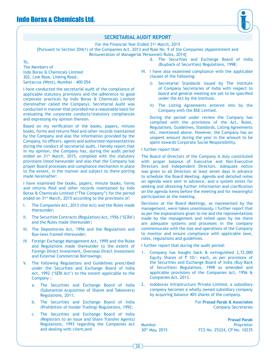

#### **Secretarial Audit Report**

For the Financial Year Ended 31<sup>st</sup> March, 2015

[Pursuant to Section 204(1) of the Companies Act, 2013 and Rule No. 9 of the Companies (Appointment and Remuneration of Managerial Personnel) Rules, 2014]

To,

The Members of Indo Borax & Chemicals Limited 302, Link Rose, Linking Road, Santacruz (West), Mumbai – 400 054

I have conducted the secretarial audit of the compliance of applicable statutory provisions and the adherence to good corporate practices by Indo Borax & Chemicals Limited (hereinafter called the Company). Secretarial Audit was conducted in manner that provided me a reasonable basis for evaluating the corporate conducts/statutory compliances and expressing my opinion thereon.

Based on my verification of the books, papers, minute books, forms and returns filed and other records maintained by the Company and also the information provided by the Company, its officers, agents and authorized representatives during the conduct of secretarial audit, I hereby report that in my opinion, the Company has, during the audit period ended on 31<sup>st</sup> March, 2015, complied with the statutory provisions listed hereunder and also that the Company has proper Board processes and compliance mechanism in place to the extent, in the manner and subject to there porting made hereinafter:

I have examined the books, papers, minute books, forms and returns filed and other records maintained by Indo Borax & Chemicals Limited ("The Company") for the period ended on 31<sup>st</sup> March, 2015 according to the provisions of:

- I. The Companies Act, 2013 (the Act) and the Rules made thereunder;
- II. The Securities Contracts (Regulation) Act, 1956 ('SCRA') and the Rules made thereunder;
- III. The Depositories Act, 1996 and the Regulations and Bye-laws framed thereunder;
- IV. Foreign Exchange Management Act, 1999 and the Rules and Regulations made thereunder to the extent of Foreign Direct Investment, Overseas Direct Investment and External Commercial Borrowings;
- V. The following Regulations and Guidelines prescribed under the Securities and Exchange Board of India Act, 1992 ('SEBI Act') to the extent applicable to the Company :
	- a. The Securities and Exchange Board of India (Substantial Acquisition of Shares and Takeovers) Regulations, 2011;
	- b. The Securities and Exchange Board of India (Prohibition of Insider Trading) Regulations, 1992;
	- c. The Securities and Exchange Board of India (Registrars to an Issue and Share Transfer Agents) Regulations, 1993 regarding the Companies Act and dealing with client;and
- d. The Securities and Exchange Board of India (Buyback of Securities) Regulations, 1998;
- VI. I have also examined compliance with the applicable clauses of the following:
	- i) Secretarial Standards issued by The Institute of Company Secretaries of India with respect to board and general meeting are yet to be specified under the Act by the Institute.
	- ii) The Listing Agreements entered into by the Company with the BSE Limited.

During the period under review the Company has complied with the provisions of the Act, Rules, Regulations, Guidelines, Standards, Listing Agreements etc. mentioned above. However, the Company has an unspent amount during the year in the amount to be spent towards Corporate Social Responsibility.

#### I further report that:

The Board of Directors of the Company is duly constituted with proper balance of Executive and Non-Executive Directors and Independent Directors. Adequate notice was given to all Directors at least seven days in advance to schedule the Board Meeting. Agenda and detailed notes on agenda were sent in advance, and a system exists for seeking and obtaining further information and clarification on the agenda items before the meeting and for meaningful participation at the meeting.

Decisions at the Board Meetings, as represented by the management, were taken unanimously. I further report that as per the explanations given to me and the representations made by the management and relied upon by me there are adequate systems and processes in the company commensurate with the size and operations of the Company to monitor and ensure compliance with applicable laws, rules, regulations and guidelines.

I further report that during the audit period:

- 1. Company has bought back & extinguished 2,72,000 Equity Shares of  $\bar{z}$  10/- each, as per provisions of the Securities and Exchange Board of India (Buy-Back of Securities) Regulations, 1998 as amended and applicable provisions of the Companies Act, 1956 & Companies Act, 2013.
- 2. Indoborax Infrastructure Private Limited, a subsidiary company becomes a wholly owned subsidiary company by acquiring balance 40% shares of the company.

For **Prasad Parab & Associates** Company Secretaries

**Prasad Parab** Mumbai Proprietor 30th May, 2015 FCS No. 25324, CP No. 10235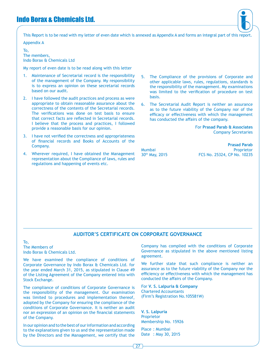

This Report is to be read with my letter of even date which is annexed as Appendix A and forms an integral part of this report.

Appendix A

To,

The members, Indo Borax & Chemicals Ltd

My report of even date is to be read along with this letter

- 1. Maintenance of Secretarial record is the responsibility of the management of the Company. My responsibility is to express an opinion on these secretarial records based on our audit.
- 2. I have followed the audit practices and process as were appropriate to obtain reasonable assurance about the correctness of the contents of the Secretarial records. The verifications was done on test basis to ensure that correct facts are reflected in Secretarial records. I believe that the process and practices, I followed provide a reasonable basis for our opinion.
- 3. I have not verified the correctness and appropriateness of financial records and Books of Accounts of the Company.
- 4. Wherever required, I have obtained the Management representation about the Compliance of laws, rules and regulations and happening of events etc.
- 5. The Compliance of the provisions of Corporate and other applicable laws, rules, regulations, standards is the responsibility of the management. My examinations was limited to the verification of procedure on test basis.
- 6. The Secretarial Audit Report is neither an assurance as to the future viability of the Company nor of the efficacy or effectiveness with which the management has conducted the affairs of the company.

For **Prasad Parab & Associates** Company Secretaries

**Prasad Parab** Mumbai Proprietor 30th May, 2015 FCS No. 25324, CP No. 10235

#### **AUDITOR'S CERTIFICATE ON CORPORATE GOVERNANCE**

To, The Members of Indo Borax & Chemicals Ltd.

We have examined the compliance of conditions of Corporate Governance by Indo Borax & Chemicals Ltd. for the year ended March 31, 2015, as stipulated in Clause 49 of the Listing Agreement of the Company entered into with Stock Exchange.

The compliance of conditions of Corporate Governance is the responsibility of the management. Our examination was limited to procedures and implementation thereof, adopted by the Company for ensuring the compliance of the conditions of Corporate Governance. It is neither an audit nor an expression of an opinion on the financial statements of the Company.

In our opinion and to the best of our information and according to the explanations given to us and the representation made by the Directors and the Management, we certify that the

Company has complied with the conditions of Corporate Governance as stipulated in the above mentioned listing agreement.

We further state that such compliance is neither an assurance as to the future viability of the Company nor the efficiency or effectiveness with which the management has conducted the affairs of the Company.

For **V. S. Lalpuria & Company** Chartered Accountants (Firm's Registration No.105581W)

**V. S. Lalpuria** Proprietor Membership No. 15926

Place : Mumbai Date : May 30, 2015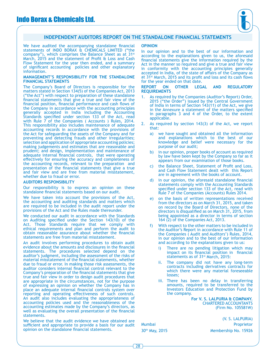

#### **Independent Auditors REPORT ON THE STANDALONE FINANCIAL STATEMENTS**

We have audited the accompanying standalone financial statements of INDO BORAX & CHEMICALS LIMITED ("the company"), which comprises the Balance Sheet as at 31<sup>st</sup> March, 2015 and the statement of Profit & Loss and Cash Flow Statement for the year then ended, and a summary of significant accounting policies and other explanatory information.

#### **MANAGEMENT'S RESPONSIBILITY FOR THE STANDALONE FINANCIAL STATEMENTS**

The Company's Board of Directors is responsible for the matters stated in Section 134(5) of the Companies Act, 2013 ("the Act") with respect to preparation of these standalone financial statements that give a true and fair view of the financial position, financial performance and cash flows of the Company in accordance with the accounting principles generally accepted in India including the Accounting Standards specified under section 133 of the Act, read with Rule 7 of the Companies (Accounts ) Rules, 2014. This responsibility also includes maintenance of adequate accounting records in accordance with the provisions of the Act for safeguarding the assets of the Company and for preventing and detecting frauds and other irregularities; selection and application of appropriate accounting policies; making judgements and estimates that are reasonable and prudent; and design, implementation and maintenance of adequate internal financial controls, that were operating effectively for ensuring the accuracy and completeness of the accounting records, relevant to the preparation and presentation of the financial statements that give a true and fair view and are free from material misstatement, whether due to fraud or error.

#### **AUDITORS RESPONSIBILITY**

Our responsibility is to express an opinion on these standalone financial statements based on our audit.

We have taken into account the provisions of the Act, the accounting and auditing standards and matters which are required to be included in the audit report under the provisions of the Act and the Rules made thereunder.

We conducted our audit in accordance with the Standards on Auditing specified under the Section 143(10) of the Act. Those Standards require that we comply with ethical requirements and plan and perform the audit to obtain reasonable assurance about whether the financial statements are free from material misstatement.

An audit involves performing procedures to obtain audit evidence about the amounts and disclosures in the financial statements. The procedures selected depend on the auditor's judgment, including the assessment of the risks of material misstatement of the financial statements, whether due to fraud or error. In making those risk assessments, the auditor considers internal financial control relevant to the Company's preparation of the financial statements that give true and fair view in order to design audit procedures that are appropriate in the circumstances, not for the purpose of expressing an opinion on whether the Company has in place an adequate internal financial controls system over reporting and operating effectiveness of such controls. An audit also includes evaluating the appropriateness of accounting policies used and the reasonableness of the accounting estimates made by the Company's directors, as well as evaluating the overall presentation of the financial statements.

We believe that the audit evidence we have obtained are sufficient and appropriate to provide a basis for our audit opinion on the standalone financial statements.

#### **OPINION**

In our opinion and to the best of our information and according to the explanations given to us, the aforesaid financial statements give the information required by the Act in the manner so required and give a true and fair view in conformity with the accounting principles generally accepted in India, of the state of affairs of the Company as at 31<sup>st</sup> March, 2015 and its profit and loss and its cash flows for the year ended on that date.

#### **REPORT ON OTHER LEGAL AND REGULATORY REQUIREMENTS**

- 1. As required by the Companies (Auditor's Report) Order, 2015 ("the Order") issued by the Central Government of India in terms of Section 143(11) of the Act, we give in the Annexure a statement of the matters specified in paragraphs 3 and 4 of the Order, to the extent applicable.
- 2. As required by section 143(3) of the Act, we report that:
	- a) we have sought and obtained all the information and explanations which to the best of our knowledge and belief were necessary for the purpose of our audit;
	- b) in our opinion, proper books of account as required by law have been kept by the Company so far as it appears from our examination of those books.
	- c) the Balance Sheet, Statement of Profit and Loss, and Cash Flow Statement dealt with this Report are in agreement with the books of account.
	- d) in our opinion, the aforesaid standalone financial statements comply with the Accounting Standards specified under section 133 of the Act, read with Rule 7 of the Companies (Accounts) Rules 2014.
	- e) on the basis of written representations received from the directors as on March 31, 2015, and taken on record by the Board of Directors, none of the directors is disqualified as on March 31, 2015, from being appointed as a director in terms of section 164 (2) of the Companies Act, 2013.
	- f) With respect to the other matters to be included in the Auditor's Report in accordance with Rule 11 of the Companies ( Audit and Auditors') Rules, 2014, in our opinion and to the best of our information and according to the explanations given to us:
		- i) There are no pending litigation which may impact on its financial position in financial statements as of 31<sup>st</sup> March, 2015:
		- The company did not have any long-term contracts including derivatives contracts for which there were any material foreseeable losses;
		- iii. There has been no delay in transferring amounts, required to be transferred to the Investors Education and Protection Fund by the company.

**For V. S. LALPURIA & COMPANY.** CHARTERED ACCOUNTANTS (Firm No. 105581W)

 (V. S. LALPURIA) Mumbai Proprietor 30<sup>th</sup> May, 2015 Membership No. 15926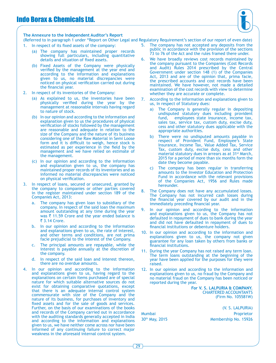

#### **The Annexure to the Independent Auditor's Report**

(Referred to in paragraph 1 under "Report on Other Legal and Regulatory Requirement's section of our report of even date)

- In respect of its fixed assets of the company:
	- (a) The company has maintained proper records showing full particulars, including quantitative details and situation of fixed assets.
	- (b) Fixed Assets of the Company were physically verified by the management at the year end and according to the information and explanations given to us, no material discrepancies were noticed on physical verification carried out during the financial year.
- 2. In respect of its inventories of the Company:
	- (a) As explained to us, the inventories have been physically verified during the year by the management at reasonable intervals having regard to nature of stock.
	- (b) In our opinion and according to the information and explanation given to us the procedures of physical verification of stocks followed by the management are reasonable and adequate in relation to the size of the Company and the nature of its business considering one of the Raw Material in Semi Loose form and it is difficult to weigh, hence stock is estimated as per experience in the field by the management and we have relied on estimate of the management.
	- (c) In our opinion and according to the information and explanation given to us, the company has maintained proper records of its inventories and as informed no material discrepancies were noticed on physical verification.
- 3. In respect of loans, secured or unsecured, granted by the company to companies or other parties covered in the register maintained under section 189 of the Companies Act, 2013:
	- The company has given loan to subsidiary of the company. In respect of the said loan the maximum amount outstanding at any time during the year was  $\bar{\tau}$  11.59 Crore and the year ended balance is ₹ 3.14 Crore.
	- b. In our opinion and according to the information and explanations given to us, the rate of interest, and other terms and conditions, are not prima facie prejudicial to the interest of the Company.
	- The principal amounts are repayable, while the interest is payable annually at the discretion of the company.
	- d. In respect of the said loan and interest thereon, there are no overdue amounts.
- 4. In our opinion and according to the information and explanations given to us, having regard to the explanations on certain items purchased are of special nature for which suitable alternative sources do not exist for obtaining comparative quotations, except that there is an adequate internal control system commensurate with size of the Company and the nature of its business, for purchases of inventory and fixed assets and for the sale of goods and services. Further, on the basis of our examinations of the books and records of the Company carried out in accordance with the auditing standards generally accepted in India and according to the information and explanations given to us, we have neither come across nor have been informed of any continuing failure to correct major weakness in the aforesaid internal control system.
- 5. The company has not accepted any deposits from the public in accordance with the provision of the sections 73 to 76 of the Act and the rules framed there under.
- 6. We have broadly reviews cost records maintained by the company pursuant to the Companies (Cost Records and Audit) Rules 2014 prescribed by the Central Government under section 148 (1) of the Companies Act, 2013 and are of the opinion that, prima facie, the prescribed accounts and cost records have been maintained. We have however, not made a detailed examination of the cost records with view to determine whether they are accurate or complete.
- 7. According to the information and explanations given to us, In respect of Statutory dues:
	- a) The Company is generally regular in depositing undisputed statutory dues including provident<br>fund. employees state insurance, income tax, employees state insurance, income tax, sales tax, service tax, custom duty, excise duty, cess and other statutory dues applicable with the appropriate authorities.
	- b) There were no undisputed amounts payable in respect of Provident Fund, Employee's State Insurance, Income Tax, Value Added Tax, Service Tax, custom duty, excise duty, cess and other material statutory dues in arrears as at 31st March, 2015 for a period of more than six months form the date they become payable.
	- c) The company has been regular in transferring amounts to the Investor Education and Protection Fund in accordance with the relevant provisions of the Companies Act, 1956 and Rules made hereunder.
- 8. The Company does not have any accumulated losses. The Company has not incurred cash losses during the financial year covered by our audit and in the immediately preceding financial year.
- 9. In our opinion and according to the information and explanations given to us, the Company has not defaulted in repayment of dues to bank during the year and did not have defaulted in repayment of dues to financial institutions or debenture holders.
- 10. In our opinion and according to the information and explanations given to us, the company not given guarantee for any loan taken by others from banks or financial institutions.
- 11. During the year Company has not raised any term loan. The term loans outstanding at the beginning of the year have been applied for the purposes for they were raised.
- 12. In our opinion and according to the information and explanations given to us, no fraud by the Company and no material fraud on the Company has been noticed or reported during the year.

**For V. S. LALPURIA & COMPANY.** CHARTERED ACCOUNTANTS (Firm No. 105581W)

 (V. S. LALPURIA) Mumbai Proprietor 30<sup>th</sup> May, 2015 Membership No. 15926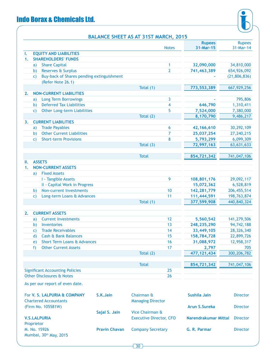

#### **BALANCE SHEET AS AT 31ST MARCH, 2015**

|    |                                                           |                                | <b>Rupees</b>               | <b>Rupees</b>   |
|----|-----------------------------------------------------------|--------------------------------|-----------------------------|-----------------|
|    |                                                           | <b>Notes</b>                   | 31-Mar-15                   | 31-Mar-14       |
| Ι. | <b>EQUITY AND LIABILITIES</b>                             |                                |                             |                 |
| 1. | <b>SHAREHOLDERS' FUNDS</b>                                |                                |                             |                 |
|    | <b>Share Capital</b><br>a)                                | 1                              | 32,090,000                  | 34,810,000      |
|    | Reserves & Surplus<br>b)                                  | $\overline{2}$                 | 741,463,389                 | 654,926,092     |
|    | Buy-back of Shares pending extinguishment<br>$\mathsf{C}$ |                                |                             | (21, 806, 836)  |
|    | (Refer Note 26.1)                                         | Total (1)                      | 773,553,389                 | 667,929,256     |
| 2. | <b>NON-CURRENT LIABILITIES</b>                            |                                |                             |                 |
|    | <b>Long Term Borrowings</b><br>a)                         | 3                              |                             | 795,806         |
|    | <b>Deferred Tax Liabilities</b><br>b)                     | 4                              | 646,790                     | 1,310,411       |
|    | <b>Other Long-term Liabilities</b><br>$\mathsf{C}$        | 5                              | 7,524,000                   | 7,380,000       |
|    |                                                           | Total $(2)$                    | 8,170,790                   | 9,486,217       |
| 3. | <b>CURRENT LIABILITIES</b>                                |                                |                             |                 |
|    | <b>Trade Payables</b><br>a)                               | 6                              | 42,166,610                  | 30,292,109      |
|    | <b>Other Current Liabilities</b><br>b)                    | 7                              | 25,037,254                  | 27,240,215      |
|    | <b>Short-term Provisions</b><br>$\mathsf{C}$              | 8                              | 5,793,299                   | 6,099,309       |
|    |                                                           | Total $(3)$                    | 72,997,163                  | 63,631,633      |
|    |                                                           |                                |                             |                 |
|    |                                                           | <b>Total</b>                   | 854,721,342                 | 741,047,106     |
| Ш. | <b>ASSETS</b>                                             |                                |                             |                 |
| 1. | <b>NON-CURRENT ASSETS</b>                                 |                                |                             |                 |
|    | <b>Fixed Assets</b><br>a)                                 |                                |                             |                 |
|    | I - Tangible Assets                                       | 9                              | 108,801,176                 | 29,092,117      |
|    | II - Capital Work in Progress                             |                                | 15,072,362                  | 6,528,819       |
|    | Non-current Investments<br>b)                             | 10                             | 142,281,779                 | 206, 455, 514   |
|    | Long-term Loans & Advances<br>$\mathsf{C}$                | 11                             | 111,444,591                 | 198,763,874     |
|    |                                                           | Total (1)                      | 377,599,908                 | 440,840,324     |
|    |                                                           |                                |                             |                 |
| 2. | <b>CURRENT ASSETS</b>                                     |                                |                             |                 |
|    | <b>Current Investments</b><br>a)                          | 12                             | 5,560,542                   | 141,279,506     |
|    | Inventories<br>b)                                         | 13                             | 248,235,290                 | 94,742,188      |
|    | <b>Trade Receivables</b><br>$\mathsf{C}$                  | 14                             | 33,449,105                  | 28,326,340      |
|    | <b>Cash &amp; Bank Balances</b><br>$\mathbf{d}$           | 15                             | 158,784,728                 | 22,899,726      |
|    | Short Term Loans & Advances<br>e)                         | 16                             | 31,088,972                  | 12,958,317      |
|    | f<br><b>Other Current Assets</b>                          | 17                             | 2,797                       | 705             |
|    |                                                           | Total $(2)$                    | 477, 121, 434               | 300, 206, 782   |
|    |                                                           |                                |                             |                 |
|    |                                                           | <b>Total</b>                   | 854,721,342                 | 741,047,106     |
|    | <b>Significant Accounting Policies</b>                    | 25                             |                             |                 |
|    | <b>Other Disclosures &amp; Notes</b>                      | 26                             |                             |                 |
|    | As per our report of even date.                           |                                |                             |                 |
|    | For V. S. LALPURIA & COMPANY<br>S.K.Jain                  | Chairman &                     | Sushila Jain                | <b>Director</b> |
|    | <b>Chartered Accountants</b>                              | <b>Managing Director</b>       |                             |                 |
|    | (Firm No. 105581W)                                        |                                | <b>Arun S.Sureka</b>        | <b>Director</b> |
|    | Sajal S. Jain                                             | Vice Chairman &                |                             |                 |
|    | <b>V.S.LALPURIA</b>                                       | <b>Executive Director, CFO</b> | <b>Narendrakumar Mittal</b> | <b>Director</b> |
|    | Proprietor                                                |                                |                             |                 |
|    | M. No. 15926<br><b>Pravin Chavan</b>                      | <b>Company Secretary</b>       | G. R. Parmar                | <b>Director</b> |
|    | Mumbai, 30 <sup>th</sup> May, 2015                        |                                |                             |                 |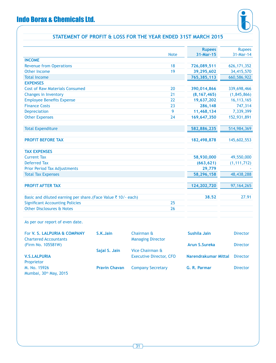

### **STATEMENT OF PROFIT & LOSS FOR THE YEAR ENDED 31ST MARCH 2015**

|                                                               |             | <b>Rupees</b> | <b>Rupees</b> |
|---------------------------------------------------------------|-------------|---------------|---------------|
|                                                               | <b>Note</b> | 31-Mar-15     | 31-Mar-14     |
| <b>INCOME</b>                                                 |             |               |               |
| <b>Revenue from Operations</b>                                | 18          | 726,089,511   | 626, 171, 352 |
| Other Income                                                  | 19          | 39,295,602    | 34,415,570    |
| <b>Total Income</b>                                           |             | 765,385,113   | 660,586,922   |
| <b>EXPENSES</b>                                               |             |               |               |
| <b>Cost of Raw Materials Consumed</b>                         | 20          | 390,014,866   | 339,698,466   |
| <b>Changes in Inventory</b>                                   | 21          | (8, 167, 465) | (1, 845, 866) |
| <b>Employee Benefits Expense</b>                              | 22          | 19,637,202    | 16, 113, 165  |
| <b>Finance Costs</b>                                          | 23          | 286,148       | 747,314       |
| <b>Depreciation</b>                                           | 9           | 11,468,134    | 7,339,399     |
| <b>Other Expenses</b>                                         | 24          | 169,647,350   | 152,931,891   |
| <b>Total Expenditure</b>                                      |             | 582,886,235   | 514,984,369   |
| <b>PROFIT BEFORE TAX</b>                                      |             | 182,498,878   | 145,602,553   |
| <b>TAX EXPENSES</b>                                           |             |               |               |
| <b>Current Tax</b>                                            |             | 58,930,000    | 49,550,000    |
| <b>Deferred Tax</b>                                           |             | (663, 621)    | (1, 111, 712) |
| <b>Prior Period Tax Adjustments</b>                           |             | 29,779        |               |
| <b>Total Tax Expenses</b>                                     |             | 58,296,158    | 48,438,288    |
| <b>PROFIT AFTER TAX</b>                                       |             | 124, 202, 720 | 97, 164, 265  |
| Basic and diluted earning per share. (Face Value ₹ 10/- each) |             | 38.52         | 27.91         |
| <b>Significant Accounting Policies</b>                        | 25          |               |               |
| <b>Other Disclosures &amp; Notes</b>                          | 26          |               |               |
| As per our report of even date.                               |             |               |               |

| For V. S. LALPURIA & COMPANY | S.K.Jain             | Chairman &                     | Sushila Jain         | <b>Director</b> |
|------------------------------|----------------------|--------------------------------|----------------------|-----------------|
| <b>Chartered Accountants</b> |                      | <b>Managing Director</b>       |                      |                 |
| (Firm No. 105581W)           |                      |                                | Arun S.Sureka        | <b>Director</b> |
|                              | Sajal S. Jain        | Vice Chairman &                |                      |                 |
| <b>V.S.LALPURIA</b>          |                      | <b>Executive Director, CFO</b> | Narendrakumar Mittal | <b>Director</b> |
| Proprietor                   |                      |                                |                      |                 |
| M. No. 15926                 | <b>Pravin Chavan</b> | <b>Company Secretary</b>       | G. R. Parmar         | <b>Director</b> |

Mumbai, 30<sup>th</sup> May, 2015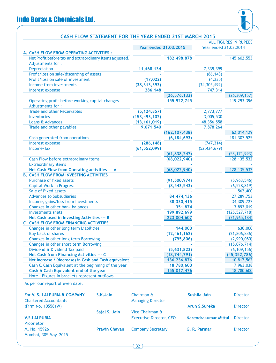

### **CASH FLOW STATEMENT FOR THE YEAR ENDED 31ST MARCH 2015**

|                                                         |                 |                              |                       | <b>ALL FIGURES IN RUPEES</b> |
|---------------------------------------------------------|-----------------|------------------------------|-----------------------|------------------------------|
|                                                         |                 | <b>Year ended 31.03.2015</b> | Year ended 31.03.2014 |                              |
| A. CASH FLOW FROM OPERATING ACTIVITIES :                |                 |                              |                       |                              |
| Net Profit before tax and extraordinary items adjusted. |                 | 182,498,878                  |                       | 145,602,553                  |
| Adjustments for:                                        |                 |                              |                       |                              |
| <b>Depreciation</b>                                     | 11,468,134      |                              | 7,339,399             |                              |
| Profit/loss on sale/discarding of assets                |                 |                              | (86, 143)             |                              |
| Profit/loss on sale of investment                       | (17, 022)       |                              | (4, 235)              |                              |
| Income from investments                                 | (38, 313, 393)  |                              | (34, 305, 492)        |                              |
| Interest expense                                        | 286,148         |                              | 747,314               |                              |
|                                                         |                 | (26, 576, 133)               |                       | (26, 309, 157)               |
| Operating profit before working capital changes         |                 | 155,922,745                  |                       | 119,293,396                  |
| Adjustments for:                                        |                 |                              |                       |                              |
| <b>Trade and other Receivables</b>                      | (5, 124, 857)   |                              | 2,773,777             |                              |
| <b>Inventories</b>                                      | (153, 493, 102) |                              | 3,005,530             |                              |
| Loans & Advances                                        | (13, 161, 019)  |                              | 48,356,558            |                              |
| Trade and other payables                                | 9,671,540       |                              | 7,878,264             |                              |
|                                                         |                 | (162, 107, 438)              |                       | 62,014,129                   |
| Cash generated from operations                          |                 | (6, 184, 693)                |                       | 181, 307, 525                |
| Interest expense                                        | (286, 148)      |                              | (747, 314)            |                              |
| Income-Tax                                              | (61, 552, 099)  |                              | (52, 424, 679)        |                              |
|                                                         |                 | (61, 838, 247)               |                       | (53, 171, 993)               |
| Cash Flow before extraordinary items                    |                 | (68, 022, 940)               |                       | 128, 135, 532                |
| <b>Extraordinary items</b>                              |                 |                              |                       |                              |
| Net Cash Flow from Operating activities --- A           |                 | (68, 022, 940)               |                       | 128, 135, 532                |
| <b>B. CASH FLOW FROM INVESTING ACTIVITIES</b>           |                 |                              |                       |                              |
| Purchase of fixed assets                                |                 | (91, 500, 974)               |                       | (5,963,546)                  |
| <b>Capital Work in Progress</b>                         |                 | (8, 543, 543)                |                       | (6,528,819)                  |
| Sale of Fixed assets                                    |                 |                              |                       | 562,400                      |
| <b>Advances to Subsudiaries</b>                         |                 | 84,474,136                   |                       | 27,289,753                   |
| Income, gains/loss from Investments                     |                 | 38,330,415                   |                       | 34, 309, 727                 |
| Changes in other bank balances                          |                 | 351,874                      |                       | 3,893,019                    |
| Investments (net)                                       |                 | 199,892,699                  |                       | (125, 527, 718)              |
| Net Cash used in Investing Activities --- B             |                 | 223,004,607                  |                       | (71, 965, 184)               |
| <b>C CASH FLOW FROM FINANCING ACTIVITIES</b>            |                 |                              |                       |                              |
| Changes in other long term Liabilities                  |                 | 144,000                      |                       | 630,000                      |
| Buy back of shares                                      |                 | (12, 461, 162)               |                       | (21, 806, 836)               |
| Changes in other long term Borrowing                    |                 | (795, 806)                   |                       | (2,990,080)                  |
| Changes in other short term Borrowing                   |                 |                              |                       | (15,076,714)                 |
| Dividend & Dividend Tax paid                            |                 | (5,631,823)                  |                       | (6, 109, 156)                |
| Net Cash from Financing Activities --- C                |                 | (18, 744, 791)               |                       | (45, 352, 786)               |
| Net Increase / (decrease) in Cash and Cash equivalent   |                 | 136,236,876                  |                       | 10,817,562                   |
| Cash & Cash Equivalent at the beginning of the year     |                 | 18,780,600                   |                       | 7,963,038                    |
| Cash & Cash Equivalent end of the year                  |                 | 155,017,476                  |                       | 18,780,600                   |
| Note: Figures in brackets represent outflows            |                 |                              |                       |                              |

As per our report of even date.

| For V. S. LALPURIA & COMPANY                       | S.K.Jain             | Chairman &                     | Sushila Jain         | <b>Director</b> |
|----------------------------------------------------|----------------------|--------------------------------|----------------------|-----------------|
| <b>Chartered Accountants</b><br>(Firm No. 105581W) |                      | <b>Managing Director</b>       | Arun S.Sureka        | <b>Director</b> |
|                                                    | Sajal S. Jain        | Vice Chairman &                |                      |                 |
| <b>V.S.LALPURIA</b>                                |                      | <b>Executive Director, CFO</b> | Narendrakumar Mittal | Director        |
| Proprietor                                         |                      |                                |                      |                 |
| M. No. 15926                                       | <b>Pravin Chavan</b> | <b>Company Secretary</b>       | G. R. Parmar         | <b>Director</b> |
| Mumbai, 30 <sup>th</sup> May, 2015                 |                      |                                |                      |                 |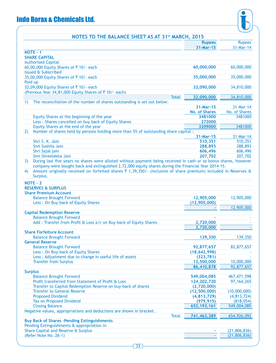

|    | NOTES TO THE BALANCE SHEET AS AT 31 <sup>st</sup> MARCH, 2015                                                              |                      |                |
|----|----------------------------------------------------------------------------------------------------------------------------|----------------------|----------------|
|    |                                                                                                                            | <b>Rupees</b>        | <b>Rupees</b>  |
|    |                                                                                                                            | 31-Mar-15            | 31-Mar-14      |
|    | <b>NOTE - 1</b>                                                                                                            |                      |                |
|    | <b>SHARE CAPITAL</b>                                                                                                       |                      |                |
|    | <b>Authorised Capital</b><br>60,00,000 Equity Shares of ₹ 10/- each                                                        | 60,000,000           | 60,000,000     |
|    | <b>Issued &amp; Subscribed</b>                                                                                             |                      |                |
|    | 35,00,000 Equity Shares of ₹ 10/- each                                                                                     | 35,000,000           | 35,000,000     |
|    | Paid up                                                                                                                    |                      |                |
|    | 32,09,000 Equity Shares of ₹ 10/- each                                                                                     | 32,090,000           | 34,810,000     |
|    | (Previous Year 34,81,000 Equity Shares of ₹10/- each)                                                                      |                      |                |
|    | <b>Total</b>                                                                                                               | 32,090,000           | 34,810,000     |
| 1) | The reconciliation of the number of shares outstanding is set out below:                                                   |                      |                |
|    |                                                                                                                            | 31-Mar-15            | 31-Mar-14      |
|    |                                                                                                                            | <b>No. of Shares</b> | No. of Shares  |
|    | Equity Shares at the beginning of the year                                                                                 | 3481000              | 3481000        |
|    | Less: Shares cancelled on buy back of Equity Shares                                                                        | 272000               |                |
|    | Equity Shares at the end of the year                                                                                       | 3209000              | 3481000        |
| 2) | Number of shares held by persons holding more than 5% of outstanding share capital :                                       |                      |                |
|    |                                                                                                                            | 31-Mar-15            | 31-Mar-14      |
|    | Shri S. K. Jain                                                                                                            | 510,351              | 510,351        |
|    | Smt Sushila Jain                                                                                                           | 288,893              | 288,893        |
|    | Shri Sajal jain                                                                                                            | 606,496              | 606,496        |
|    | Smt Shreelekha Jain                                                                                                        | 207,702              | 207,702        |
| 3) | During last five years no shares were alloted without payment being received in cash or as bonus shares, however           |                      |                |
|    | company were bought back and extinguished 2,72,000 equity shares during the Financial Year 2014-15.                        |                      |                |
| 4) | Amount originally received on forfeited shares $\bar{\tau}$ 1,39,350/- (inclusive of share premium) included in Reserves & |                      |                |
|    | Surplus.                                                                                                                   |                      |                |
|    |                                                                                                                            |                      |                |
|    | NOTE - 2                                                                                                                   |                      |                |
|    | <b>RESERVES &amp; SURPLUS</b>                                                                                              |                      |                |
|    | <b>Share Premium Account</b>                                                                                               |                      |                |
|    | <b>Balance Brought Forward</b>                                                                                             | 12,905,000           | 12,905,000     |
|    | Less: On Buy-back of Equity Shares                                                                                         | (12,905,000)         |                |
|    |                                                                                                                            |                      | 12,905,000     |
|    | <b>Capital Redemption Reserve</b>                                                                                          |                      |                |
|    | <b>Balance Brought Forward</b>                                                                                             |                      |                |
|    | Add : Transfer from Profit & Loss a/c on Buy-back of Equity Shares                                                         | 2,720,000            |                |
|    |                                                                                                                            | 2,720,000            |                |
|    | <b>Share Forfeiture Account</b>                                                                                            |                      |                |
|    | <b>Balance Brought Forward</b>                                                                                             | 139,350              | 139,350        |
|    | <b>General Reserve</b>                                                                                                     |                      |                |
|    | <b>Balance Brought Forward</b>                                                                                             | 92,877,657           | 82,877,657     |
|    | Less: On Buy-back of Equity Shares                                                                                         | (18, 642, 998)       |                |
|    | Less : Adjustment due to change in useful life of assets                                                                   | (323, 781)           |                |
|    | <b>Transfer from Surplus</b>                                                                                               | 12,500,000           | 10,000,000     |
|    |                                                                                                                            | 86,410,878           | 92,877,657     |
|    | <b>Surplus</b>                                                                                                             |                      |                |
|    | <b>Balance Brought Forward</b>                                                                                             | 549,004,085          | 467, 471, 598  |
|    | Profit transferred from Statement of Profit & Loss                                                                         | 124, 202, 720        | 97, 164, 265   |
|    | Transfer to Capital Redemption Reserve on buy-back of shares                                                               | (2,720,000)          |                |
|    | <b>Transfer to General Reserve</b>                                                                                         | (12,500,000)         | (10,000,000)   |
|    | <b>Proposed Dividend</b>                                                                                                   | (4, 813, 729)        | (4, 813, 724)  |
|    | Tax on Proposed Dividend                                                                                                   | (979, 915)           | (818, 054)     |
|    | <b>Closing Balance</b>                                                                                                     | 652, 193, 161        | 549,004,085    |
|    | Negative values, appropriations and deductions are shown in bracket.                                                       |                      |                |
|    | <b>Total</b>                                                                                                               | 741,463,389          | 654,926,092    |
|    | <b>Buy Back of Shares - Pending Extinguishments</b>                                                                        |                      |                |
|    | Pending Extinguishments & appropriation in                                                                                 |                      |                |
|    | Share Capital and Reserve & Surplus                                                                                        |                      | (21, 806, 836) |
|    | (Refer Note No. 26-1)                                                                                                      | ÷.                   | (21, 806, 836) |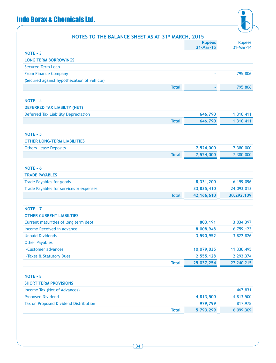

| NOTES TO THE BALANCE SHEET AS AT 31 <sup>st</sup> MARCH, 2015 |              |                            |                            |
|---------------------------------------------------------------|--------------|----------------------------|----------------------------|
|                                                               |              | <b>Rupees</b><br>31-Mar-15 | <b>Rupees</b><br>31-Mar-14 |
| NOTE - 3                                                      |              |                            |                            |
| <b>LONG TERM BORROWINGS</b>                                   |              |                            |                            |
| <b>Secured Term Loan</b>                                      |              |                            |                            |
| <b>From Finance Company</b>                                   |              | ÷                          | 795,806                    |
| (Secured against hypothecation of vehicle)                    |              |                            |                            |
|                                                               | <b>Total</b> | ۰                          | 795,806                    |
|                                                               |              |                            |                            |
| NOTE - 4                                                      |              |                            |                            |
| <b>DEFERRED TAX LIABILTY (NET)</b>                            |              |                            |                            |
| <b>Deferred Tax Liability Depreciation</b>                    |              | 646,790                    | 1,310,411                  |
|                                                               | <b>Total</b> | 646,790                    | 1,310,411                  |
| NOTE - 5                                                      |              |                            |                            |
| <b>OTHER LONG-TERM LIABILITIES</b>                            |              |                            |                            |
| <b>Others-Lease Deposits</b>                                  |              | 7,524,000                  | 7,380,000                  |
|                                                               | <b>Total</b> | 7,524,000                  | 7,380,000                  |
|                                                               |              |                            |                            |
| NOTE - 6                                                      |              |                            |                            |
| <b>TRADE PAYABLES</b>                                         |              |                            |                            |
| <b>Trade Payables for goods</b>                               |              | 8,331,200                  | 6,199,096                  |
| Trade Payables for services & expenses                        |              | 33,835,410                 | 24,093,013                 |
|                                                               | <b>Total</b> | 42,166,610                 | 30,292,109                 |
|                                                               |              |                            |                            |
| <b>NOTE - 7</b>                                               |              |                            |                            |
| <b>OTHER CURRENT LIABILTIES</b>                               |              |                            |                            |
| Current maturities of long term debt                          |              | 803,191                    | 3,034,397                  |
| Income Received in advance                                    |              | 8,008,948                  | 6,759,123                  |
| <b>Unpaid Dividends</b>                                       |              | 3,590,952                  | 3,822,826                  |
| <b>Other Payables</b>                                         |              |                            |                            |
| -Customer advances                                            |              | 10,079,035                 | 11,330,495                 |
| -Taxes & Statutory Dues                                       |              | 2,555,128                  | 2,293,374                  |
|                                                               | <b>Total</b> | 25,037,254                 | 27,240,215                 |
| <b>NOTE - 8</b>                                               |              |                            |                            |
| <b>SHORT TERM PROVISIONS</b>                                  |              |                            |                            |
| Income Tax (Net of Advances)                                  |              |                            | 467,831                    |
| <b>Proposed Dividend</b>                                      |              | 4,813,500                  | 4,813,500                  |
| Tax on Proposed Dividend Distribution                         |              | 979,799                    | 817,978                    |
|                                                               | <b>Total</b> | 5,793,299                  | 6,099,309                  |
|                                                               |              |                            |                            |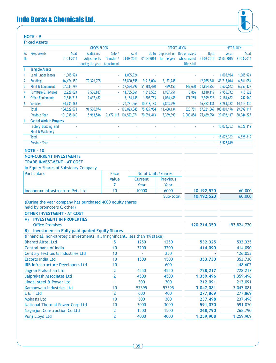

**NOTE - 9**

|              | <b>Fixed Assets</b>                                                           |             |                    |                          |                       |                      |                 |                            |              |             |                  |  |  |
|--------------|-------------------------------------------------------------------------------|-------------|--------------------|--------------------------|-----------------------|----------------------|-----------------|----------------------------|--------------|-------------|------------------|--|--|
|              |                                                                               |             | <b>GROSS BLOCK</b> |                          |                       |                      |                 | <b>DEPRECIATION</b>        |              |             | <b>NET BLOCK</b> |  |  |
| Sr.          | <b>Fixed Assets</b>                                                           | As at       | Additions/         | Sale /                   | As at                 | Up to                |                 | Depreciation Dep on assets | Upto         | As at       | As at            |  |  |
| No           |                                                                               | 01-04-2014  | Adjustments        | Transfer /               | 31-03-2015            | 01-04-2014           | for the year    | whose useful               | 31-03-2015   | 31-03-2015  | 31-03-2014       |  |  |
|              |                                                                               |             | during the year    | Adjustment               |                       |                      |                 | life is Nil                |              |             |                  |  |  |
| L            | <b>Tangible Assets</b>                                                        |             |                    |                          |                       |                      |                 |                            |              |             |                  |  |  |
| $\mathbf{1}$ | Land (under lease)                                                            | 1,005,924   |                    |                          | 1,005,924             |                      |                 |                            |              | 1,005,924   | 1,005,924        |  |  |
| $\mathbf{2}$ | <b>Buildings</b>                                                              | 16,474,150  | 79,326,705         |                          | 95,800,855            | 9,913,096            | 2,172,745       |                            | 12,085,841   | 83,715,014  | 6,561,054        |  |  |
| 3            | Plant & Equipment                                                             | 57,534,797  |                    |                          | 57,534,797            | 51,281,470           | 439,155         | 143,630                    | 51,864,255   | 5,670,542   | 6,253,327        |  |  |
| 4            | <b>Furniture &amp; Fixtures</b>                                               | 2,229,024   | 9,536,837          | $\overline{\phantom{a}}$ | 11,765,861            | 1,813,502            | 1,987,751       | 8,866                      | 3,810,119    | 7,955,742   | 415,522          |  |  |
| 5            | <b>Office Equipments</b>                                                      | 2,546,713   | 2,637,432          |                          | 5, 184, 145           | 1,803,753            | 1,024,485       | 171,285                    | 2,999,523    | 2,184,622   | 742,960          |  |  |
| 6            | <b>Vehicles</b>                                                               | 24,731,463  |                    | $\omega$                 | 24,731,463            | 10,618,133           | 5,843,998       | $\mathcal{L}$              | 16,462,131   | 8,269,332   | 14,113,330       |  |  |
|              | <b>Total</b>                                                                  | 104,522,071 | 91,500,974         |                          | $-196,023,045$        | 75,429,954           | 11,468,134      | 323,781                    | 87,221,869   | 108,801,176 | 29,092,117       |  |  |
|              | <b>Previous Year</b>                                                          | 101,035,640 | 5,963,546          |                          | 2,477,115 104,522,071 | 70,091,413           | 7,339,399       | 2,000,858                  | 75,429,954   | 29,092,117  | 30,944,227       |  |  |
| H.           | <b>Capital Work in Progress</b>                                               |             |                    |                          |                       |                      |                 |                            |              |             |                  |  |  |
|              | Factory Building and                                                          |             |                    |                          |                       |                      |                 |                            |              | 15,072,362  | 6,528,819        |  |  |
|              | Plant & Machinery                                                             |             |                    |                          |                       |                      |                 |                            |              |             |                  |  |  |
|              | <b>Total</b><br><b>Previous Year</b>                                          | ÷.<br>ä,    | ÷.<br>ä,           | ÷.<br>÷.                 | ¥,<br>÷.              | $\blacksquare$<br>÷. | ¥,<br>ä,        | $\omega$                   | $\Box$<br>à, | 15,072,362  | 6,528,819        |  |  |
|              |                                                                               |             |                    |                          |                       |                      |                 |                            |              | 6,528,819   |                  |  |  |
|              | <b>NOTE - 10</b>                                                              |             |                    |                          |                       |                      |                 |                            |              |             |                  |  |  |
|              | <b>NON-CURRENT INVESTMENTS</b>                                                |             |                    |                          |                       |                      |                 |                            |              |             |                  |  |  |
|              | <b>TRADE INVESTMENT - AT COST</b>                                             |             |                    |                          |                       |                      |                 |                            |              |             |                  |  |  |
|              | In Equity Shares of Subsidary Company                                         |             |                    |                          |                       |                      |                 |                            |              |             |                  |  |  |
|              | <b>Particulars</b>                                                            |             |                    | Face                     |                       | No of Units/Shares   |                 |                            |              |             |                  |  |  |
|              |                                                                               |             |                    | Value                    |                       | Current              | <b>Previous</b> |                            |              |             |                  |  |  |
|              |                                                                               |             |                    | ₹                        |                       | Year                 | Year            |                            |              |             |                  |  |  |
|              | Indoborax Infrastructure Pvt. Ltd                                             |             |                    | 10                       |                       | 10000                | 6000            |                            | 10,192,520   |             | 60,000           |  |  |
|              |                                                                               |             |                    |                          |                       |                      | Sub-total       |                            | 10,192,520   |             | 60,000           |  |  |
|              | (During the year company has purchased 4000 equity shares                     |             |                    |                          |                       |                      |                 |                            |              |             |                  |  |  |
|              | held by promoters & other)                                                    |             |                    |                          |                       |                      |                 |                            |              |             |                  |  |  |
|              | <b>OTHER INVESTMENT - AT COST</b>                                             |             |                    |                          |                       |                      |                 |                            |              |             |                  |  |  |
| A)           | <b>INVESTMENT IN PROPERTIES</b>                                               |             |                    |                          |                       |                      |                 |                            |              |             |                  |  |  |
|              | <b>Office Premises</b>                                                        |             |                    |                          |                       |                      |                 |                            | 120,214,350  |             | 193,824,720      |  |  |
| B)           | <b>Investment in Fully paid quoted Equity Shares</b>                          |             |                    |                          |                       |                      |                 |                            |              |             |                  |  |  |
|              | (Financial, non-stretegic investments, all insignificant, less than 1% stake) |             |                    |                          |                       |                      |                 |                            |              |             |                  |  |  |
|              | <b>Bharati Airtel Ltd</b>                                                     |             |                    | 5                        |                       | 1250                 | 1250            |                            | 532,325      |             | 532,325          |  |  |
|              | Central bank of India                                                         |             |                    | 10                       |                       | 3200                 | 3200            |                            | 414,090      |             | 414,090          |  |  |
|              | Century Textiles & Industries Ltd                                             |             |                    | 10                       |                       |                      | 250             |                            |              |             | 126,053          |  |  |
|              | <b>Escorts India Ltd</b>                                                      |             |                    | 10                       |                       | 1500                 | 1500            |                            | 353,730      |             | 353,730          |  |  |
|              | <b>IRB Infrastructure Developers Ltd</b>                                      |             |                    | 10                       |                       |                      | 600             |                            |              |             | 148,602          |  |  |
|              | Jagran Prakashan Ltd                                                          |             |                    | $\overline{2}$           |                       | 4550                 | 4550            |                            | 728,217      |             | 728,217          |  |  |
|              | Jaiprakash Associates Ltd                                                     |             |                    | $\overline{2}$           |                       | 4500                 | 4500            |                            | 1,359,496    |             | 1,359,496        |  |  |
|              | Jindal steel & Power Ltd                                                      |             |                    | 1                        |                       | 300                  | 300             |                            | 212,091      |             | 212,091          |  |  |
|              | Kamanwala Industries Ltd                                                      |             |                    | 10                       |                       | 57395                | 57395           |                            | 3,047,081    |             | 3,047,081        |  |  |
|              | L & T Ltd                                                                     |             |                    | $\overline{2}$           |                       | 600                  | 400             |                            | 277,869      |             | 277,869          |  |  |
|              | <b>Mphasis Ltd</b>                                                            |             |                    | 10                       |                       | 300                  | 300             |                            | 237,498      |             | 237,498          |  |  |
|              | <b>National Thermal Power Corp Ltd</b>                                        |             |                    | 10                       |                       | 3000                 | 3000            |                            | 591,070      |             | 591,070          |  |  |
|              | Nagarjun Construction Co Ltd                                                  |             |                    | $\overline{2}$           |                       | 1500                 | 1500            |                            | 268,790      |             | 268,790          |  |  |
|              | Punj Lloyd Ltd                                                                |             |                    | $\overline{2}$           |                       | 4000                 | 4000            |                            | 1,259,908    |             | 1,259,909        |  |  |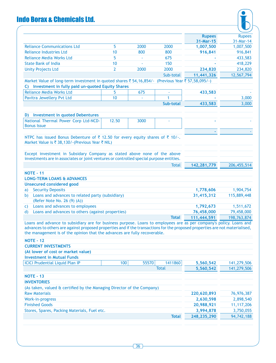

|                                                                                                                                                                                                                                                                                                   |                |                |              | <b>Rupees</b><br>31-Mar-15 | <b>Rupees</b><br>31-Mar-14 |
|---------------------------------------------------------------------------------------------------------------------------------------------------------------------------------------------------------------------------------------------------------------------------------------------------|----------------|----------------|--------------|----------------------------|----------------------------|
| <b>Reliance Communications Ltd</b>                                                                                                                                                                                                                                                                | 5              | 2000           | 2000         | 1,007,500                  | 1,007,500                  |
| <b>Reliance Industries Ltd</b>                                                                                                                                                                                                                                                                    | 10             | 800            | 800          | 916,841                    | 916,841                    |
| <b>Reliance Media Works Ltd</b>                                                                                                                                                                                                                                                                   | 5              | $\blacksquare$ | 675          |                            | 433,583                    |
| <b>State Bank of India</b>                                                                                                                                                                                                                                                                        | 10             | ä,             | 150          |                            | 418,229                    |
| <b>Unity Projects Ltd</b>                                                                                                                                                                                                                                                                         | $\overline{2}$ | 2000           | 2000         | 234,820                    | 234,820                    |
|                                                                                                                                                                                                                                                                                                   |                |                | Sub-total    | 11,441,326                 | 12,567,794                 |
| Market Value of long-term investment in quoted shares ₹ 54,16,854/- (Previous Year ₹ 57,58,095/-)                                                                                                                                                                                                 |                |                |              |                            |                            |
| C) Investment in fully paid un-quoted Equity Shares                                                                                                                                                                                                                                               |                |                |              |                            |                            |
| <b>Reliance Media Works Ltd</b>                                                                                                                                                                                                                                                                   |                | 675            |              | 433,583                    |                            |
| Pavitra Jewellery Pvt Ltd                                                                                                                                                                                                                                                                         | 10             |                | 1            |                            | 3,000                      |
|                                                                                                                                                                                                                                                                                                   |                |                | Sub-total    | 433,583                    | 3,000                      |
|                                                                                                                                                                                                                                                                                                   |                |                |              |                            |                            |
| D) Investment in quoted Debentures                                                                                                                                                                                                                                                                |                |                |              |                            |                            |
| National Thermal Power Corp Ltd-NCD-<br><b>Bonus Issue</b>                                                                                                                                                                                                                                        | 12.50          | 3000           |              |                            |                            |
|                                                                                                                                                                                                                                                                                                   |                |                |              |                            |                            |
| NTPC has issued Bonus Debenture of ₹ 12.50 for every equity shares of ₹ 10/-.<br>Market Value is ₹ 38,130/-(Previous Year ₹ NIL)                                                                                                                                                                  |                |                |              |                            |                            |
| Except investment in Subsidary Company as stated above none of the above<br>investments are in associates or joint ventures or controlled special purpose entities.                                                                                                                               |                |                |              |                            |                            |
|                                                                                                                                                                                                                                                                                                   |                |                | <b>Total</b> | 142, 281, 779              | 206, 455, 514              |
|                                                                                                                                                                                                                                                                                                   |                |                |              |                            |                            |
| <b>NOTE - 11</b>                                                                                                                                                                                                                                                                                  |                |                |              |                            |                            |
| <b>LONG-TERM LOANS &amp; ADVANCES</b>                                                                                                                                                                                                                                                             |                |                |              |                            |                            |
| <b>Unsecured considered good</b>                                                                                                                                                                                                                                                                  |                |                |              |                            |                            |
| <b>Security Deposits</b><br>a)                                                                                                                                                                                                                                                                    |                |                |              | 1,778,606                  | 1,904,754                  |
| Loans and advances to related party (subsidiary)<br>b)                                                                                                                                                                                                                                            |                |                |              | 31,415,312                 | 115,889,448                |
| (Refer Note No. 26 (9) (A))                                                                                                                                                                                                                                                                       |                |                |              |                            |                            |
| Loans and advances to employees<br>C)                                                                                                                                                                                                                                                             |                |                |              | 1,792,673                  | 1,511,672                  |
| Loans and advances to others (against properties)<br>d)                                                                                                                                                                                                                                           |                |                | <b>Total</b> | 76,458,000                 | 79,458,000                 |
| Loans and advance to subsidiary are for business purpose. Loans to employees are as per company's policy. Loans and                                                                                                                                                                               |                |                |              | 111,444,591                | 198,763,874                |
| advances to others are against proposed properties and if the transactions for the proposed properties are not materialised,<br>the management is of the opinion that the advances are fully recoverable.<br><b>NOTE - 12</b><br><b>CURRENT INVESTMENTS</b><br>(At lower of cost or market value) |                |                |              |                            |                            |
| <b>Investment in Mutual Funds</b>                                                                                                                                                                                                                                                                 |                |                |              |                            |                            |
| <b>ICICI Prudential Liquid Plan IP</b>                                                                                                                                                                                                                                                            | 100            | 55570          | 1411860      | 5,560,542                  | 141,279,506                |
|                                                                                                                                                                                                                                                                                                   |                |                | <b>Total</b> | 5,560,542                  | 141,279,506                |
|                                                                                                                                                                                                                                                                                                   |                |                |              |                            |                            |
| <b>NOTE - 13</b>                                                                                                                                                                                                                                                                                  |                |                |              |                            |                            |
| <b>INVENTORIES</b>                                                                                                                                                                                                                                                                                |                |                |              |                            |                            |
| (As taken, valued & certified by the Managing Director of the Company)                                                                                                                                                                                                                            |                |                |              |                            |                            |
| <b>Raw Materials</b>                                                                                                                                                                                                                                                                              |                |                |              | 220,620,893                | 76,976,387                 |
| Work-in-progress                                                                                                                                                                                                                                                                                  |                |                |              | 2,630,598                  | 2,898,540                  |
| <b>Finished Goods</b>                                                                                                                                                                                                                                                                             |                |                |              | 20,988,921                 | 11, 117, 206               |
| Stores, Spares, Packing Materials, Fuel etc.                                                                                                                                                                                                                                                      |                |                |              | 3,994,878                  | 3,750,055                  |
|                                                                                                                                                                                                                                                                                                   |                |                | <b>Total</b> | 248, 235, 290              | 94,742,188                 |
|                                                                                                                                                                                                                                                                                                   |                |                |              |                            |                            |
|                                                                                                                                                                                                                                                                                                   |                |                |              |                            |                            |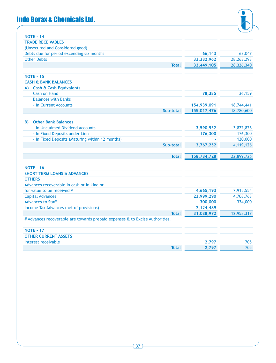

| <b>NOTE - 14</b>                                                             |              |              |
|------------------------------------------------------------------------------|--------------|--------------|
| <b>TRADE RECEIVABLES</b>                                                     |              |              |
| (Unsecured and Considered good)                                              |              |              |
| Debts due for period exceeding six months                                    | 66,143       | 63,047       |
| <b>Other Debts</b>                                                           | 33, 382, 962 | 28, 263, 293 |
| <b>Total</b>                                                                 | 33,449,105   | 28,326,340   |
|                                                                              |              |              |
| <b>NOTE - 15</b>                                                             |              |              |
| <b>CASH &amp; BANK BALANCES</b>                                              |              |              |
| <b>Cash &amp; Cash Equivalents</b><br>A) I                                   |              |              |
| <b>Cash on Hand</b>                                                          | 78,385       | 36,159       |
| <b>Balances with Banks</b>                                                   |              |              |
| - In Current Accounts                                                        | 154,939,091  | 18,744,441   |
| Sub-total                                                                    | 155,017,476  | 18,780,600   |
|                                                                              |              |              |
| <b>Other Bank Balances</b><br>B)                                             |              |              |
| - In Unclaimed Dividend Accounts                                             | 3,590,952    | 3,822,826    |
| - In Fixed Deposits under Lien                                               | 176,300      | 176,300      |
| - In Fixed Deposits (Maturing within 12 months)                              |              | 120,000      |
| Sub-total                                                                    | 3,767,252    | 4,119,126    |
| <b>Total</b>                                                                 | 158,784,728  | 22,899,726   |
| <b>NOTE - 16</b>                                                             |              |              |
| <b>SHORT TERM LOANS &amp; ADVANCES</b>                                       |              |              |
| <b>OTHERS</b>                                                                |              |              |
| Advances recoverable in cash or in kind or                                   |              |              |
| for value to be received #                                                   | 4,665,193    | 7,915,554    |
| <b>Capital Advances</b>                                                      | 23,999,290   | 4,708,763    |
| <b>Advances to Staff</b>                                                     | 300,000      | 334,000      |
| Income Tax Advances (net of provisions)                                      | 2,124,489    |              |
| <b>Total</b>                                                                 | 31,088,972   | 12,958,317   |
| # Advances recoverable are towards prepaid expenses & to Excise Authorities. |              |              |
| <b>NOTE - 17</b>                                                             |              |              |
| <b>OTHER CURRENT ASSETS</b>                                                  |              |              |
| Interest receivable                                                          | 2,797        | 705          |
| <b>Total</b>                                                                 | 2,797        | 705          |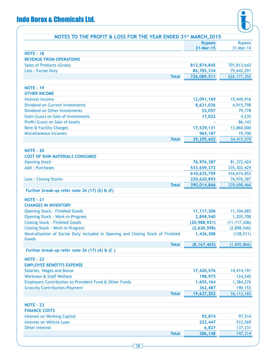

| NOTES TO THE PROFIT & LOSS FOR THE YEAR ENDED 31st MARCH, 2015                  |                            |                    |
|---------------------------------------------------------------------------------|----------------------------|--------------------|
|                                                                                 | <b>Rupees</b><br>31-Mar-15 | <b>Rupees</b>      |
| <b>NOTE - 18</b>                                                                |                            | 31-Mar-14          |
| <b>REVENUE FROM OPERATIONS</b>                                                  |                            |                    |
| <b>Sales of Products (Gross)</b>                                                | 812,874,845                | 701,813,643        |
| Less : Excise Duty                                                              | 86,785,334                 | 75,642,291         |
| <b>Total</b>                                                                    | 726,089,511                | 626, 171, 352      |
|                                                                                 |                            |                    |
| <b>NOTE - 19</b>                                                                |                            |                    |
| <b>OTHER INCOME</b>                                                             |                            |                    |
| Interest Income                                                                 | 12,091,169                 | 15,449,916         |
| <b>Dividend on Current Investments</b>                                          | 8,631,036                  | 4,915,798          |
| Dividend on Other Investments                                                   | 52,057                     | 79,778             |
| Gain/(Loss) on Sale of Investments                                              | 17,022                     | 4,235              |
| Profit/(Loss) on Sale of Assets                                                 |                            | 86,143             |
| <b>Rent &amp; Facility Charges</b>                                              | 17,539,131                 | 13,860,000         |
| Miscellaneous Incomes                                                           | 965,187                    | 19,700             |
| <b>Total</b>                                                                    | 39,295,602                 | 34,415,570         |
| <b>NOTE - 20</b>                                                                |                            |                    |
| <b>COST OF RAW MATERIALS CONSUMED</b>                                           |                            |                    |
| <b>Opening Stock</b>                                                            | 76,976,387                 | 81,372,424         |
| <b>Add: Purchases</b>                                                           | 533,659,372                | 335, 302, 429      |
|                                                                                 | 610,635,759                | 416,674,853        |
| <b>Less: Closing Stocks</b>                                                     | 220,620,893                | 76,976,387         |
| <b>Total</b>                                                                    | 390,014,866                | 339,698,466        |
| Further break-up refer note 26 (17) (E) & (F)                                   |                            |                    |
| <b>NOTE - 21</b>                                                                |                            |                    |
| <b>CHANGES IN INVENTORY</b>                                                     |                            |                    |
| <b>Opening Stock - Finished Goods</b>                                           | 11, 117, 206               | 11, 104, 683       |
| <b>Opening Stock - Work-in-Progress</b>                                         | 2,898,540                  | 1,203,708          |
| <b>Closing Stock - Finished Goods</b>                                           | (20, 988, 921)             | (11, 117, 206)     |
| <b>Closing Stock - Work-in-Progress</b>                                         | (2,630,598)                | (2,898,540)        |
| Neutralisation of Excise Duty included in Opening and Closing Stock of Finished | 1,436,308                  | (138, 511)         |
| Goods                                                                           |                            |                    |
| <b>Total</b>                                                                    | (8, 167, 465)              | (1,845,866)        |
| Further break-up refer note 26 (17) (A) & (C)                                   |                            |                    |
| <b>NOTE - 22</b>                                                                |                            |                    |
| <b>EMPLOYEE BENEFITS EXPENSE</b>                                                |                            |                    |
| Salaries, Wages and Bonus                                                       | 17,420,576                 | 14,414,191         |
| Workmen & Staff Welfare                                                         | 198,975                    | 124,545            |
| Employers Contribution to Provident Fund & Other Funds                          | 1,655,164                  | 1,384,276          |
| <b>Gratuity Contribution/Payment</b>                                            | 362,487                    | 190,153            |
| <b>Total</b>                                                                    | 19,637,202                 | 16, 113, 165       |
|                                                                                 |                            |                    |
|                                                                                 |                            |                    |
| <b>NOTE - 23</b>                                                                |                            |                    |
| <b>FINANCE COSTS</b>                                                            |                            |                    |
| <b>Interest on Working Capital</b>                                              | 55,874                     | 97,514             |
| Interest on Vehicle Loan                                                        | 223,447                    | 512,569            |
| Other Interest<br><b>Total</b>                                                  | 6,827<br>286,148           | 137,231<br>747,314 |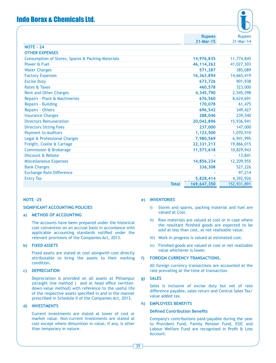|                                                   | <b>Rupees</b> | <b>Rupees</b> |
|---------------------------------------------------|---------------|---------------|
|                                                   | 31-Mar-15     | 31-Mar-14     |
| <b>NOTE - 24</b>                                  |               |               |
| <b>OTHER EXPENSES</b>                             |               |               |
| Consumption of Stores, Spares & Packing Materials | 14,976,835    | 11,774,845    |
| Power & Fuel                                      | 46, 114, 262  | 41,027,303    |
| <b>Water Charges</b>                              | 571,287       | 385,089       |
| <b>Factory Expenses</b>                           | 16,363,894    | 14,665,419    |
| <b>Excise Duty</b>                                | 673,726       | 901,938       |
| <b>Rates &amp; Taxes</b>                          | 460,578       | 323,000       |
| <b>Rent and Other Charges</b>                     | 4,345,790     | 2,545,598     |
| Repairs - Plant & Machineries                     | 676,560       | 8,624,691     |
| Repairs - Building                                | 170,078       | 61,475        |
| Repairs - Others                                  | 696,542       | 349,427       |
| <b>Insurance Charges</b>                          | 288,046       | 239,540       |
| <b>Directors Remuneration</b>                     | 20,042,896    | 15,936,941    |
| <b>Directors Sitting Fees</b>                     | 237,000       | 147,000       |
| <b>Payment to Auditors</b>                        | 1,123,500     | 1,070,510     |
| Legal & Professional Charges                      | 7,980,569     | 6,941,995     |
| Freight, Coolie & Cartage                         | 22,331,213    | 19,866,015    |
| <b>Commission &amp; Brokerage</b>                 | 11,573,618    | 10,829,943    |
| Discount & Rebate                                 |               | 13,841        |
| <b>Miscellaneous Expenses</b>                     | 14,856,234    | 12,209,955    |
| <b>Bank Charges</b>                               | 336,308       | 527,226       |
| <b>Exchange Rate Difference</b>                   |               | 97,214        |
| <b>Entry Tax</b>                                  | 5,828,414     | 4,392,926     |
| <b>Total</b>                                      | 169,647,350   | 152,931,891   |

#### **NOTE -25**

#### **SIGNIFICANT ACCOUNTING POLICIES**

#### **a) METHOD OF ACCOUNTING**

The accounts have been prepared under the historical cost convention on an accrual basis in accordance with applicable accounting standards notified under the relevant provisions of the Companies Act, 2013.

#### **b) FIXED ASSETS**

Fixed assets are stated at cost alongwith cost directly attributable to bring the assets to their working condition.

#### **c) DEPRECIATION**

 Depreciation is provided on all assets at Pithampur (straight line method ) and at head office (writtendown-value method) with reference to the useful life of the respective assets specified in and in the manner prescribed in Schedule II of the Companies Act, 2013.

#### **d) INVESTMENTS**

Current investments are stated at lower of cost or market value. Non-current Investments are stated at cost except where dimunition in value, if any, is other than temporary in nature.

#### **e) INVENTORIES**

- i) Stores and spares, packing material and fuel are valued at Cost.
- ii) Raw materials are valued at cost or in case where the resultant finished goods are expected to be sold at less than cost, at net realisable value.
- iii) Work in progress is valued at estimated cost.
- iv) Finished goods are valued at cost or net realisable value whichever is lower.

#### **f) FOREIGN CURRENCY TRANSACTIONS.**

 All foreign currency transactions are accounted at the rate prevailing at the time of transaction.

#### **g) SALES**

 Sales is inclusive of excise duty but net of rate difference payable, sales return and Central Sales Tax/ value added tax.

#### **h) EMPLOYEES BENEFITS**

#### **Defined Contribution Benefits**

Company's contributions paid/payable during the year to Provident Fund, Family Pension Fund, ESIC and Labour Welfare Fund are recognized in Profit & Loss Account.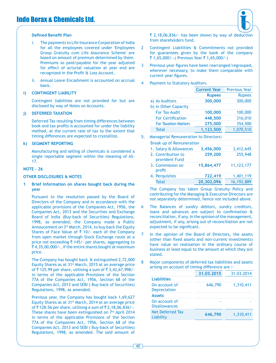#### **Defined Benefit Plan**

- i. The payments to Life Insurance Corporation of India for all the employees covered under 'Employees Group Gratuity cum Life Assurance Scheme' are based on amount of premium determined by them. Premiums so paid/payable for the year adjusted for effect of acturial valuation at year end are recognized in the Profit & Loss Account.
- ii. Annual Leave Encashment is accounted on accrual basis.

#### **i) CONTINGENT LIABILITY**

 Contingent liabilities are not provided for but are disclosed by way of Notes on Accounts.

#### **j) DEFERRED TAXATION**

Deferred Tax resulting from timing differences between book and tax profits is accounted for under the liability method, at the current rate of tax to the extent that timing differences are expected to crystallize.

#### **k) SEGMENT REPORTING**

 Manufacturing and selling of chemicals is considered a single reportable segment within the meaning of AS-17.

#### **NOTE - 26**

#### **OTHER DISCLOSURES & NOTES**

**1 Brief Information on shares bought back during the year**

Pursuant to the resolution passed by the Board of Directors of the Company and in accordance with the applicable provisions of the Companies Act, 1956, the Companies Act, 2013 and the Securities and Exchange Board of India (Buy-back of Securities) Regulations, 1998, as amended, the Company made a Public Annoucement on 3rd March, 2014, to buy back the Equity Shares of Face Value of  $\bar{z}$  10/- each of the Company from open market through Stock Exchange route at a price not exceeding  $\bar{\tau}$  145/- per shares, aggregating to  $\bar{\tau}$  4,35,00,000/-, if the entire shares bought at maximum price.

The Company has bought back & extinguished 2,72,000 Equity Shares as at 31st March, 2015 at an average price of ₹125.99 per share, utilising a sum of ₹3,42,67,998/in terms of the applicable Provisions of the Section 77A of the Companies Act, 1956, Section 68 of the Companies Act, 2013 and SEBI ( Buy-back of Securities) Regulations, 1998, as amended.

Previous year, the Company has bought back 1,69,627 Equity Shares as at 31st March, 2014 at an average price of  $\bar{\tau}$  128.56 per share, utilising a sum of  $\bar{\tau}$  2,18,06,836/-. These shares have been extinguished on 7<sup>th</sup> April 2014 in terms of the applicable Provisions of the Section 77A of the Companies Act, 1956, Section 68 of the Companies Act, 2013 and SEBI ( Buy-back of Securities) Regulations, 1998, as amended. The said amount of

 $\overline{5}$  2,18,06,836/- has been shown by way of deduction from shareholders fund.

- 2 Contingent Liabilities & Commitments not provided for guarantees given by the bank of the company ₹ 1,65,000/-.( Previous Year ₹ 1,65,000/-)
- 3 Previous year figures have been rearranged/regrouped, wherever necessary, to make them comparable with current year figures.
- 4 Payment to Statutory Auditors.

|                             | <b>Current Year</b> | <b>Previous Year</b> |
|-----------------------------|---------------------|----------------------|
|                             | <b>Rupees</b>       | <b>Rupees</b>        |
| a) As Auditors              | 300,000             | 300,000              |
| b) In Other Capacity        |                     |                      |
| <b>For Tax Audit</b>        | 100,000             | 100,000              |
| <b>For Certification</b>    | 448,500             | 316,010              |
| <b>For Taxation Matters</b> | 275,000             | 354,500              |
| <b>Total</b>                | 1,123,500           | 1,070,510            |
|                             |                     |                      |

5. Managerial Remuneration to Directors:

Break up of Remuneration

| 1. Salary & Allowances               | 3,456,000  | 3,412,645    |
|--------------------------------------|------------|--------------|
| 2. Contribution to<br>provident Fund | 259,200    | 255,948      |
| 3. Commission on<br>profit           | 15,864,477 | 11, 123, 177 |
| 4. Perquisites                       | 722,419    | 1,401,119    |
| <b>Total</b>                         | 20,302,096 | 16,192,889   |

 The Company has taken Group Gratuity Policy and contributing for the Managing & Executive Directors are not separately determined, hence not included above.

- 6 The Balances of sundry debtors, sundry creditors, loans and advances are subject to confirmation & reconciliation, if any. In the opinion of the management, adjustment, if any, arising out of reconciliation are not expected to be significant.
- 7 In the opinion of the Board of Directors, the assets (other than fixed assets and non-current investments) have value on realisation in the ordinary course of business at least equal to the amount at which they are stated.
- 8 Major components of deferred tax liabilities and assets arising on account of timing difference are :-

|                                       | 31.03.2015 | 31.03.2014 |
|---------------------------------------|------------|------------|
| <b>Liabilities</b>                    |            |            |
| On account of<br><b>Depreciation</b>  | 646,790    | 1,310,411  |
| <b>Assets</b>                         |            |            |
| On account of<br><b>Disallowances</b> |            |            |
| <b>Net Deferred Tax</b><br>Liability  | 646,790    | 1,310,411  |

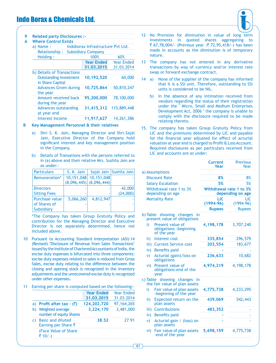- **9 Related party Disclosures :-**
- **A Where Control Exists**
	- Indoborax Infrastructure Pvt Ltd. Relationship : Subsidiary Company

| Holding:                                          | 100%              | 60%               |
|---------------------------------------------------|-------------------|-------------------|
|                                                   | <b>Year Ended</b> | <b>Year Ended</b> |
|                                                   | 31.03.2015        | 31.03.2014        |
| b) Details of Transactions                        |                   |                   |
| <b>Outstanding Investment</b><br>in Share Capital | 10,192,520        | 60,000            |
| <b>Advances Given during</b><br>the year          | 10,725,864        | 50,810,247        |
| Amount received back<br>during the year           | 95.200.000        | 78,100,000        |
| <b>Advances outstanding</b><br>at year end        | 31,415,312        | 115,889,448       |
| Interest Income                                   | 11,917,627        | 14,261,386        |

#### **B Key Management Personnel & their relatives**

- a) Shri S. K. Jain, Managing Director and Shri.Sajal Jain, Executive Director of the Company hold significant interest and key management position in the Company.
- b) Details of Transations with the persons referred to in (a) above and their relative Mrs. Sushila Jain are as under:-

| <b>Particulars</b>  | S. K. Jain |                             | Sajal Jain Sushila Jain |
|---------------------|------------|-----------------------------|-------------------------|
| Remuneration*       | 10,151,048 | 10,151,048                  |                         |
|                     |            | $(8,096,445)$ $(8,096,444)$ |                         |
| <b>Directors</b>    |            |                             | 42,000                  |
| <b>Sitting Fees</b> |            |                             | (24,000)                |
| Purchase value      | 5,066,260  | 4,812,947                   |                         |
| of Shares of        |            |                             | ۰                       |
| Subsidiary          |            |                             |                         |

\*The Company has taken Group Gratuity Policy and contribution for the Managing Director and Executive Director is not separately determined, hence not included above.

10 Pursuant to Accounting Standard Interpretation (ASI)-14 (Revised) "Disclosure of Revenue from Sales Transactions" issued by the Institute of Chartered Accountants of India, the excise duty expenses is bifurcated into three components: excise duty expenses related to sales is reduced from Gross Sales, excise duty relating to the difference between the closing and opening stock is recognized in the inventory adjustments and the unrecovered excise duty is recognized under other expenses.

11 Earning per share is computed based on the following:-

|    |                                                 | <b>Year Ended</b> | <b>Year Ended</b> |
|----|-------------------------------------------------|-------------------|-------------------|
|    |                                                 | 31.03.2015        | 31.03.2014        |
|    | a) Profit after tax - $(\bar{\zeta})$           | 124,202,720       | 97, 164, 265      |
| b) | Weighted average<br>number of equity Shares     | 3,224,170         | 3,481,000         |
|    | <b>Basic and diluted</b><br>Earning per Share ₹ | 38.52             | 27.91             |
|    | (Face Value of Share<br>₹ 10/-)                 |                   |                   |

- 12 No Provision for diminution in value of long term investments in quoted shares aggregating to ₹ 67,78,004/- (Previous year :₹ 72,95,418/-) has been made in accounts as the diminution is of temporary nature.
- 13 The company has not entered in any derivative transactions by way of currency and/or interest rate swap or forward exchange contract.
- 14 a) None of the supplier of the company has informed that it is a SSI unit. Therefore, outstanding to SSI units is considered to be NIL.
	- b) In the absence of any intimation received from vendors regardimg the status of their registration under the " Micro, Small and Medium Enterprises Development Act, 2006 " the company is unable to comply with the disclosure required to be made relating thereto.
- 15. The company has taken Group Gratuity Policy from LIC and the premiums determined by LIC and payable for the financial year adjusted for effect of acturial valuation at year end is charged to Profit & Loss Account. Required disclosures as per particulars received from LIC and accounts are as under:

|               |                                                              | <b>Current</b><br>Year      | <b>Previous</b><br>Year                            |
|---------------|--------------------------------------------------------------|-----------------------------|----------------------------------------------------|
|               | a) Assumptions                                               |                             |                                                    |
|               | <b>Discount Rate</b>                                         | 8%                          | 8%                                                 |
|               | <b>Salary Escalation</b>                                     | 5%                          | 5%                                                 |
|               | Withdrawal rate 1 to 3%<br>depending on age                  |                             | <b>Withdrawal rate 1 to 3%</b><br>depending on age |
|               | <b>Mortality Rate</b>                                        | <b>LIC</b><br>$(1994 - 96)$ | <b>LIC</b><br>$(1994-96)$                          |
|               |                                                              | <b>Rupees</b>               | <b>Rupees</b>                                      |
|               | b) Table showing changes in<br>present value of obligations  |                             |                                                    |
| i)            | Present value of<br>obligations - beginning<br>of the year   | 4,198,178                   | 3,707,240                                          |
| $\mathbf{ii}$ | Interest cost                                                | 335,854                     | 296,579                                            |
|               | iii) Current Service cost                                    | 203,554                     | 183,677                                            |
|               | iv) Benefits paid                                            |                             |                                                    |
| V)            | Acturial (gain)/loss on<br>obligations                       | 236,633                     | 10,682                                             |
| vi)           | Present value of<br>obligations-end of the<br>vear           | 4,974,219                   | 4,198,178                                          |
|               | c) Table showing changes in<br>the fair value of plan assets |                             |                                                    |
| i)            | Fair value of plan assets<br>-beginning of the year          | 4,775,738                   | 4,233,295                                          |
| $\mathbf{ii}$ | Expected return on the<br>plan assets                        | 439,069                     | 542,443                                            |
|               | iii) Contributions                                           | 483,352                     |                                                    |
| iv)           | <b>Benefits paid</b>                                         |                             |                                                    |
| V).           | Acturial gain / (loss) on<br>plan assets                     |                             |                                                    |
| vi)           | Fair value of plan assets<br>-end of the year                | 5,698,159                   | 4,775,738                                          |

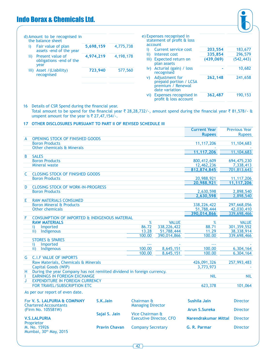

| d) Amount to be recognised in<br>the balance sheet                 |           |           |
|--------------------------------------------------------------------|-----------|-----------|
| Fair value of plan<br>i)<br>assets - end of the year               | 5,698,159 | 4,775,738 |
| <b>Present value of</b><br>ii)<br>obligations - end of the<br>vear | 4,974,219 | 4,198,178 |
| Asset / (Liability)<br>iii)<br>recognised                          | 723,940   | 577,560   |

|               | e) Expenses recognised in<br>statement of profit & loss<br>account              |           |            |
|---------------|---------------------------------------------------------------------------------|-----------|------------|
|               | <b>Current service cost</b>                                                     | 203,554   | 183,677    |
| $\mathbf{ii}$ | Interest cost                                                                   | 335,854   | 296,579    |
|               | iii) Expected return on<br>plan assets                                          | (439,069) | (542, 443) |
| iv)           | Acturial (gain) / loss<br>recognised                                            |           | 10,682     |
| V)            | Adjustment for<br>prepaid portion / LCSA<br>premium / Renewal<br>date variation | 262,148   | 241,658    |
| Vİ)           | Expenses recognised in<br>profit & loss account                                 | 362,487   | 190,153    |

#### 16 Details of CSR Spend during the financial year.

Total amount to be spend for the financial year  $\bar{\tau}$  28,28,732/-, amount spend during the financial year  $\bar{\tau}$  81,578/- & unspent amount for the year is  $\bar{z}$  27,47,154/-.

#### **17 OTHER DISCLOSURES PURSUANT TO PART II OF REVISED SCHEDULE III**

|    |                                                                        |               |                                |              | <b>Current Year</b>  | <b>Previous Year</b> |
|----|------------------------------------------------------------------------|---------------|--------------------------------|--------------|----------------------|----------------------|
|    |                                                                        |               |                                |              | <b>Rupees</b>        | <b>Rupees</b>        |
| A  | <b>OPENING STOCK OF FINISHED GOODS</b>                                 |               |                                |              |                      |                      |
|    | <b>Boron Products</b>                                                  |               |                                |              | 11, 117, 206         | 11, 104, 683         |
|    | Other chemicals & Minerals                                             |               |                                |              |                      |                      |
|    |                                                                        |               |                                |              | 11, 117, 206         | 11,104,683           |
| B  | <b>SALES</b>                                                           |               |                                |              |                      |                      |
|    | <b>Boron Products</b>                                                  |               |                                |              | 800,412,609          | 694,475,230          |
|    | Mineral waste                                                          |               |                                |              | 12,462,236           | 7.338.413            |
|    |                                                                        |               |                                |              | 812.874.845          | 701,813,643          |
| C. | <b>CLOSING STOCK OF FINISHED GOODS</b>                                 |               |                                |              |                      |                      |
|    | <b>Boron Products</b>                                                  |               |                                |              | 20,988,921           | 11, 117, 206         |
|    |                                                                        |               |                                |              | 20,988,921           | 11, 117, 206         |
| D. | <b>CLOSING STOCK OF WORK-IN-PROGRESS</b>                               |               |                                |              |                      |                      |
|    | <b>Boron Products</b>                                                  |               |                                |              | 2,630,598            | 2,898,540            |
|    |                                                                        |               |                                |              | 2,630,598            | 2,898,540            |
| E. | <b>RAW MATERIALS CONSUMED</b>                                          |               |                                |              |                      |                      |
|    | <b>Boron Mineral &amp; Products</b>                                    |               |                                |              | 338,226,422          | 297,668,056          |
|    | Other chemicals                                                        |               |                                |              | 51,788,444           | 42,030,410           |
|    |                                                                        |               |                                |              | 390,014,866          | 339,698,466          |
| F  | <b>CONSUMPTION OF IMPORTED &amp; INDIGENOUS MATERIAL</b>               |               |                                |              |                      |                      |
|    | <b>RAW MATERIALS</b>                                                   |               | %                              | <b>VALUE</b> | $\%$                 | <b>VALUE</b>         |
|    | Imported<br>i)                                                         |               | 86.72                          | 338,226,422  | 88.71                | 301, 359, 552        |
|    | Indigenous<br>$\mathbf{ii}$                                            |               | 13.28                          | 51,788,444   | 11.29                | 38,338,914           |
|    |                                                                        |               | 100.00                         | 390,014,866  | 100.00               | 339,698,466          |
|    | <b>STORES &amp; SPARES</b>                                             |               |                                |              |                      |                      |
|    | Imported<br>i)                                                         |               | $\sim$ $\sim$ $\sim$           |              | $\sim$ $\sim$        |                      |
|    | Indigenous<br>ii)                                                      |               | 100.00                         | 8,645,151    | 100.00               | 6,304,164            |
|    |                                                                        |               | 100.00                         | 8,645,151    | 100.00               | 6,304,164            |
|    | <b>G</b> C.I.F VALUE OF IMPORTS                                        |               |                                |              |                      |                      |
|    | Raw Materials, Chemicals & Minerals                                    |               |                                |              | 426,091,326          | 257,993,483          |
|    | Capital Goods (WIP)                                                    |               |                                |              | 3,773,973            |                      |
| H. | During the year Company has not remiited dividend in foreign currency. |               |                                |              |                      |                      |
| T  | <b>EARNINGS IN FOREIGN EXCHANGE</b>                                    |               |                                |              | <b>NIL</b>           | <b>NIL</b>           |
| J. | <b>EXPENDITURE IN FOREIGN CURRENCY</b>                                 |               |                                |              |                      |                      |
|    | FOR TRAVEL/SUBSCRIPTION ETC                                            |               |                                |              | 623,378              | 101,064              |
|    | As per our report of even date.                                        |               |                                |              |                      |                      |
|    | For V. S. LALPURIA & COMPANY                                           | S.K.Jain      | Chairman &                     |              | Sushila Jain         | <b>Director</b>      |
|    | <b>Chartered Accountants</b>                                           |               | <b>Managing Director</b>       |              |                      |                      |
|    | (Firm No. 105581W)                                                     |               |                                |              | Arun S.Sureka        | <b>Director</b>      |
|    |                                                                        | Sajal S. Jain | Vice Chairman &                |              |                      |                      |
|    | <b>V.S.LALPURIA</b>                                                    |               | <b>Executive Director, CFO</b> |              | Narendrakumar Mittal | <b>Director</b>      |

Proprietor<br>M. No. 15926 Mumbai, 30th May, 2015 **Pravin Chavan** Company Secretary **G. R. Parmar Director**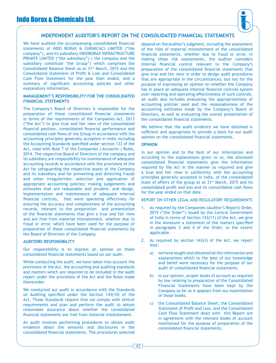

#### **Independent Auditor's REPORT ON THE CONSOLIDATED FINANCIAL STATEMENTS**

We have audited the accompanying consolidated financial statements of INDO BORAX & CHEMICALS LIMITED ("the company"), and its subsidiary INDOBORAX INFRASTRUCTURE PRIVATE LIMITED ("the subsidiary") ( the company and the subsidiary constitute 'the Group") which comprises the Consolidated Balance Sheet as at 31st March, 2015 and the Consolidated Statement of Profit & Loss and Consolidated Cash Flow Statement for the year then ended, and a summary of significant accounting policies and other explanatory information.

#### **MANAGEMENT'S RESPONSIBILITY FOR THE CONSOLIDATED FINANCIAL STATEMENTS**

The Company's Board of Directors is responsible for the preparation of these consolidated financial statements in terms of the requirements of the Companies Act, 2013 ("the Act") to give true and fair view of the consolidated financial position, consolidated financial performance and consolidated cash flows of the Group in accordance with the accounting principles generally accepted in India including the Accounting Standards specified under section 133 of the Act, read with Rule 7 of the Companies ( Accounts ) Rules, 2014. The respective Board of Directors of the company and its subsidiary are responsibility for maintenance of adequate accounting records in accordance with the provisions of the Act for safeguarding the respective assets of the Company and its subsidiary and for preventing and detecting frauds and other irregularities; selection and application of appropriate accounting policies; making judgements and estimates that are reasonable and prudent; and design, implementation and maintenance of adequate internal financial controls, that were operating effectively for ensuring the accuracy and completeness of the accounting records, relevant to the preparation and presentation of the financial statements that give a true and fair view and are free from material misstatement, whether due to fraud or error, which have been used for the purpose of preparation of these consolidated financial statements by the Board of Directors of the Company.

#### **AUDITORS RESPONSIBILITY**

Our responsibility is to express an opinion on these consolidated financial statements based on our audit.

While conducting the audit, we have taken into account the provisions of the Act, the accounting and auditing standards and matters which are required to be included in the audit report under the provisions of the Act and the Rules made thereunder.

We conducted our audit in accordance with the Standards on Auditing specified under the Section 143(10) of the Act. Those Standards require that we comply with ethical requirements and plan and perform the audit to obtain reasonable assurance about whether the consolidated financial statements are free from material misstatement.

An audit involves performing procedures to obtain audit evidence about the amounts and disclosures in the consolidated financial statements. The procedures selected

depend on the Auditor's judgment, including the assessment of the risks of material misstatement of the consolidated financial statements, whether due to fraud or error. In making those risk assessments, the Auditor considers internal financial control relevant to the Company's preparation of the consolidated financial statements that give true and fair view in order to design audit procedures that are appropriate in the circumstances, but not for the purpose of expressing an opinion on whether the Company has in place an adequate internal financial controls system over reporting and operating effectiveness of such controls. An audit also includes evaluating the appropriateness of accounting policies used and the reasonableness of the accounting estimates made by the Company's Board of Directors, as well as evaluating the overall presentation of the consolidated financial statements.

We believe that the audit evidence we have obtained is sufficient and appropriate to provide a basis for our audit opinion on the consolidated financial statements.

#### **OPINION**

In our opinion and to the best of our information and according to the explanations given to us, the aforesaid consolidated financial statements give the information required by the Act in the manner so required and give a true and fair view in conformity with the accounting principles generally accepted in India, of the consolidated state of affairs of the group as at 31<sup>st</sup> March, 2015 and its consolidated profit and loss and its consolidated cash flows for the year ended on that date.

REPORT ON OTHER LEGAL AND REGULATORY REQUIREMENTS

- 1. As required by the Companies (Auditor's Report) Order, 2015 ("the Order") issued by the Central Government of India in terms of Section 143(11) of the Act, we give in the Annexure a statement of the matters specified in paragraphs 3 and 4 of the Order, to the extent applicable.
- 2. As required by section 143(3) of the Act, we report that:
	- a) we have sought and obtained all the information and explanations which to the best of our knowledge and belief were necessary for the purpose of our audit of consolidated financial statements.
	- b) in our opinion, proper books of account as required by law relating to preparation of the Consolidated Financial Statements have been kept by the Company so far as it appears from our examination of those books.
	- c) the Consolidated Balance Sheet, the Consolidated Statement of Profit and Loss, and the Consolidated Cash Flow Statement dealt with this Report are in agreement with the relevant books of account maintained for the purpose of preparation of the consolidated financial statements.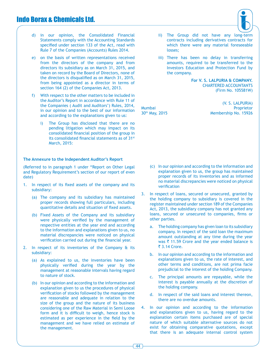- d) in our opinion, the Consolidated Financial Statements comply with the Accounting Standards specified under section 133 of the Act, read with Rule 7 of the Companies (Accounts) Rules 2014.
- e) on the basis of written representations received from the directors of the company and from directors its subsidiary as on March 31, 2015, and taken on record by the Board of Directors, none of the directors is disqualified as on March 31, 2015, from being appointed as a director in terms of section 164 (2) of the Companies Act, 2013.
- f) With respect to the other matters to be included in the Auditor's Report in accordance with Rule 11 of the Companies ( Audit and Auditors') Rules, 2014, in our opinion and to the best of our information and according to the explanations given to us:
	- i) The Group has disclosed that there are no pending litigation which may impact on its consolidated financial position of the group in its consolidated financial statements as of 31st March, 2015:

#### **The Annexure to the Independent Auditor's Report**

(Referred to in paragraph 1 under "Report on Other Legal and Regulatory Requirement's section of our report of even date)

- 1. In respect of its fixed assets of the company and its subsidiary:
	- (a) The company and its subsidiary has maintained proper records showing full particulars, including quantitative details and situation of fixed assets.
	- (b) Fixed Assets of the Company and its subsidiary were physically verified by the management of respective entities at the year end and according to the information and explanations given to us, no material discrepancies were noticed on physical verification carried out during the financial year.
- 2. In respect of its inventories of the Company & its subsidiary:
	- (a) As explained to us, the inventories have been physically verified during the year by the management at reasonable intervals having regard to nature of stock.
	- (b) In our opinion and according to the information and explanation given to us the procedures of physical verification of stocks followed by the management are reasonable and adequate in relation to the size of the group and the nature of its business considering one of the Raw Material in Semi Loose form and it is difficult to weigh, hence stock is estimated as per experience in the field by the management and we have relied on estimate of the management.



- ii) The Group did not have any long-term contracts including derivatives contracts for which there were any material foreseeable losses;
- iii) There has been no delay in transferring amounts, required to be transferred to the Investors Education and Protection Fund by the company.

**For V. S. LALPURIA & COMPANY.** CHARTERED ACCOUNTANTS (Firm No. 105581W)

 (V. S. LALPURIA) Mumbai Proprietor<br>30<sup>th</sup> May, 2015 **Mumbai Proprietor** Membership No. 15926 Membership No. 15926

- (c) In our opinion and according to the information and explanation given to us, the group has maintained proper records of its inventories and as informed no material discrepancies were noticed on physical verification
- 3. In respect of loans, secured or unsecured, granted by the holding company to subsidiary is covered in the register maintained under section 189 of the Companies Act, 2013, the subsidiary company has not granted any loans, secured or unsecured to companies, firms or other parties.
	- a. The holding company has given loan to its subsidiary company. In respect of the said loan the maximum amount outstanding at any time during the year was  $\bar{\tau}$  11.59 Crore and the year ended balance is ₹ 3.14 Crore.
	- b. In our opinion and according to the information and explanations given to us, the rate of interest, and other terms and conditions, are not prima facie prejudicial to the interest of the holding Company.
	- c. The principal amounts are repayable, while the interest is payable annually at the discretion of the holding company.
	- d. In respect of the said loans and interest thereon, there are no overdue amounts.
- 4. In our opinion and according to the information and explanations given to us, having regard to the explanation certain items purchased are of special nature of which suitable alternative sources do not exist for obtaining comparative quotations, except that there is an adequate internal control system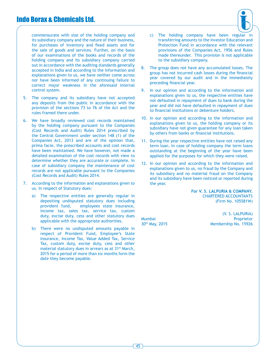commensurate with size of the holding company and its subsidiary company and the nature of their business, for purchases of inventory and fixed assets and for the sale of goods and services. Further, on the basis of our examinations of the books and records of the holding company and its subsidiary company carried out in accordance with the auditing standards generally accepted in India and according to the information and explanations given to us, we have neither come across nor have been informed of any continuing failure to correct major weakness in the aforesaid internal control system.

- 5. The company and its subsidiary have not accepted any deposits from the public in accordance with the provision of the sections 73 to 76 of the Act and the rules framed there under.
- 6. We have broadly reviewed cost records maintained by the holding company pursuant to the Companies (Cost Records and Audit) Rules 2014 prescribed by the Central Government under section 148 (1) of the Companies Act, 2013 and are of the opinion that, prima facie, the prescribed accounts and cost records have been maintained. We have however, not made a detailed examination of the cost records with view to determine whether they are accurate or complete. In case of subsidiary company the maintenance of cost records are not applicable pursuant to the Companies (Cost Records and Audit) Rules 2014.
- 7. According to the information and explanations given to us, In respect of Statutory dues:
	- a) The respective entities are generally regular in depositing undisputed statutory dues including provident fund, employees state insurance, income tax, sales tax, service tax, custom duty, excise duty, cess and other statutory dues applicable with the appropriate authorities.
	- b) There were no undisputed amounts payable in respect of Provident Fund, Employee's State Insurance, Income Tax, Value Added Tax, Service Tax, custom duty, excise duty, cess and other material statutory dues in arrears as at 31<sup>st</sup> March, 2015 for a period of more than six months form the date they become payable.



- c) The holding company have been regular in transferring amounts to the Investor Education and Protection Fund in accordance with the relevant provisions of the Companies Act, 1956 and Rules made thereunder. This provision is not applicable to the subsidiary company.
- 8. The group does not have any accumulated losses. The group has not incurred cash losses during the financial year covered by our audit and in the immediately preceding financial year.
- 9. In our opinion and according to the information and explanations given to us, the respective entities have not defaulted in repayment of dues to bank during the year and did not have defaulted in repayment of dues to financial institutions or debenture holders.
- 10. In our opinion and according to the information and explanations given to us, the holding company or its subsidiary have not given guarantee for any loan taken by others from banks or financial institutions.
- 11. During the year respective entities have not raised any term loan. In case of holding company the term loans outstanding at the beginning of the year have been applied for the purposes for which they were raised.
- 12. In our opinion and according to the information and explanations given to us, no fraud by the Company and its subsidiary and no material fraud on the Company and its subsidiary have been noticed or reported during the year.

**For V. S. LALPURIA & COMPANY.** CHARTERED ACCOUNTANTS (Firm No. 105581W)

 (V. S. LALPURIA) Mumbai Proprietor 30<sup>th</sup> May, 2015 Membership No. 15926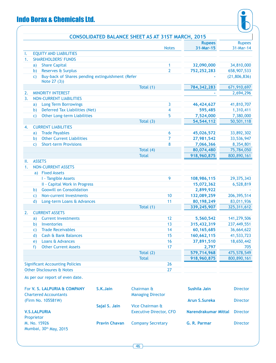

|    |              |                                                                  |               | <b>CONSOLIDATED BALANCE SHEET AS AT 31ST MARCH, 2015</b> |                      |                 |
|----|--------------|------------------------------------------------------------------|---------------|----------------------------------------------------------|----------------------|-----------------|
|    |              |                                                                  |               |                                                          | <b>Rupees</b>        | <b>Rupees</b>   |
|    |              |                                                                  |               | <b>Notes</b>                                             | 31-Mar-15            | 31-Mar-14       |
| Τ. |              | <b>EQUITY AND LIABILITIES</b>                                    |               |                                                          |                      |                 |
| 1. |              | <b>SHAREHOLDERS' FUNDS</b>                                       |               |                                                          |                      |                 |
|    | a)           | <b>Share Capital</b>                                             |               | 1                                                        | 32,090,000           | 34,810,000      |
|    | b)           | Reserves & Surplus                                               |               | $\overline{2}$                                           | 752,252,283          | 658,907,533     |
|    | $\mathsf{C}$ | Buy-back of Shares pending extinguishment (Refer<br>Note 27 (3)) |               |                                                          |                      | (21, 806, 836)  |
|    |              |                                                                  |               | Total (1)                                                | 784, 342, 283        | 671,910,697     |
| 2. |              | <b>MINORITY INTEREST</b>                                         |               |                                                          |                      | 2,694,296       |
| 3. |              | <b>NON-CURRENT LIABILITIES</b>                                   |               |                                                          |                      |                 |
|    | a)           | <b>Long Term Borrowings</b>                                      |               | 3                                                        | 46,424,627           | 41,810,707      |
|    | b)           | <b>Deferred Tax Liabilities (Net)</b>                            |               | 4                                                        | 595,485              | 1,310,411       |
|    | $\mathsf{C}$ | Other Long-term Liabilities                                      |               | 5                                                        | 7,524,000            | 7,380,000       |
|    |              |                                                                  |               | Total $(3)$                                              | 54, 544, 112         | 50,501,118      |
| 4. |              | <b>CURRENT LIABILITIES</b>                                       |               |                                                          |                      |                 |
|    | a)           | <b>Trade Payables</b>                                            |               | 6                                                        | 45,026,572           | 33,892,302      |
|    | b)           | <b>Other Current Liabilities</b>                                 |               | 7                                                        | 27,981,542           | 33,536,947      |
|    | $\mathsf{C}$ | <b>Short-term Provisions</b>                                     |               | 8                                                        | 7,066,366            | 8,354,801       |
|    |              |                                                                  |               | Total (4)                                                | 80,074,480           | 75,784,050      |
|    |              |                                                                  |               | <b>Total</b>                                             | 918,960,875          | 800,890,161     |
| Ш. |              | <b>ASSETS</b>                                                    |               |                                                          |                      |                 |
| 1. |              | <b>NON-CURRENT ASSETS</b>                                        |               |                                                          |                      |                 |
|    |              | a) Fixed Assets                                                  |               |                                                          |                      |                 |
|    |              | I - Tangible Assets                                              |               | 9                                                        | 108,986,115          | 29, 375, 343    |
|    |              | II - Capital Work in Progress                                    |               |                                                          | 15,072,362           | 6,528,819       |
|    | b)           | <b>Goowill on Consolidation</b>                                  |               |                                                          | 2,899,922            |                 |
|    | $\mathsf{C}$ | Non-current Investments                                          |               | 10                                                       | 132,089,259          | 206, 395, 514   |
|    | $\mathsf{d}$ | Long-term Loans & Advances                                       |               | 11                                                       | 80,198,249           | 83,011,936      |
|    |              |                                                                  |               | Total (1)                                                | 339,245,907          | 325, 311, 612   |
| 2. |              | <b>CURRENT ASSETS</b>                                            |               |                                                          |                      |                 |
|    | a)           | <b>Current Investments</b>                                       |               | 12                                                       | 5,560,542            | 141,279,506     |
|    | b)           | Inventories                                                      |               | 13                                                       | 315,432,319          | 237,449,551     |
|    | C)           | <b>Trade Receivables</b>                                         |               | 14                                                       | 60, 165, 685         | 36,664,622      |
|    | $\mathsf{d}$ | Cash & Bank Balances                                             |               | 15                                                       | 160,662,115          | 41,533,723      |
|    | e)           | Loans & Advances                                                 |               | 16                                                       | 37,891,510           | 18,650,442      |
|    | f            | <b>Other Current Assets</b>                                      |               | 17                                                       | 2,797                | 705             |
|    |              |                                                                  |               | Total $(2)$                                              | 579,714,968          | 475,578,549     |
|    |              |                                                                  |               | <b>Total</b>                                             | 918,960,875          | 800,890,161     |
|    |              | <b>Significant Accounting Policies</b>                           |               | 26                                                       |                      |                 |
|    |              | <b>Other Disclosures &amp; Notes</b>                             |               | 27                                                       |                      |                 |
|    |              | As per our report of even date.                                  |               |                                                          |                      |                 |
|    |              | For V. S. LALPURIA & COMPANY                                     | S.K.Jain      | Chairman &                                               | Sushila Jain         | <b>Director</b> |
|    |              | <b>Chartered Accountants</b>                                     |               | <b>Managing Director</b>                                 |                      |                 |
|    |              | (Firm No. 105581W)                                               |               |                                                          | <b>Arun S.Sureka</b> | <b>Director</b> |
|    |              |                                                                  | Sajal S. Jain | Vice Chairman &                                          |                      |                 |
|    |              | <b>V.S.LALPURIA</b>                                              |               | <b>Executive Director, CFO</b>                           | Narendrakumar Mittal | <b>Director</b> |
|    | Proprietor   |                                                                  |               |                                                          |                      |                 |

Proprietor M. No. 15926 **Pravin Chavan** Company Secretary **G. R. Parmar** Director Mumbai, 30th May, 2015

 $\overline{46}$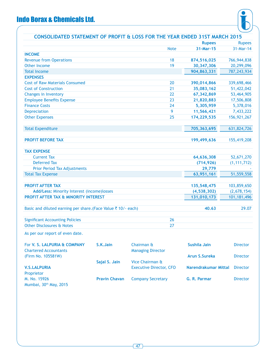

#### **CONSOLIDATED STATEMENT OF PROFIT & LOSS FOR THE YEAR ENDED 31ST MARCH 2015**

|                                                               |          |                                        |             | <b>Rupees</b>   | <b>Rupees</b>   |
|---------------------------------------------------------------|----------|----------------------------------------|-------------|-----------------|-----------------|
|                                                               |          |                                        | <b>Note</b> | 31-Mar-15       | 31-Mar-14       |
| <b>INCOME</b>                                                 |          |                                        |             |                 |                 |
| <b>Revenue from Operations</b>                                |          |                                        | 18          | 874,516,025     | 766, 944, 838   |
| Other Income                                                  |          |                                        | 19          | 30, 347, 306    | 20,299,096      |
| <b>Total Income</b>                                           |          |                                        |             | 904,863,331     | 787, 243, 934   |
| <b>EXPENSES</b>                                               |          |                                        |             |                 |                 |
| <b>Cost of Raw Materials Consumed</b>                         |          |                                        | 20          | 390,014,866     | 339,698,466     |
| <b>Cost of Construction</b>                                   |          |                                        | 21          | 35,083,162      | 51,422,042      |
| <b>Changes in Inventory</b>                                   |          |                                        | 22          | 67,342,869      | 53,464,905      |
| <b>Employee Benefits Expense</b>                              |          |                                        | 23          | 21,820,883      | 17,506,808      |
| <b>Finance Costs</b>                                          |          |                                        | 24          | 5,305,959       | 5,378,016       |
| <b>Depreciation</b>                                           |          |                                        | 9           | 11,566,421      | 7,433,222       |
| <b>Other Expenses</b>                                         |          |                                        | 25          | 174,229,535     | 156, 921, 267   |
| <b>Total Expenditure</b>                                      |          |                                        |             | 705,363,695     | 631,824,726     |
| <b>PROFIT BEFORE TAX</b>                                      |          |                                        |             | 199,499,636     | 155,419,208     |
| <b>TAX EXPENSE</b>                                            |          |                                        |             |                 |                 |
| <b>Current Tax</b>                                            |          |                                        |             | 64,636,308      | 52,671,270      |
| <b>Deferred Tax</b>                                           |          |                                        |             | (714, 926)      | (1, 111, 712)   |
| <b>Prior Period Tax Adjustments</b>                           |          |                                        |             | 29,779          |                 |
| <b>Total Tax Expense</b>                                      |          |                                        |             | 63,951,161      | 51,559,558      |
| <b>PROFIT AFTER TAX</b>                                       |          |                                        |             | 135,548,475     | 103,859,650     |
| <b>Add/Less: Minority Interest (income)losses</b>             |          |                                        |             | (4, 538, 302)   | (2,678,154)     |
| <b>PROFIT AFTER TAX &amp; MINORITY INTEREST</b>               |          |                                        |             | 131,010,173     | 101, 181, 496   |
| Basic and diluted earning per share. (Face Value ₹ 10/- each) |          |                                        |             | 40.63           | 29.07           |
| <b>Significant Accounting Policies</b>                        |          |                                        | 26          |                 |                 |
| <b>Other Disclosures &amp; Notes</b>                          |          |                                        | 27          |                 |                 |
| As per our report of even date.                               |          |                                        |             |                 |                 |
| For V. S. LALPURIA & COMPANY<br><b>Chartered Accountants</b>  | S.K.Jain | Chairman &<br><b>Managing Director</b> |             | Sushila Jain    | <b>Director</b> |
| $(T_{\text{max}})$ <sub>No</sub> $4$ $0E$ $04$ $M$            |          |                                        |             | Amin C. Cimples | Divootor        |

| (Firm No. 105581W)                 |                      |                          | Arun S.Sureka                 | <b>Director</b> |
|------------------------------------|----------------------|--------------------------|-------------------------------|-----------------|
|                                    | Sajal S. Jain        | Vice Chairman &          |                               |                 |
| <b>V.S.LALPURIA</b>                |                      | Executive Director, CFO  | Narendrakumar Mittal Director |                 |
| Proprietor                         |                      |                          |                               |                 |
| M. No. 15926                       | <b>Pravin Chavan</b> | <b>Company Secretary</b> | G. R. Parmar                  | <b>Director</b> |
| Mumbai, 30 <sup>th</sup> May, 2015 |                      |                          |                               |                 |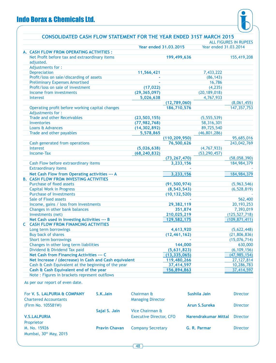

#### **CONSOLIDATED CASH FLOW STATEMENT FOR THE YEAR ENDED 31ST MARCH 2015**

|  |                                                       |                |                              |                       | <b>ALL FIGURES IN RUPEES</b> |
|--|-------------------------------------------------------|----------------|------------------------------|-----------------------|------------------------------|
|  |                                                       |                | <b>Year ended 31.03.2015</b> | Year ended 31.03.2014 |                              |
|  | A. CASH FLOW FROM OPERATING ACTIVITIES :              |                |                              |                       |                              |
|  | Net Profit before tax and extraordinary items         |                | 199,499,636                  |                       | 155,419,208                  |
|  | adjusted.                                             |                |                              |                       |                              |
|  | Adjustments for:                                      |                |                              |                       |                              |
|  | <b>Depreciation</b>                                   | 11,566,421     |                              | 7,433,222             |                              |
|  | Profit/loss on sale/discarding of assets              |                |                              | (86, 143)             |                              |
|  | <b>Preliminary Expenses Amortised</b>                 |                |                              | 16,786                |                              |
|  | Profit/loss on sale of investment                     | (17, 022)      |                              | (4, 235)              |                              |
|  | Income from investments                               | (29, 365, 097) |                              | (20, 189, 018)        |                              |
|  | Interest                                              | 5,026,638      |                              | 4,767,933             |                              |
|  |                                                       |                | (12,789,060)                 |                       | (8,061,455)                  |
|  | Operating profit before working capital changes       |                | 186,710,576                  |                       | 147, 357, 753                |
|  | Adjustments for:                                      |                |                              |                       |                              |
|  | <b>Trade and other Receivables</b>                    | (23, 503, 155) |                              | (5, 555, 539)         |                              |
|  | <b>Inventories</b>                                    | (77, 982, 768) |                              | 58,316,301            |                              |
|  | Loans & Advances                                      | (14, 302, 892) |                              | 89,725,540            |                              |
|  | Trade and other payables                              | 5,578,865      |                              | (46, 801, 286)        |                              |
|  |                                                       |                | (110, 209, 950)              |                       | 95,685,016                   |
|  | Cash generated from operations                        |                | 76,500,626                   |                       | 243,042,769                  |
|  | Interest                                              | (5,026,638)    |                              | (4,767,933)           |                              |
|  | Income-Tax                                            | (68, 240, 832) |                              | (53, 290, 457)        |                              |
|  |                                                       |                | (73, 267, 470)               |                       | (58,058,390)                 |
|  | Cash Flow before extraordinary items                  |                | 3,233,156                    |                       | 184,984,379                  |
|  | <b>Extraordinary items</b>                            |                |                              |                       |                              |
|  | Net Cash Flow from Operating activities --- A         |                | 3,233,156                    |                       | 184,984,379                  |
|  | <b>B. CASH FLOW FROM INVESTING ACTIVITIES</b>         |                |                              |                       |                              |
|  | Purchase of fixed assets                              |                | (91, 500, 974)               |                       | (5,963,546)                  |
|  | <b>Capital Work in Progress</b>                       |                | (8, 543, 543)                |                       | (6,528,819)                  |
|  | <b>Purchase of Investments</b>                        |                | (10, 132, 520)               |                       |                              |
|  | Sale of Fixed assets                                  |                |                              |                       | 562,400                      |
|  | Income, gains / loss from Investments                 |                | 29,382,119                   |                       | 20, 193, 253                 |
|  | Changes in other bank balances                        |                | 351,874                      |                       | 7,393,019                    |
|  | Investments (net)                                     |                | 210,025,219                  |                       | (125, 527, 718)              |
|  | Net Cash used in Investing Activities --- B           |                | 129,582,175                  |                       | (109, 871, 411)              |
|  | <b>C CASH FLOW FROM FINANCING ACTIVITIES</b>          |                |                              |                       |                              |
|  | Long term borrowings                                  |                | 4,613,920                    |                       | (5,622,448)                  |
|  | <b>Buy back of shares</b>                             |                | (12, 461, 162)               |                       | (21, 806, 836)               |
|  | Short term borrowings                                 |                |                              |                       | (15,076,714)                 |
|  | Changes in other long term liabilities                |                | 144,000                      |                       | 630,000                      |
|  | Dividend & Dividend Tax paid                          |                | (5,631,823)                  |                       | (6, 109, 156)                |
|  | Net Cash from Financing Activities --- C              |                | (13, 335, 065)               |                       | (47, 985, 154)               |
|  | Net Increase / (decrease) in Cash and Cash equivalent |                | 119,480,266                  |                       | 27, 127, 814                 |
|  | Cash & Cash Equivalent at the beginning of the year   |                | 37,414,597                   |                       | 10,286,783                   |
|  | Cash & Cash Equivalent end of the year                |                | 156,894,863                  |                       | 37,414,597                   |
|  | Note: Figures in brackets represent outflows          |                |                              |                       |                              |

As per our report of even date.

| For V. S. LALPURIA & COMPANY<br><b>Chartered Accountants</b> | S.K.Jain             | Chairman &<br><b>Managing Director</b> | Sushila Jain         | <b>Director</b> |
|--------------------------------------------------------------|----------------------|----------------------------------------|----------------------|-----------------|
| (Firm No. 105581W)                                           |                      |                                        | Arun S.Sureka        | <b>Director</b> |
|                                                              | Sajal S. Jain        | Vice Chairman &                        |                      |                 |
| <b>V.S.LALPURIA</b>                                          |                      | <b>Executive Director, CFO</b>         | Narendrakumar Mittal | Director        |
| Proprietor                                                   |                      |                                        |                      |                 |
| M. No. 15926                                                 | <b>Pravin Chavan</b> | <b>Company Secretary</b>               | G. R. Parmar         | <b>Director</b> |
| Mumbai, 30 <sup>th</sup> May, 2015                           |                      |                                        |                      |                 |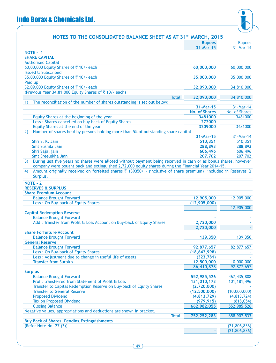

|                                                                                                                                                                                                                                                                                                            | <b>Rupees</b>        | <b>Rupees</b>                                                                                                                                                                                                                    |
|------------------------------------------------------------------------------------------------------------------------------------------------------------------------------------------------------------------------------------------------------------------------------------------------------------|----------------------|----------------------------------------------------------------------------------------------------------------------------------------------------------------------------------------------------------------------------------|
| <b>NOTE - 1</b>                                                                                                                                                                                                                                                                                            | 31-Mar-15            | 31-Mar-14                                                                                                                                                                                                                        |
| <b>SHARE CAPITAL</b>                                                                                                                                                                                                                                                                                       |                      |                                                                                                                                                                                                                                  |
| <b>Authorised Capital</b>                                                                                                                                                                                                                                                                                  |                      |                                                                                                                                                                                                                                  |
| 60,00,000 Equity Shares of ₹ 10/- each                                                                                                                                                                                                                                                                     | 60,000,000           | 60,000,000                                                                                                                                                                                                                       |
| <b>Issued &amp; Subscribed</b>                                                                                                                                                                                                                                                                             |                      |                                                                                                                                                                                                                                  |
| 35,00,000 Equity Shares of ₹ 10/- each                                                                                                                                                                                                                                                                     | 35,000,000           | 35,000,000                                                                                                                                                                                                                       |
| Paid up                                                                                                                                                                                                                                                                                                    |                      |                                                                                                                                                                                                                                  |
| 32,09,000 Equity Shares of ₹ 10/- each                                                                                                                                                                                                                                                                     | 32,090,000           | 34,810,000                                                                                                                                                                                                                       |
| (Previous Year 34,81,000 Equity Shares of ₹10/- each)                                                                                                                                                                                                                                                      |                      |                                                                                                                                                                                                                                  |
| <b>Total</b>                                                                                                                                                                                                                                                                                               | 32,090,000           | 34,810,000                                                                                                                                                                                                                       |
| The reconciliation of the number of shares outstanding is set out below:<br>1)                                                                                                                                                                                                                             |                      |                                                                                                                                                                                                                                  |
|                                                                                                                                                                                                                                                                                                            | 31-Mar-15            | 31-Mar-14                                                                                                                                                                                                                        |
|                                                                                                                                                                                                                                                                                                            | <b>No. of Shares</b> | No. of Shares                                                                                                                                                                                                                    |
| Equity Shares at the beginning of the year                                                                                                                                                                                                                                                                 | 3481000              | 3481000                                                                                                                                                                                                                          |
| Less: Shares cancelled on buy back of Equity Shares                                                                                                                                                                                                                                                        | 272000               |                                                                                                                                                                                                                                  |
| Equity Shares at the end of the year                                                                                                                                                                                                                                                                       | 3209000              | 3481000                                                                                                                                                                                                                          |
| Number of shares held by persons holding more than 5% of outstanding share capital :<br>2)                                                                                                                                                                                                                 |                      |                                                                                                                                                                                                                                  |
|                                                                                                                                                                                                                                                                                                            | 31-Mar-15            | 31-Mar-14                                                                                                                                                                                                                        |
| Shri S. K. Jain                                                                                                                                                                                                                                                                                            | 510,351              | 510,351                                                                                                                                                                                                                          |
| Smt Sushila Jain                                                                                                                                                                                                                                                                                           | 288,893              | 288,893                                                                                                                                                                                                                          |
| Shri Sajal jain                                                                                                                                                                                                                                                                                            | 606,496              | 606,496                                                                                                                                                                                                                          |
| Smt Sreelekha Jain                                                                                                                                                                                                                                                                                         | 207,702              | 207,702                                                                                                                                                                                                                          |
| NOTE - 2                                                                                                                                                                                                                                                                                                   |                      |                                                                                                                                                                                                                                  |
| <b>RESERVES &amp; SURPLUS</b>                                                                                                                                                                                                                                                                              |                      |                                                                                                                                                                                                                                  |
|                                                                                                                                                                                                                                                                                                            |                      |                                                                                                                                                                                                                                  |
| <b>Balance Brought Forward</b>                                                                                                                                                                                                                                                                             | 12,905,000           |                                                                                                                                                                                                                                  |
| Less: On Buy-back of Equity Shares                                                                                                                                                                                                                                                                         | (12, 905, 000)       |                                                                                                                                                                                                                                  |
|                                                                                                                                                                                                                                                                                                            |                      |                                                                                                                                                                                                                                  |
| <b>Balance Brought Forward</b>                                                                                                                                                                                                                                                                             |                      |                                                                                                                                                                                                                                  |
| Add: Transfer from Profit & Loss Account on Buy-back of Equity Shares                                                                                                                                                                                                                                      | 2,720,000            |                                                                                                                                                                                                                                  |
|                                                                                                                                                                                                                                                                                                            | 2,720,000            |                                                                                                                                                                                                                                  |
|                                                                                                                                                                                                                                                                                                            |                      |                                                                                                                                                                                                                                  |
| <b>Balance Brought Forward</b>                                                                                                                                                                                                                                                                             | 139,350              |                                                                                                                                                                                                                                  |
|                                                                                                                                                                                                                                                                                                            |                      |                                                                                                                                                                                                                                  |
| <b>Balance Brought Forward</b>                                                                                                                                                                                                                                                                             | 92,877,657           |                                                                                                                                                                                                                                  |
| Less: On Buy-back of Equity Shares                                                                                                                                                                                                                                                                         | (18, 642, 998)       |                                                                                                                                                                                                                                  |
| Less : Adjustment due to change in useful life of assets                                                                                                                                                                                                                                                   | (323, 781)           |                                                                                                                                                                                                                                  |
| <b>Transfer from Surplus</b>                                                                                                                                                                                                                                                                               | 12,500,000           |                                                                                                                                                                                                                                  |
|                                                                                                                                                                                                                                                                                                            | 86,410,878           |                                                                                                                                                                                                                                  |
|                                                                                                                                                                                                                                                                                                            |                      |                                                                                                                                                                                                                                  |
| <b>Balance Brought Forward</b>                                                                                                                                                                                                                                                                             | 552,985,526          |                                                                                                                                                                                                                                  |
| Profit transferred from Statement of Profit & Loss                                                                                                                                                                                                                                                         | 131,010,173          |                                                                                                                                                                                                                                  |
| Transfer to Capital Redemption Reserve on Buy-back of Equity Shares                                                                                                                                                                                                                                        | (2,720,000)          |                                                                                                                                                                                                                                  |
| <b>Transfer to General Reserve</b>                                                                                                                                                                                                                                                                         | (12,500,000)         |                                                                                                                                                                                                                                  |
| <b>Proposed Dividend</b>                                                                                                                                                                                                                                                                                   | (4, 813, 729)        |                                                                                                                                                                                                                                  |
| Tax on Proposed Dividend                                                                                                                                                                                                                                                                                   | (979, 915)           |                                                                                                                                                                                                                                  |
| <b>Closing Balance</b>                                                                                                                                                                                                                                                                                     | 662,982,055          |                                                                                                                                                                                                                                  |
|                                                                                                                                                                                                                                                                                                            |                      |                                                                                                                                                                                                                                  |
| <b>Total</b>                                                                                                                                                                                                                                                                                               | 752,252,283          |                                                                                                                                                                                                                                  |
|                                                                                                                                                                                                                                                                                                            |                      |                                                                                                                                                                                                                                  |
| <b>Share Premium Account</b><br><b>Capital Redemption Reserve</b><br><b>Share Forfeiture Account</b><br><b>General Reserve</b><br><b>Surplus</b><br>Negative values, appropriations and deductions are shown in bracket.<br><b>Buy Back of Shares - Pending Extinguishments</b><br>(Refer Note No. 27 (3)) |                      | 12,905,000<br>12,905,000<br>139,350<br>82,877,657<br>10,000,000<br>92,877,657<br>467, 435, 808<br>101, 181, 496<br>(10,000,000)<br>(4, 813, 724)<br>(818, 054)<br>552,985,526<br>658,907,533<br>(21, 806, 836)<br>(21, 806, 836) |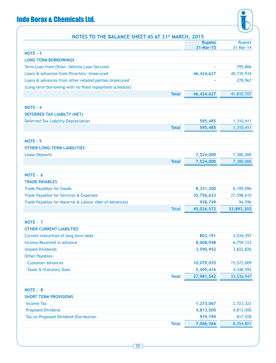

| NOTES TO THE BALANCE SHEET AS AT 31 <sup>st</sup> MARCH, 2015 |              |                            |                            |
|---------------------------------------------------------------|--------------|----------------------------|----------------------------|
|                                                               |              | <b>Rupees</b><br>31-Mar-15 | <b>Rupees</b><br>31-Mar-14 |
| NOTE - 3                                                      |              |                            |                            |
| <b>LONG TERM BORROWINGS</b>                                   |              |                            |                            |
| Term Loan from Other - Vehicle Loan-Secured                   |              |                            | 795,806                    |
| Loans & advances from Directors - Unsecured                   |              | 46,424,627                 | 40,735,934                 |
| Loans & advances from other related parties-Unsecured         |              |                            | 278,967                    |
| (Long term borrowing with no fixed repayment schedule)        |              |                            |                            |
|                                                               | <b>Total</b> | 46, 424, 627               | 41,810,707                 |
|                                                               |              |                            |                            |
| NOTE - 4                                                      |              |                            |                            |
| <b>DEFERRED TAX LIABILTY (NET)</b>                            |              |                            |                            |
| <b>Deferred Tax Liability Depreciation</b>                    |              | 595,485                    | 1,310,411                  |
|                                                               | <b>Total</b> | 595,485                    | 1,310,411                  |
|                                                               |              |                            |                            |
| NOTE - 5                                                      |              |                            |                            |
| <b>OTHER LONG-TERM LIABILITIES</b>                            |              |                            |                            |
| <b>Lease Deposits</b>                                         |              | 7,524,000                  | 7,380,000                  |
|                                                               | <b>Total</b> | 7,524,000                  | 7,380,000                  |
|                                                               |              |                            |                            |
| NOTE - 6                                                      |              |                            |                            |
| <b>TRADE PAYABLES</b>                                         |              |                            |                            |
| <b>Trade Payables for Goods</b>                               |              | 8,331,200                  | 6,199,096                  |
| Trade Payables for Services & Expenses                        |              | 35,756,623                 | 27,598,610                 |
| Trade Payables for Material & Labour (Net of Advances)        |              | 938,749                    | 94,596                     |
|                                                               | <b>Total</b> | 45,026,572                 | 33,892,302                 |
|                                                               |              |                            |                            |
| NOTE - 7                                                      |              |                            |                            |
| <b>OTHER CURRENT LIABILTIES</b>                               |              |                            |                            |
| Current maturities of long term debt                          |              | 803,191                    | 3,034,397                  |
| Income Received in advance                                    |              | 8,008,948                  | 6,759,123                  |
| <b>Unpaid Dividends</b>                                       |              | 3,590,952                  | 3,822,826                  |
| <b>Other Payables</b>                                         |              |                            |                            |
| -Customer advances                                            |              | 10,079,035                 | 15,572,009                 |
| -Taxes & Statutory Dues                                       |              | 5,499,416                  | 4,348,592                  |
|                                                               | <b>Total</b> | 27,981,542                 | 33,536,947                 |
|                                                               |              |                            |                            |
| NOTE - 8                                                      |              |                            |                            |
| <b>SHORT TERM PROVISIONS</b>                                  |              |                            |                            |
| <b>Income Tax</b>                                             |              | 1,273,067                  | 2,723,323                  |
| <b>Proposed Dividend</b>                                      |              | 4,813,500                  | 4,813,500                  |
| Tax on Proposed Dividend Distribution                         |              | 979,799                    | 817,978                    |
|                                                               | <b>Total</b> | 7,066,366                  | 8,354,801                  |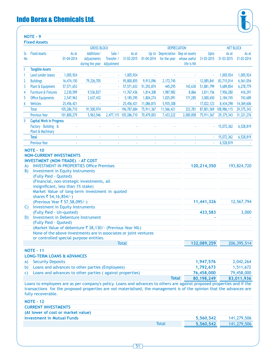

**NOTE - 9**

|                            | <b>Fixed Assets</b>                                                                                                                         |                     |                                              |                                    |                       |                     |               |                                                           |                          |                        |                     |
|----------------------------|---------------------------------------------------------------------------------------------------------------------------------------------|---------------------|----------------------------------------------|------------------------------------|-----------------------|---------------------|---------------|-----------------------------------------------------------|--------------------------|------------------------|---------------------|
|                            |                                                                                                                                             |                     | <b>GROSS BLOCK</b>                           |                                    |                       |                     |               | <b>DEPRECIATION</b>                                       |                          | <b>NET BLOCK</b>       |                     |
| Sr.<br>No                  | <b>Fixed Assets</b>                                                                                                                         | As at<br>01-04-2014 | Additions/<br>Adjustments<br>during the year | Sale /<br>Transfer /<br>Adjustment | As at<br>31-03-2015   | Up to<br>01-04-2014 | for the year  | Depreciation Dep on assets<br>whose useful<br>life is Nil | Upto<br>31-03-2015       | As at<br>31-03-2015    | As at<br>31-03-2014 |
| T                          | <b>Tangible Assets</b>                                                                                                                      |                     |                                              |                                    |                       |                     |               |                                                           |                          |                        |                     |
| 1                          | Land (under lease)                                                                                                                          | 1,005,924           | $\bar{\phantom{a}}$                          | ä,                                 | 1,005,924             | $\blacksquare$      | $\mathcal{L}$ |                                                           | $\overline{\phantom{a}}$ | 1,005,924              | 1,005,924           |
| $\mathbf{2}$               | <b>Buildings</b>                                                                                                                            | 16,474,150          | 79,326,705                                   |                                    | 95,800,855            | 9,913,096           | 2,172,745     |                                                           | 12,085,841               | 83,715,014             | 6,561,054           |
| 3                          | Plant & Equipment                                                                                                                           | 57,571,653          | ä,                                           |                                    | 57,571,653            | 51,292,874          | 445,295       | 143,630                                                   | 51,881,799               | 5,689,854              | 6,278,779           |
| 4                          | <b>Furniture &amp; Fixtures</b>                                                                                                             | 2,230,599           | 9,536,837                                    |                                    | 11,767,436            | 1,814,308           | 1,987,982     | 8,866                                                     | 3,811,156                | 7,956,280              | 416,291             |
| 5                          | <b>Office Equipments</b>                                                                                                                    | 2,547,963           | 2,637,432                                    | ¥.                                 | 5, 185, 395           | 1,804,274           | 1,025,091     | 171,285                                                   | 3,000,650                | 2, 184, 745            | 743,689             |
| 6                          | <b>Vehicles</b>                                                                                                                             | 25,456,421          | ä,                                           | $\mathcal{L}_{\rm{max}}$           | 25,456,421            | 11,086,815          | 5,935,308     | $\mathcal{L}$                                             | 17,022,123               | 8,434,298              | 14,369,606          |
|                            | <b>Total</b>                                                                                                                                | 105,286,710         | 91,500,974                                   |                                    | $-196,787,684$        | 75,911,367          | 11,566,421    | 323,781                                                   |                          | 87,801,569 108,986,115 | 29,375,343          |
|                            | Previous Year                                                                                                                               | 101,800,279         | 5,963,546                                    |                                    | 2,477,115 105,286,710 | 70,479,003          | 7,433,222     | 2,000,858                                                 |                          | 75,911,367 29,375,343  | 31,321,276          |
| $\mathop{\rm II}\nolimits$ | <b>Capital Work in Progress</b>                                                                                                             |                     |                                              |                                    |                       |                     |               |                                                           |                          |                        |                     |
|                            | Factory Building &<br>Plant & Machinary                                                                                                     |                     |                                              |                                    |                       |                     |               |                                                           |                          | 15,072,362             | 6,528,819           |
|                            | <b>Total</b>                                                                                                                                | ä,                  | ÷,                                           | ä,                                 | ä,                    | ä,                  | ä,            | ä,                                                        |                          | 15,072,362             | 6,528,819           |
|                            | <b>Previous Year</b>                                                                                                                        |                     |                                              |                                    |                       |                     |               |                                                           | ÷.                       | 6,528,819              |                     |
|                            | <b>NOTE - 10</b>                                                                                                                            |                     |                                              |                                    |                       |                     |               |                                                           |                          |                        |                     |
|                            | <b>NON-CURRENT INVESTMENTS</b>                                                                                                              |                     |                                              |                                    |                       |                     |               |                                                           |                          |                        |                     |
|                            | <b>INVESTMENT (NON-TRADE) - AT COST</b>                                                                                                     |                     |                                              |                                    |                       |                     |               |                                                           |                          |                        |                     |
| $\mathsf{A}$               | <b>INVESTMENT IN PROPERTIES Office Premises</b>                                                                                             |                     |                                              |                                    |                       |                     |               |                                                           | 120,214,350              |                        | 193,824,720         |
| B)                         | Investment in Equity Instruments                                                                                                            |                     |                                              |                                    |                       |                     |               |                                                           |                          |                        |                     |
|                            | (Fully Paid - Quoted)                                                                                                                       |                     |                                              |                                    |                       |                     |               |                                                           |                          |                        |                     |
|                            | (Financial, non-stretegic investments, all                                                                                                  |                     |                                              |                                    |                       |                     |               |                                                           |                          |                        |                     |
|                            | insignificant, less than 1% stake)                                                                                                          |                     |                                              |                                    |                       |                     |               |                                                           |                          |                        |                     |
|                            | Market Value of long-term investment in quoted                                                                                              |                     |                                              |                                    |                       |                     |               |                                                           |                          |                        |                     |
|                            | shares ₹ 54,16,854/-)                                                                                                                       |                     |                                              |                                    |                       |                     |               |                                                           |                          |                        |                     |
|                            | (Previous Year ₹ 57,58,095/-)                                                                                                               |                     |                                              |                                    |                       |                     |               |                                                           | 11,441,326               |                        | 12,567,794          |
| C)                         | Investment in Equity Instruments<br>(Fully Paid - Un-quoted)                                                                                |                     |                                              |                                    |                       |                     |               |                                                           | 433,583                  |                        | 3,000               |
| D)                         | Investment in Debenture Instrument                                                                                                          |                     |                                              |                                    |                       |                     |               |                                                           |                          |                        |                     |
|                            | (Fully Paid - Quoted)                                                                                                                       |                     |                                              |                                    |                       |                     |               |                                                           |                          |                        |                     |
|                            | (Market Value of debenture ₹ 38,130/ - (Previous Year NIL)                                                                                  |                     |                                              |                                    |                       |                     |               |                                                           |                          |                        |                     |
|                            | None of the above investments are in associates or joint ventures                                                                           |                     |                                              |                                    |                       |                     |               |                                                           |                          |                        |                     |
|                            | or controlled special purpose entities.                                                                                                     |                     |                                              |                                    |                       |                     |               |                                                           |                          |                        |                     |
|                            |                                                                                                                                             |                     |                                              |                                    | <b>Total</b>          |                     |               |                                                           | 132,089,259              |                        | 206, 395, 514       |
|                            | <b>NOTE - 11</b>                                                                                                                            |                     |                                              |                                    |                       |                     |               |                                                           |                          |                        |                     |
|                            | <b>LONG-TERM LOANS &amp; ADVANCES</b>                                                                                                       |                     |                                              |                                    |                       |                     |               |                                                           |                          |                        |                     |
| a)                         | <b>Security Deposits</b>                                                                                                                    |                     |                                              |                                    |                       |                     |               |                                                           | 1,947,576                |                        | 2,042,264           |
| b)                         | Loans and advances to other parties (Employees)                                                                                             |                     |                                              |                                    |                       |                     |               |                                                           | 1,792,673                |                        | 1,511,672           |
| C)                         | Loans and advances to other parties (against properties)                                                                                    |                     |                                              |                                    |                       |                     |               |                                                           | 76,458,000               |                        | 79,458,000          |
|                            |                                                                                                                                             |                     |                                              |                                    |                       |                     | <b>Total</b>  |                                                           | 80, 198, 249             |                        | 83,011,936          |
|                            | Loans to employees are as per company's policy. Loans and advances to others are against proposed properties and if the                     |                     |                                              |                                    |                       |                     |               |                                                           |                          |                        |                     |
|                            | transactions for the proposed properties are not materialised, the management is of the opinion that the advances are<br>fully recoverable. |                     |                                              |                                    |                       |                     |               |                                                           |                          |                        |                     |
|                            | <b>NOTE - 12</b>                                                                                                                            |                     |                                              |                                    |                       |                     |               |                                                           |                          |                        |                     |
|                            | <b>CURRENT INVESTMENTS</b>                                                                                                                  |                     |                                              |                                    |                       |                     |               |                                                           |                          |                        |                     |
|                            | (At lower of cost or market value)                                                                                                          |                     |                                              |                                    |                       |                     |               |                                                           |                          |                        |                     |
|                            | <b>Investment in Mutual Funds</b>                                                                                                           |                     |                                              |                                    |                       |                     |               |                                                           | 5,560,542                |                        | 141,279,506         |
|                            |                                                                                                                                             |                     |                                              |                                    |                       |                     | <b>Total</b>  |                                                           | 5,560,542                |                        | 141,279,506         |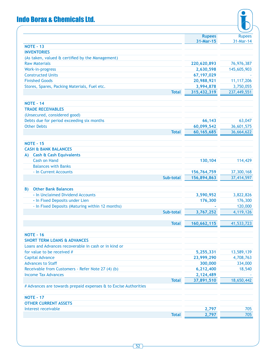|                                                                 |              | <b>Rupees</b> | <b>Rupees</b> |
|-----------------------------------------------------------------|--------------|---------------|---------------|
|                                                                 |              | 31-Mar-15     | 31-Mar-14     |
| <b>NOTE - 13</b>                                                |              |               |               |
| <b>INVENTORIES</b>                                              |              |               |               |
| (As taken, valued & certified by the Management)                |              |               |               |
| <b>Raw Materials</b>                                            |              | 220,620,893   | 76,976,387    |
| Work-in-progress                                                |              | 2,630,598     | 145,605,903   |
| <b>Constructed Units</b>                                        |              | 67,197,029    |               |
| <b>Finished Goods</b>                                           |              | 20,988,921    | 11, 117, 206  |
| Stores, Spares, Packing Materials, Fuel etc.                    |              | 3,994,878     | 3,750,055     |
|                                                                 | <b>Total</b> | 315,432,319   | 237,449,551   |
| <b>NOTE - 14</b>                                                |              |               |               |
| <b>TRADE RECEIVABLES</b>                                        |              |               |               |
| (Unsecured, considered good)                                    |              |               |               |
| Debts due for period exceeding six months                       |              | 66,143        | 63,047        |
| <b>Other Debts</b>                                              |              | 60,099,542    | 36,601,575    |
|                                                                 | <b>Total</b> | 60,165,685    | 36,664,622    |
|                                                                 |              |               |               |
| <b>NOTE - 15</b>                                                |              |               |               |
| <b>CASH &amp; BANK BALANCES</b>                                 |              |               |               |
| A) Cash & Cash Equivalents<br><b>Cash on Hand</b>               |              |               |               |
| <b>Balances with Banks</b>                                      |              | 130,104       | 114,429       |
| - In Current Accounts                                           |              | 156,764,759   | 37,300,168    |
|                                                                 | Sub-total    | 156,894,863   | 37,414,597    |
|                                                                 |              |               |               |
| <b>Other Bank Balances</b><br>B)                                |              |               |               |
| - In Unclaimed Dividend Accounts                                |              | 3,590,952     | 3,822,826     |
| - In Fixed Deposits under Lien                                  |              | 176,300       | 176,300       |
| - In Fixed Deposits (Maturing within 12 months)                 |              |               | 120,000       |
|                                                                 | Sub-total    | 3,767,252     | 4, 119, 126   |
|                                                                 |              |               |               |
|                                                                 | <b>Total</b> | 160,662,115   | 41,533,723    |
| <b>NOTE - 16</b>                                                |              |               |               |
| <b>SHORT TERM LOANS &amp; ADVANCES</b>                          |              |               |               |
| Loans and Advances recoverable in cash or in kind or            |              |               |               |
| for value to be received #                                      |              | 5,255,331     | 13,589,139    |
| <b>Capital Advance</b>                                          |              | 23,999,290    | 4,708,763     |
| <b>Advances to Staff</b>                                        |              | 300,000       | 334,000       |
| Receivable from Customers - Refer Note 27 (4) (b)               |              | 6,212,400     | 18,540        |
| <b>Income Tax Advances</b>                                      |              | 2,124,489     |               |
|                                                                 | <b>Total</b> | 37,891,510    | 18,650,442    |
| # Advances are towards prepaid expenses & to Excise Authorities |              |               |               |
| <b>NOTE - 17</b>                                                |              |               |               |
| <b>OTHER CURRENT ASSETS</b>                                     |              |               |               |
| Interest receivable                                             |              | 2,797         | 705           |
|                                                                 | <b>Total</b> | 2,797         | 705           |

 $\left| \begin{matrix} 0 \\ 1 \end{matrix} \right|$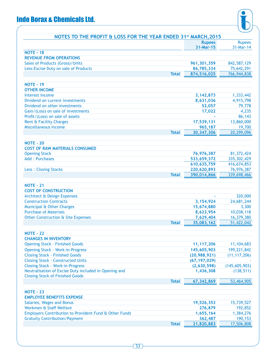

| NOTES TO THE PROFIT & LOSS FOR THE YEAR ENDED 31st MARCH, 2015          |                         |                       |
|-------------------------------------------------------------------------|-------------------------|-----------------------|
|                                                                         | <b>Rupees</b>           | <b>Rupees</b>         |
|                                                                         | 31-Mar-15               | 31-Mar-14             |
| <b>NOTE - 18</b><br><b>REVENUE FROM OPERATIONS</b>                      |                         |                       |
| Sales of Products (Gross)/Units                                         | 961,301,359             | 842,587,129           |
| Less: Excise Duty on sale of Products                                   | 86,785,334              | 75,642,291            |
| <b>Total</b>                                                            | 874,516,025             | 766,944,838           |
|                                                                         |                         |                       |
| <b>NOTE - 19</b>                                                        |                         |                       |
| <b>OTHER INCOME</b>                                                     |                         |                       |
| Interest Income                                                         | 3, 142, 873             | 1,333,442             |
| Dividend on current investments                                         | 8,631,036               | 4,915,798             |
| Dividend on other investments                                           | 52,057                  | 79,778                |
| Gain/(Loss) on sale of investments                                      | 17,022                  | 4,235                 |
| Profit/(Loss) on sale of assets                                         |                         | 86,143                |
| Rent & Facility Charges<br>Miscellaneous Income                         | 17,539,131              | 13,860,000            |
| <b>Total</b>                                                            | 965,187<br>30, 347, 306 | 19,700<br>20,299,096  |
|                                                                         |                         |                       |
| <b>NOTE - 20</b>                                                        |                         |                       |
| <b>COST OF RAW MATERIALS CONSUMED</b>                                   |                         |                       |
| <b>Opening Stock</b>                                                    | 76,976,387              | 81,372,424            |
| <b>Add: Purchases</b>                                                   | 533,659,372             | 335, 302, 429         |
|                                                                         | 610,635,759             | 416,674,853           |
| <b>Less: Closing Stocks</b>                                             | 220,620,893             | 76,976,387            |
| <b>Total</b>                                                            | 390,014,866             | 339,698,466           |
|                                                                         |                         |                       |
| <b>NOTE - 21</b>                                                        |                         |                       |
| <b>COST OF CONSTRUCTION</b>                                             |                         |                       |
| <b>Architect &amp; Design Expenses</b><br><b>Construction Contracts</b> | 3, 154, 924             | 320,000<br>24,681,244 |
| Municipal & Other Charges                                               | 15,674,880              | 3,300                 |
| <b>Purchase of Materials</b>                                            | 8,623,954               | 10,038,118            |
| <b>Other Construction &amp; Site Expenses</b>                           | 7,629,404               | 16,379,380            |
| <b>Total</b>                                                            | 35,083,162              | 51,422,042            |
|                                                                         |                         |                       |
| <b>NOTE - 22</b>                                                        |                         |                       |
| <b>CHANGES IN INVENTORY</b>                                             |                         |                       |
| <b>Opening Stock - Finished Goods</b>                                   | 11, 117, 206            | 11, 104, 683          |
| <b>Opening Stock - Work-in-Progress</b>                                 | 145,605,903             | 199,221,842           |
| <b>Closing Stock - Finished Goods</b>                                   | (20, 988, 921)          | (11, 117, 206)        |
| <b>Closing Stock - Constructed Units</b>                                | (67, 197, 029)          |                       |
| <b>Closing Stock - Work-in-Progress</b>                                 | (2,630,598)             | (145, 605, 903)       |
| Neutralisation of Excise Duty included in Opening and                   | 1,436,308               | (138, 511)            |
| <b>Closing Stock of Finished Goods</b><br><b>Total</b>                  | 67,342,869              | 53,464,905            |
|                                                                         |                         |                       |
| <b>NOTE - 23</b>                                                        |                         |                       |
| <b>EMPLOYEE BENEFITS EXPENSE</b>                                        |                         |                       |
| Salaries, Wages and Bonus                                               | 19,526,353              | 15,739,527            |
| Workmen & Staff Welfare                                                 | 276,879                 | 192,852               |
| Employers Contribution to Provident Fund & Other Funds                  | 1,655,164               | 1,384,276             |
| <b>Gratuity Contribution/Payment</b>                                    | 362,487                 | 190,153               |
| <b>Total</b>                                                            | 21,820,883              | 17,506,808            |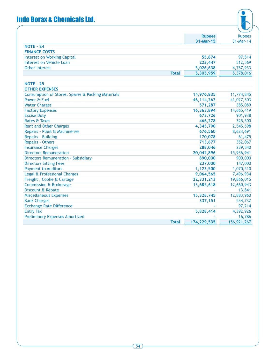| <b>Indo Borax &amp; Chemicals Ltd.</b>            |              |               |               |
|---------------------------------------------------|--------------|---------------|---------------|
|                                                   |              | <b>Rupees</b> | <b>Rupees</b> |
|                                                   |              | 31-Mar-15     | 31-Mar-14     |
| <b>NOTE - 24</b>                                  |              |               |               |
| <b>FINANCE COSTS</b>                              |              |               |               |
| <b>Interest on Working Capital</b>                |              | 55,874        | 97,514        |
| Interest on Vehicle Loan                          |              | 223,447       | 512,569       |
| <b>Other Interest</b>                             |              | 5,026,638     | 4,767,933     |
|                                                   | <b>Total</b> | 5,305,959     | 5,378,016     |
| <b>NOTE - 25</b>                                  |              |               |               |
| <b>OTHER EXPENSES</b>                             |              |               |               |
| Consumption of Stores, Spares & Packing Materials |              | 14,976,835    | 11,774,845    |
| Power & Fuel                                      |              | 46, 114, 262  | 41,027,303    |
| <b>Water Charges</b>                              |              | 571,287       | 385,089       |
| <b>Factory Expenses</b>                           |              | 16,363,894    | 14,665,419    |
| <b>Excise Duty</b>                                |              | 673,726       | 901,938       |

Rates & Taxes **466,278** 325,500 Rent and Other Charges **4,345,790** 2,545,598 Repairs - Plant & Machineries **676,560** 8,624,691 Repairs - Building **170,078** 61,475 Repairs - Others **713,677** 352,067 Insurance Charges **288,046** 239,540 Directors Remuneration **20,042,896** 15,936,941 Directors Remuneration - Subsidiary **890,000** 900,000 Directors Sitting Fees **237,000** 147,000 Payment to Auditors **1,123,500** 1,070,510 Legal & Professional Charges **9,064,565** 7,496,934 Freight , Coolie & Cartage **22,331,213** 19,866,015 Commission & Brokerage **13,685,618** 12,660,943 Discount & Rebate **-** 13,841 Miscellaneous Expenses **15,328,745** 12,883,960 Bank Charges **337,151** 534,732 Exchange Rate Difference **-** 97,214 Entry Tax **5,828,414** 4,392,926 Preliminery Expenses Amortized **-** 16,786

 **Total 174,229,535** 156,921,267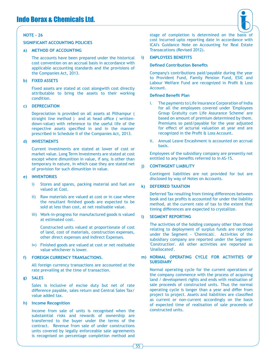

#### **NOTE - 26**

#### **SIGNIFICANT ACCOUNTING POLICIES**

#### **a) METHOD OF ACCOUNTING**

The accounts have been prepared under the historical cost convention on an accrual basis in accordance with applicable accounting standards and the provisions of the Companies Act, 2013.

#### **b) FIXED ASSETS**

Fixed assets are stated at cost alongwith cost directly attributable to bring the assets to their working condition.

#### **c) DEPRECIATION**

Depreciation is provided on all assets at Pithampur ( straight line method ) and at head office ( writtendown-value) with reference to the useful life of the respective assets specified in and in the manner prescribed in Schedule II of the Companies Act, 2013.

#### **d) INVESTMENTS**

Current investments are stated at lower of cost or market value. Long Term Investments are stated at cost except where dimunition in value, if any, is other than temporary in nature, in which case they are stated net of provision for such dimunition in value.

#### **e) INVENTORIES**

- i) Stores and spares, packing material and fuel are valued at Cost.
- ii) Raw materials are valued at cost or in case where the resultant finished goods are expected to be sold at less than cost, at net realisable value.
- iii) Work-in-progress for manufactured goods is valued at estimated cost.

 Constructed units valued at proportionate of cost of land, cost of materials, construction expenses, other direct expenses and indirect Expenses.

iv) Finished goods are valued at cost or net realisable value whichever is lower.

#### **f) FOREIGN CURRENCY TRANSACTIONS.**

All foreign currency transactions are accounted at the rate prevailing at the time of transaction.

#### **g) SALES**

Sales is inclusive of excise duty but net of rate difference payable, sales return and Central Sales Tax/ value added tax.

#### **h) Income Recognition**

Income from sale of units is recognised when the substaintial risks and rewards of ownership are transferred to the buyer under the terms of the contract. Revenue from sale of under constructions units covered by legally enforceable sale agreements is recognised on percentage completion method and

stage of completion is determined on the basis of cost incurred upto reporting date in accordance with ICAI's Guidance Note on Accounting for Real Estate Transacations (Revised 2012).

#### **i) EMPLOYEES BENEFITS**

#### **Defined Contribution Benefits**

Company's contributions paid/payable during the year to Provident Fund, Family Pension Fund, ESIC and Labour Welfare Fund are recognized in Profit & Loss Account.

#### **Defined Benefit Plan**

- i. The payments to Life Insurance Corporation of India for all the employees covered under 'Employees Group Gratuity cum Life Assurance Scheme' are based on amount of premium determined by them. Premiums so paid/payable for the year adjusted for effect of acturial valuation at year end are recognized in the Profit & Loss Account.
- ii. Annual Leave Encashment is accounted on accrual basis.

 Employees of the subsidiary company are presently not entitled to any benefits referred to in AS-15.

#### **j) CONTINGENT LIABILITY**

Contingent liabilities are not provided for but are disclosed by way of Notes on Accounts.

#### **k) DEFERRED TAXATION**

Deferred Tax resulting from timing differences between book and tax profits is accounted for under the liability method, at the current rate of tax to the extent that timing differences are expected to crystallize.

#### **l) SEGMENT REPORTING**

The activities of the holding company other than those relating to deployment of surplus funds are reported under the Segment - 'Chemicals'. Activities of the subsidiary company are reported under the Segment- 'Construction'. All other activities are reported as 'Unallocated'.

#### **m) NORMAL OPERATING CYCLE FOR ACTIVITIES OF SUBSIDIARY**

 Normal operating cycle for the current operations of the company commence with the process of acquiring land / development rights and ends with realisation of sale proceeds of constructed units. Thus the normal operating cycle is longer than a year and differ from project to project. Assets and liabilities are classified as current or non-current accordingly on the basis of expected time of realisation of sale proceeds of constructed units.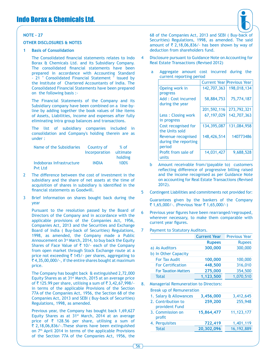#### **NOTE - 27**

#### **OTHER DISCLOSURES & NOTES**

#### **1 Basis of Consolidation**

The Consolidated financial statements relates to Indo Borax & Chemicals Ltd. and its Subsidiary Company. The consolidated financial statements have been prepared in accordance with Accounting Standard - 21 " Consolidated Financial Statement " issued by the Institute of Chartered Accountants of India. The Consolidated Financial Statements have been prepared on the following basis :-

 The Financial Statements of the Company and its Subsidiary company have been combined on a line-byline by adding together the book values of like items of Assets, Liabilities, Income and expenses after fully eliminating intra group balances and transactions.

 The list of subsidiary companies included in consolidation and Company's holding therein are as under :

| Name of the Subsidiaries | Country of    | $%$ of   |
|--------------------------|---------------|----------|
|                          | Incorporation | ultimate |
|                          |               | holding  |
| Indoborax Infrastructure | <b>INDIA</b>  | 100%     |
| <b>Pyt Ltd</b>           |               |          |

- 2 The difference between the cost of investment in the subsidiary and the share of net assets at the time of acquisition of shares in subsidiary is identified in the financial statements as Goodwill.
- 3 Brief Information on shares bought back during the year

 Pursuant to the resolution passed by the Board of Directors of the Company and in accordance with the applicable provisions of the Companies Act, 1956, Companies Act, 2013 and the Securities and Exchange Board of India ( Buy-back of Securities) Regulations, 1998, as amended, the Company made a Public Annoucement on 3rd March, 2014, to buy back the Equity Shares of Face Value of  $\bar{\tau}$  10/- each of the Company from open market through Stock Exchange route at a price not exceeding  $\bar{\tau}$  145/- per shares, aggregating to  $\bar{\tau}$  4,35,00,000/-, if the entire shares bought at maximum price.

The Company has bought back & extinguished 2,72,000 Equity Shares as at 31st March, 2015 at an average price of  $\bar{\tau}$  125.99 per share, utilising a sum of  $\bar{\tau}$  3,42,67,998/in terms of the applicable Provisions of the Section 77A of the Companies Act, 1956, the Section 68 of the Companies Act, 2013 and SEBI ( Buy-back of Securities) Regulations, 1998, as amended.

Previous year, the Company has bought back 1,69,627 Equity Shares as at 31<sup>st</sup> March, 2014 at an average price of  $\bar{\tau}$  128.56 per share, utilising a sum of  $\bar{z}$  2,18,06,836/-.These shares have been extinguished on 7th April 2014 in terms of the applicable Provisions of the Section 77A of the Companies Act, 1956, the



68 of the Companies Act, 2013 and SEBI ( Buy-back of Securities) Regulations, 1998, as amended. The said amount of  $\bar{\tau}$  2,18,06,836/- has been shown by way of deduction from shareholders fund.

- 4 Disclosure pursuant to Guidance Note on Accounting for Real Estate Transactions (Revised 2012)
	- a Aggregate amount cost incurred during the current reporting period

|                                                      |              | <b>Current Year Previous Year</b> |
|------------------------------------------------------|--------------|-----------------------------------|
| Opeing work in<br>progress                           | 142,707,363  | 198,018,134                       |
| Add: Cost incurred<br>during the year                | 58,884,753   | 75,774,187                        |
|                                                      | 201,592,116  | 273,792,321                       |
| Less: Closing work<br>in progress                    | 67, 197, 029 | 142,707,363                       |
| Cost recognised for<br>the Units sold                | 134,395,087  | 131,084,958                       |
| Revenue recognised<br>during the reporting<br>period | 148,426,514  | 140773486                         |
| Profit from sale of<br>units                         | 14,031,427   | 9.688.528                         |

- b Amount receivable from/(payable to) customers reflecting difference of progressive billing raised and the income recognised as per Guidance Note on accounting for Real Estate Transactions (Revised 2012).
- 5 Contingent Liabilities and commitments not provided for:

 Guarantees given by the bankers of the Company ₹ 1,65,000/-. (Previous Year ₹ 1,65,000/-)

- 6 Previous year figures have been rearranged/regrouped, wherever necessary, to make them comparable with current year figures.
- 7 Payment to Statutory Auditors.

|                                              | <b>Current Year</b> | <b>Previous Year</b> |
|----------------------------------------------|---------------------|----------------------|
|                                              | <b>Rupees</b>       | <b>Rupees</b>        |
| a) As Auditors                               | 300,000             | 300,000              |
| b) In Other Capacity                         |                     |                      |
| <b>For Tax Audit</b>                         | 100,000             | 100,000              |
| <b>For Certification</b>                     | 448,500             | 316,010              |
| <b>For Taxation Matters</b>                  | 275,000             | 354,500              |
| <b>Total</b>                                 | 1,123,500           | 1,070,510            |
| <b>Managerial Remuneration to Directors:</b> |                     |                      |
| <b>Break up of Remuneration</b>              |                     |                      |
| 1. Salary & Allowances                       | 3,456,000           | 3,412,645            |
| 2. Contribution to                           | 259,200             | 255,948              |

| <b>Z. CONTRIBUTION TO</b><br>provident Fund | <b>239,200</b> | ZJJ, 940     |
|---------------------------------------------|----------------|--------------|
| 3. Commission on<br>profit                  | 15,864,477     | 11, 123, 177 |
| 4. Perquisites                              | 722.419        | 1,401,119    |
| <b>Total</b>                                | 20,302,096     | 16,192,889   |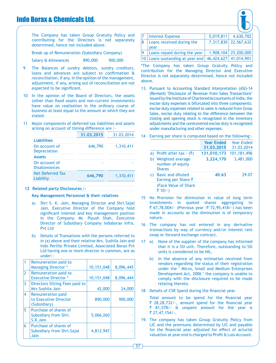

 The Company has taken Group Gratuity Policy and contributing for the Directors is not separately determined, hence not included above.

| Break up of Remuneration (Subsidiary Company) |  |
|-----------------------------------------------|--|
|-----------------------------------------------|--|

Salary & Allowances 890,000 900,000

- 9 The Balances of sundry debtors, sundry creditors, loans and advances are subject to confirmation & reconciliation, if any. In the opinion of the management, adjustment, if any, arising out of reconciliation are not expected to be significant.
- 10 In the opinion of the Board of Directors, the assets (other than fixed assets and non-current investments) have value on realisation in the ordinary course of business at least equal to the amount at which they are stated.
- 11 Major components of deferred tax liabilities and assets arising on account of timing difference are :-

|                                       | 31.03.2015 | 31.03.2014 |
|---------------------------------------|------------|------------|
| <b>Liabilities</b>                    |            |            |
| On account of<br><b>Depreciation</b>  | 646,790    | 1,310,411  |
| <b>Assets</b>                         |            |            |
| On account of<br><b>Disallowances</b> |            |            |
| Net Deferred Tax<br>Liability         | 646,790    | 1,310,411  |

**12 Related party Disclosures :-**

**Key Management Personnel & their relatives**

- a) Shri S. K. Jain, Managing Director and Shri.Sajal Jain, Executive Director of the Company hold significant interest and key management position in the Company. Mr. Piyush Shah, Executive Director of Subsidiary Company Indoborax Infra. Pvt Ltd
- b) Details of Transations with the persons referred to in (a) above and their relative Mrs. Sushila Jain and Indo Perlite Private Limited, Associated Borax Pvt Ltd having one or more director in common, are as under:-

|   | Remuneration paid to<br><b>Managing Director *</b>                | 10,151,048 | 8,096,445 |
|---|-------------------------------------------------------------------|------------|-----------|
| 2 | Remuneration paid to<br><b>Executive Director *</b>               | 10,151,048 | 8,096,444 |
| 3 | Directors Sitting Fees paid to<br>Mrs Sushila Jain                | 42,000     | 24,000    |
| 4 | <b>Remuneration paid</b><br>to Executive Director<br>(Subsidiary) | 890,000    | 900,000   |
| 5 | Purchase of shares of<br>Subsidiary from Shri.<br>S.K.Jain        | 5,066,260  |           |
| 6 | Purchase of shares of<br>Subsidiary from Shri. Sajal<br>Jain      | 4,812,947  |           |

|    | Interest Expense                                          | $5,019,811$ 4,630,702  |
|----|-----------------------------------------------------------|------------------------|
| 18 | Loans received during the                                 | 7,317,830   22,567,632 |
|    | vear                                                      |                        |
|    | Loans repaid during the year                              | 1,908,104   25,200,000 |
|    | 10 Loans oustanding at year end $ 46,424,627 41,014,901 $ |                        |

\*The Company has taken Group Gratuity Policy and contribution for the Managing Director and Executive Director is not separately determined, hence not included above.

13. Pursuant to Accounting Standard Interpretation (ASI)-14 (Revised) "Disclosure of Revenue from Sales Transactions" issued by the Institute of Chartered Accountants of India, the excise duty expenses is bifurcated into three components: excise duty expenses related to sales is reduced from Gross Sales, excise duty relating to the difference between the closing and opening stock is recognized in the inventory adjustments and the unrecovered excise duty is recognized under manufacturing and other expenses.

| Earning per share is computed based on the following:- |                                                            |                   |                   |
|--------------------------------------------------------|------------------------------------------------------------|-------------------|-------------------|
|                                                        |                                                            | <b>Year Ended</b> | <b>Year Ended</b> |
|                                                        |                                                            | 31.03.2015        | 31.03.2014        |
| a)                                                     | Profit after tax - $(\bar{\zeta})$                         | 131,010,173       | 101,181,496       |
| b)                                                     | Weighted average<br>number of equity<br><b>Shares</b>      | 3,224,170         | 3,481,000         |
| C)                                                     | <b>Basic and diluted</b><br>Earning per Share $\bar{\tau}$ | 40.63             | 29.07             |
|                                                        | (Face Value of Share<br>₹ 10/-)                            |                   |                   |

- 15 No Provision for diminution in value of long term investments in quoted shares aggregating to ₹ 67,78,004/- (Previous year :₹ 72,95,418/-) has been made in accounts as the diminution is of temporary nature.
- 16 The company has not entered in any derivative transactions by way of currency and/or interest rate swap or forward exchange contract.
- 17 a) None of the supplier of the company has informed that it is a SSI unit. Therefore, outstanding to SSI units is considered to be NIL.
	- b) In the absence of any intimation received from vendors regardimg the status of their registration under the " Micro, Small and Medium Enterprises Development Act, 2006 " the company is unable to comply with the disclosure required to be made relating thereto.
- 18 Details of CSR Spend during the financial year.

Total amount to be spend for the financial year  $\bar{\tau}$  28,28,732/-, amount spend for the financial year  $\overline{\zeta}$  81,578/- & unspent amount for the year is ₹ 27,47,154/-.

19. The company has taken Group Gratuity Policy from LIC and the premiums determined by LIC and payable for the financial year adjusted for effect of acturial valuation at year end is charged to Profit & Loss Account.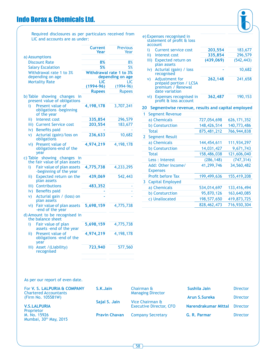

Required disclosures as per particulars received from LIC and accounts are as under:

|                |                                                              | <b>Current</b><br>Year | <b>Previous</b><br>Year                            |
|----------------|--------------------------------------------------------------|------------------------|----------------------------------------------------|
|                | a) Assumptions                                               |                        |                                                    |
|                | <b>Discount Rate</b>                                         | 8%                     | 8%                                                 |
|                | <b>Salary Escalation</b>                                     | 5%                     | 5%                                                 |
|                | Withdrawal rate 1 to 3%<br>depending on age                  |                        | <b>Withdrawal rate 1 to 3%</b><br>depending on age |
|                | <b>Mortality Rate</b>                                        | LIC<br>$(1994 - 96)$   | LIC<br>$(1994-96)$                                 |
|                |                                                              | <b>Rupees</b>          | <b>Rupees</b>                                      |
|                | b) Table showing changes in<br>present value of obligations  |                        |                                                    |
| i)             | Present value of<br>obligations - beginning<br>of the year   | 4,198,178              | 3,707,241                                          |
| $\mathbf{ii}$  | Interest cost                                                | 335,854                | 296,579                                            |
| iii)           | <b>Current Service cost</b>                                  | 203,554                | 183,677                                            |
| iv)            | <b>Benefits paid</b>                                         |                        |                                                    |
| V).            | Acturial (gain)/loss on<br>obligations                       | 236,633                | 10,682                                             |
| vi)            | Present value of<br>obligations-end of the<br>year           | 4,974,219              | 4,198,178                                          |
|                | c) Table showing changes in<br>the fair value of plan assets |                        |                                                    |
| i)             | Fair value of plan assets<br>-beginning of the year          | 4,775,738              | 4,233,295                                          |
| $\mathbf{ii}$  | Expected return on the<br>plan assets                        | 439,069                | 542,443                                            |
| iii)           | <b>Contributions</b>                                         | 483,352                |                                                    |
| iv)            | <b>Benefits paid</b>                                         |                        |                                                    |
| V)             | Acturial gain / (loss) on<br>plan assets                     |                        |                                                    |
| vi).           | Fair value of plan assets<br>-end of the year                | 5,698,159              | 4,775,738                                          |
|                | d) Amount to be recognised in<br>the balance sheet           |                        |                                                    |
| $\mathbf{i}$ ) | Fair value of plan<br>assets - end of the year               | 5,698,159              | 4,775,738                                          |
| ii)            | Present value of<br>obligations - end of the<br>vear         | 4,974,219              | 4,198,178                                          |
| iii)           | Asset /(Liability)<br>recognised                             | 723,940                | 577,560                                            |

|                |                 | e) Expenses recognised in<br>statement of profit & loss                         |               |               |
|----------------|-----------------|---------------------------------------------------------------------------------|---------------|---------------|
|                |                 | account                                                                         |               |               |
|                |                 | i) Current service cost                                                         | 203,554       | 183,677       |
|                | $\mathbf{ii}$ ) | Interest cost                                                                   | 335,854       | 296,579       |
|                | iii)            | <b>Expected return on</b><br>plan assets                                        | (439, 069)    | (542, 443)    |
|                | iv)             | Acturial (gain) / loss<br>recognised                                            |               | 10,682        |
|                | V)              | Adjustment for<br>prepaid portion / LCSA<br>premium / Renewal<br>date variation | 262,148       | 241,658       |
|                | vi) -           | Expenses recognised in<br>profit & loss account                                 | 362,487       | 190,153       |
|                |                 | 20 Segmentwise revenue, results and capital employed                            |               |               |
| 1              |                 | Segment Revenue                                                                 |               |               |
|                |                 | a) Chemicals                                                                    | 727,054,698   | 626, 171, 352 |
|                |                 | b) Consturction                                                                 | 148,426,514   | 140,773,486   |
|                | <b>Total</b>    |                                                                                 | 875,481,212   | 766,944,838   |
| $2^{\circ}$    |                 | <b>Segment Result</b>                                                           |               |               |
|                |                 | a) Chemicals                                                                    | 144,454,611   | 111,934,297   |
|                |                 | b) Consturction                                                                 | 14,031,427    | 9,671,743     |
|                | <b>Total</b>    |                                                                                 | 158,486,038   | 121,606,040   |
|                |                 | Less : Interest                                                                 | (286, 148)    | (747, 314)    |
|                |                 | Add: Other Income/<br><b>Expenses</b>                                           | 41,299,746    | 34,560,482    |
|                |                 | <b>Profit before Tax</b>                                                        | 199,499,636   | 155,419,208   |
| 3 <sup>1</sup> |                 | <b>Capital Employed</b>                                                         |               |               |
|                |                 | a) Chemicals                                                                    | 534,014,697   | 133,416,494   |
|                |                 | b) Consturction                                                                 | 95,870,126    | 163,640,085   |
|                |                 | c) Unallocated                                                                  | 198,577,650   | 419,873,725   |
|                |                 |                                                                                 | 828, 462, 473 | 716,930,304   |
|                |                 |                                                                                 |               |               |

As per our report of even date.

| For V. S. LALPURIA & COMPANY<br><b>Chartered Accountants</b> | S.K.Jain             | Chairman &<br><b>Managing Director</b> | Sushila Jain         | <b>Director</b> |
|--------------------------------------------------------------|----------------------|----------------------------------------|----------------------|-----------------|
| (Firm No. 105581W)                                           | Sajal S. Jain        | Vice Chairman &                        | Arun S.Sureka        | <b>Director</b> |
| <b>V.S.LALPURIA</b><br>Proprietor                            |                      | Executive Director, CFO                | Narendrakumar Mittal | <b>Director</b> |
| M. No. 15926<br>Mumbai, 30 <sup>th</sup> May, 2015           | <b>Pravin Chavan</b> | <b>Company Secretary</b>               | G. R. Parmar         | <b>Director</b> |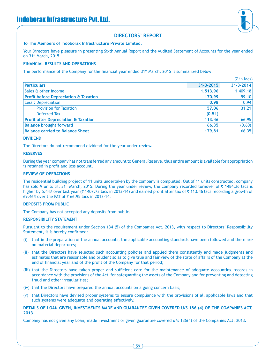

#### **DIRECTORS' REPORT**

**To The Members of Indoborax Infrastructure Private Limited,**

Your Directors have pleasure in presenting Sixth Annual Report and the Audited Statement of Accounts for the year ended on 31st March, 2015.

#### **FINANCIAL RESULTS AND OPERATIONS**

The performance of the Company for the financial year ended  $31<sup>st</sup>$  March, 2015 is summarized below:

|                                                  |                 | $(\bar{\bar{\zeta}})$ in lacs) |
|--------------------------------------------------|-----------------|--------------------------------|
| <b>Particulars</b>                               | $31 - 3 - 2015$ | 31-3-2014                      |
| Sales & other income                             | 1,513.96        | 1,409.18                       |
| <b>Profit before Depreciation &amp; Taxation</b> | 170.99          | 99.10                          |
| Less : Depreciation                              | 0.98            | 0.94                           |
| <b>Provision for Taxation</b>                    | 57.06           | 31.21                          |
| <b>Deferred Tax</b>                              | (0.51)          | $\sim$ $\sim$                  |
| <b>Profit after Depreciation &amp; Taxation</b>  | 113.46          | 66.95                          |
| <b>Balance brought forward</b>                   | 66.35           | (0.60)                         |
| <b>Balance carried to Balance Sheet</b>          | 179.81          | 66.35                          |

#### **DIVIDEND**

The Directors do not recommend dividend for the year under review.

#### **RESERVES**

During the year company has not transferred any amount to General Reserve, thus entire amount is available for appropriation is retained in profit and loss account.

#### **REVIEW OF OPERATIONS**

The residential building project of 11 units undertaken by the company is completed. Out of 11 units constructed, company has sold 9 units till 31<sup>st</sup> March, 2015. During the year under review, the company recorded turnover of ₹ 1484.26 lacs is higher by 5.44% over last year (₹ 1407.73 lacs in 2013-14) and earned profit after tax of ₹ 113.46 lacs recording a growth of 69.46% over the PAT of  $\bar{x}$  66.95 lacs in 2013-14.

#### **DEPOSITS FROM PUBLIC**

The Company has not accepted any deposits from public.

#### **RESPONSIBILITY STATEMENT**

Pursuant to the requirement under Section 134 (5) of the Companies Act, 2013, with respect to Directors' Responsibility Statement, it is hereby confirmed:

- (i) that in the preparation of the annual accounts, the applicable accounting standards have been followed and there are no material departures;
- (ii) that the Directors have selected such accounting policies and applied them consistently and made judgments and estimates that are reasonable and prudent so as to give true and fair view of the state of affairs of the Company at the end of financial year and of the profit of the Company for that period;
- (iii) that the Directors have taken proper and sufficient care for the maintenance of adequate accounting records in accordance with the provisions of the Act for safeguarding the assets of the Company and for preventing and detecting fraud and other irregularities;
- (iv) that the Directors have prepared the annual accounts on a going concern basis;
- (v) that Directors have devised proper systems to ensure compliance with the provisions of all applicable laws and that such systems were adequate and operating effectively.

#### **DETAILS OF LOAN GIVEN, INVESTMENTS MADE AND GUARANTEE GIVEN COVERED U/S 186 (4) OF THE COMPANIES ACT, 2013**

Company has not given any Loan, made investment or given guarantee covered u/s 186(4) of the Companies Act, 2013.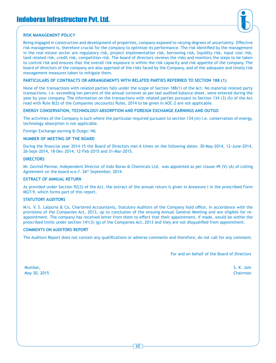



Being engaged in construction and development of properties, company exposed to varying degrees of uncertainty. Effective risk management is, therefore crucial for the company to optimize its performance. The risk identified by the management in the real estate sector are regulatory risk, project implementation risk, borrowing risk, liquidity risk, input cost risk, land related risk, credit risk, competition risk. The board of directors reviews the risks and monitors the steps to be taken to control risk and ensures that the overall risk exposure is within the risk capacity and risk appetite of the company. The board of directors of the company are also apprised of the risks faced by the Company, and of the adequate and timely risk management measures taken to mitigate them.

#### **PARTICULARS OF CONTRACTS OR ARRANGEMENTS WITH RELATED PARTIES REFERRED TO SECTION 188 (1)**

None of the transactions with related parties falls under the scope of Section 188(1) of the Act. No material related party transactions, i.e. exceeding ten percent of the annual turnover as per last audited balance sheet, were entered during the year by your company. The information on the transactions with related parties pursuant to Section 134 (3) (h) of the Act read with Rule 8(2) of the Companies (Accounts) Rules, 2014 to be given in AOC-2 are not applicable.

#### **ENERGY CONSERVATION, TECHNOLOGY ABSORPTION AND FOREIGN EXCHANGE EARNINGS AND OUTGO**

The activities of the Company is such where the particular required pursuant to section 134 (m) i.e. conservation of energy, technology absorption is not applicable.

Foreign Exchange earning & Outgo: NIL

#### **NUMBER OF MEETING OF THE BOARD**

During the financial year 2014-15 the Board of Directors met 6 times on the following dates: 30-May-2014, 12-June-2014, 26-Sept-2014, 18-Dec-2014, 12-Feb-2015 and 31-Mar-2015.

#### **DIRECTORS**

Mr. Govind Parmar, Independent Director of Indo Borax & Chemicals Ltd, was appointed as per clause 49 (V) (A) of Listing Agreement on the board w.e.f. 26<sup>th</sup> September, 2014.

#### **EXTRACT OF ANNUAL RETURN**

As provided under Section 92(3) of the Act, the extract of the annual return is given in Annexure I in the prescribed Form MGT-9, which forms part of this report.

#### **STATUTORY AUDITORS**

M/s. V. S. Lalpuria & Co, Chartered Accountants, Statutory Auditors of the Company hold office, in accordance with the provisions of the Companies Act, 2013, up to conclusion of the ensuing Annual General Meeting and are eligible for reappointment. The company has received letter from them to effect that their appointment, if made, would be within the prescribed limits under section 141(3) (g) of the Companies Act, 2013 and they are not disqualified from appointment.

#### **COMMENTS ON AUDITORS REPORT**

The Auditors Report does not contain any qualifications or adverse comments and therefore, do not call for any comment.

For and on behalf of the Board of Directors

Mumbai, S. K. Jain May 30, 2015 Chairman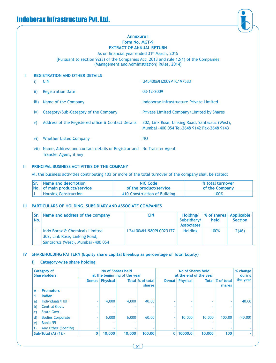

### **Annexure I Form No. MGT-9**

#### **EXTRACT OF ANNUAL RETURN**

As on financial year ended 31<sup>st</sup> March, 2015

[Pursuant to section 92(3) of the Companies Act, 2013 and rule 12(1) of the Companies (Management and Administration) Rules, 2014]

#### **I REGISTRATION AND OTHER DETAILS**

|               | <b>CIN</b>                                                                | U45400MH2009PTC197583                                                                          |
|---------------|---------------------------------------------------------------------------|------------------------------------------------------------------------------------------------|
| $\mathbf{ii}$ | <b>Registration Date</b>                                                  | 03-12-2009                                                                                     |
| iii)          | Name of the Company                                                       | Indoborax Infrastructure Private Limited                                                       |
| iv)           | Category/Sub-Category of the Company                                      | Private Limited Company/Limited by Shares                                                      |
| V)            | Address of the Registered office & Contact Details                        | 302, Link Rose, Linking Road, Santacruz (West),<br>Mumbai -400 054 Tel-2648 9142 Fax-2648 9143 |
| Vi)           | <b>Whether Listed Company</b>                                             | NO.                                                                                            |
|               | vii) Name, Address and contact details of Registrar and No Transfer Agent |                                                                                                |

Transfer Agent, if any

#### **II PRINCIPAL BUSINESS ACTIVITIES OF THE COMPANY**

All the business activities contributing 10% or more of the total turnover of the company shall be stated:

| <b>Sr.</b> Name and description | NIC Code                     | % total turnover |
|---------------------------------|------------------------------|------------------|
| No. of main products/service    | of the product/service       | of the Company   |
| <b>Housing Construction</b>     | 410-Construction of Building | 100%             |

#### **III PARTICULARS OF HOLDING, SUBSIDIARY AND ASSOCIATE COMPANIES**

| Sr.<br>No. | Name and address of the company   | CIN                   | Holding/<br>Subsidiary/<br><b>Associates</b> | % of shares   Applicable<br>held | <b>Section</b> |
|------------|-----------------------------------|-----------------------|----------------------------------------------|----------------------------------|----------------|
|            | Indo Borax & Chemicals Limited    | L24100MH1980PLC023177 | <b>Holding</b>                               | 100%                             | 2(46)          |
|            | 302, Link Rose, Linking Road,     |                       |                                              |                                  |                |
|            | Santacruz (West), Mumbai -400 054 |                       |                                              |                                  |                |

#### **IV SHAREHOLDING PATTERN (Equity share capital Breakup as percentage of Total Equity)**

#### **i) Category-wise share holding**

| <b>Category of</b><br><b>Shareholders</b> |                          | <b>No of Shares held</b><br>at the beginning of the year |                 |        |                                    | <b>No of Shares held</b><br>at the end of the year |                 |        |                                    | % change<br>during |
|-------------------------------------------|--------------------------|----------------------------------------------------------|-----------------|--------|------------------------------------|----------------------------------------------------|-----------------|--------|------------------------------------|--------------------|
|                                           |                          | Demat                                                    | <b>Physical</b> |        | Total  % of total<br><b>shares</b> | Demat                                              | <b>Physical</b> |        | Total  % of total<br><b>shares</b> | the year           |
| A                                         | <b>Promoters</b>         |                                                          |                 |        |                                    |                                                    |                 |        |                                    |                    |
|                                           | Indian                   |                                                          |                 |        |                                    |                                                    |                 |        |                                    |                    |
| a)                                        | Individuals/HUF          |                                                          | 4,000           | 4,000  | 40.00                              |                                                    |                 |        |                                    | 40.00              |
| b)                                        | Central Govt.            |                                                          |                 |        |                                    |                                                    |                 |        |                                    |                    |
| C)                                        | <b>State Govt.</b>       |                                                          |                 |        |                                    |                                                    |                 |        |                                    |                    |
| d)                                        | <b>Bodies Corporate</b>  |                                                          | 6,000           | 6,000  | 60.00                              |                                                    | 10,000          | 10,000 | 100.00                             | (40.00)            |
| e)                                        | Banks/FI                 |                                                          |                 |        |                                    |                                                    |                 |        |                                    |                    |
|                                           | Any Other (Specify)      |                                                          |                 |        |                                    |                                                    |                 |        |                                    |                    |
|                                           | Sub-Total $(A)$ $(1)$ :- | 0                                                        | 10,000          | 10,000 | 100.00                             | 01                                                 | 10000.0         | 10,000 | 100                                |                    |

61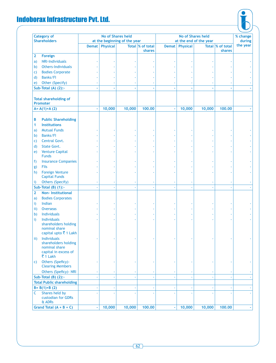## Indoborax Infrastructure Pvt. Ltd.



|                     | <b>Category of</b>                                                                          |                | No of Shares held |                              |                             |          | <b>No of Shares held</b> |                        |                             |          |
|---------------------|---------------------------------------------------------------------------------------------|----------------|-------------------|------------------------------|-----------------------------|----------|--------------------------|------------------------|-----------------------------|----------|
| <b>Shareholders</b> |                                                                                             |                |                   | at the beginning of the year |                             |          |                          | at the end of the year |                             | during   |
|                     |                                                                                             |                | Demat Physical    |                              | Total  % of total<br>shares |          | Demat Physical           |                        | Total  % of total<br>shares | the year |
| 2                   | Foreign                                                                                     |                |                   |                              |                             |          |                          |                        |                             |          |
| a)                  | NRI-Individuals                                                                             |                |                   |                              |                             |          |                          |                        |                             |          |
| b)                  | <b>Others-Individuals</b>                                                                   |                |                   |                              |                             |          |                          |                        |                             |          |
| C)                  | <b>Bodies Corporate</b>                                                                     |                |                   |                              |                             |          |                          |                        |                             |          |
| d)                  | Banks/FI                                                                                    |                |                   |                              |                             |          |                          |                        |                             |          |
| e)                  | Other (Specify)                                                                             |                |                   |                              |                             |          |                          |                        |                             |          |
|                     | Sub-Total (A) (2):-                                                                         |                |                   |                              |                             |          |                          |                        |                             |          |
|                     |                                                                                             |                |                   |                              |                             |          |                          |                        |                             |          |
|                     | <b>Total shareholding of</b><br><b>Promoter</b>                                             |                |                   |                              |                             |          |                          |                        |                             |          |
|                     | $A = A(1) + A(2)$                                                                           | ÷              | 10,000            | 10,000                       | 100,00                      | ÷        | 10,000                   | 10,000                 | 100.00                      |          |
|                     |                                                                                             |                |                   |                              |                             |          |                          |                        |                             |          |
| В                   | <b>Public Shareholding</b>                                                                  |                |                   |                              |                             |          |                          |                        |                             |          |
| 1                   | <b>Institutions</b>                                                                         |                |                   |                              |                             |          |                          |                        |                             |          |
| a)                  | <b>Mutual Funds</b>                                                                         |                |                   |                              |                             |          |                          |                        |                             |          |
| b)                  | Banks/Fl                                                                                    |                |                   |                              |                             |          |                          |                        |                             |          |
| C)                  | Central Govt.                                                                               |                |                   |                              |                             |          |                          |                        |                             |          |
| d)                  | <b>State Govt.</b>                                                                          |                |                   |                              |                             |          |                          |                        |                             |          |
| e)                  | <b>Venture Capital</b><br><b>Funds</b>                                                      |                |                   |                              |                             |          |                          |                        |                             |          |
| f)                  | <b>Insurance Companies</b>                                                                  |                |                   |                              |                             |          |                          |                        |                             |          |
| g)                  | <b>FIIs</b>                                                                                 |                |                   |                              |                             |          |                          |                        |                             |          |
| h)                  | <b>Foreign Venture</b><br><b>Capital Funds</b>                                              |                |                   |                              |                             |          |                          |                        |                             |          |
| i)                  | <b>Others (Specify)</b>                                                                     |                |                   |                              |                             |          |                          |                        |                             |          |
|                     | Sub-Total (B) (1):-                                                                         |                |                   |                              |                             |          |                          |                        |                             |          |
| 2                   | <b>Non-Institutional</b>                                                                    |                |                   |                              |                             |          |                          |                        |                             |          |
| a)                  | <b>Bodies Corporates</b>                                                                    |                |                   |                              |                             |          |                          |                        |                             |          |
| $\mathbf{i}$        | Indian                                                                                      |                |                   |                              |                             |          |                          |                        |                             |          |
| ii)                 | <b>Overseas</b>                                                                             |                |                   |                              |                             |          |                          |                        |                             |          |
| b)                  | <b>Individuals</b>                                                                          |                |                   |                              |                             |          |                          |                        |                             |          |
| i)                  | <b>Individuals</b><br>shareholders holding<br>nominal share                                 |                |                   |                              |                             |          |                          |                        |                             |          |
|                     | capital upto ₹1 Lakh                                                                        |                |                   |                              |                             |          |                          |                        |                             |          |
|                     | ii) Individuals<br>shareholders holding<br>nominal share<br>capital in excess of<br>₹1 Lakh |                |                   |                              |                             |          |                          |                        |                             |          |
| C)                  | Others (Speficy)-<br><b>Clearing Members</b>                                                |                |                   |                              |                             |          |                          |                        |                             |          |
|                     | Others (Speficy) - NRI                                                                      |                |                   |                              |                             |          |                          |                        |                             |          |
|                     | Sub-Total $(B)$ $(2)$ :-                                                                    |                |                   |                              |                             |          |                          |                        |                             |          |
|                     | <b>Total Public shareholding</b>                                                            |                |                   |                              |                             |          |                          |                        |                             |          |
|                     | $B = B(1) + B(2)$                                                                           |                |                   |                              |                             |          |                          |                        |                             |          |
| C                   | Shares held by<br>custodian for GDRs<br>& ADRs                                              |                |                   |                              |                             |          |                          |                        |                             |          |
|                     | Grand Total $(A + B + C)$                                                                   | $\mathbb{Z}^2$ | 10,000            | 10,000                       | 100.00                      | $\omega$ | 10,000                   | 10,000                 | 100.00                      |          |
|                     |                                                                                             |                |                   |                              |                             |          |                          |                        |                             |          |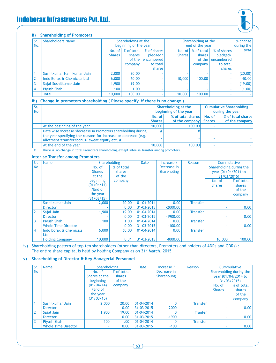

#### **ii) Shareholding of Promoters**

| Sr.          | <b>Shareholders Name</b>   | Shareholding at the                         |         | Shareholding at the |               |             | % change   |         |
|--------------|----------------------------|---------------------------------------------|---------|---------------------|---------------|-------------|------------|---------|
| No.          |                            | beginning of the year                       |         | end of the year     |               |             | during the |         |
|              |                            | % of total<br>% of shares<br>No. of $\vert$ |         | No. of $\vert$      | % of total    | % of shares | year       |         |
|              |                            | <b>Shares</b>                               | shares  | pledged/            | <b>Shares</b> | shares I    | pledged/   |         |
|              |                            |                                             | of the  | encumbered          |               | of the l    | encumbered |         |
|              |                            |                                             | company | to total            |               | company     | to total   |         |
|              |                            |                                             |         | shares              |               |             | shares     |         |
|              | Sushilkumar Naimkumar Jain | 2,000                                       | 20.00   |                     |               |             |            | (20.00) |
| $^{\circ}$ 2 | Indo Borax & Chemicals Ltd | 6,000                                       | 60.00   |                     | 10,000        | 100.00      |            | 40.00   |
| 3            | Sajal Sushilkumar Jain     | 1,900                                       | 19.00   |                     |               |             |            | (19.00) |
| 4            | Piyush Shah                | 100                                         | 1.00    |                     |               |             |            | (1.00)  |
|              | <b>Total</b>               | 10,000                                      | 100.00  |                     | 10,000        | 100.00      |            |         |

#### **iii) Change in promoters shareholding ( Please specify, if there is no change )**

| Sr.<br><b>No</b> |                                                                |               | Shareholding at the<br>beginning of the year | <b>Cumulative Shareholding</b><br>during the year |                   |  |
|------------------|----------------------------------------------------------------|---------------|----------------------------------------------|---------------------------------------------------|-------------------|--|
|                  |                                                                | No. of        | % of total shares                            | No. of                                            | % of total shares |  |
|                  |                                                                | <b>Shares</b> | of the company                               | <b>Shares</b>                                     | of the company    |  |
|                  | At the beginning of the year                                   | 10,000        | 100.00                                       |                                                   |                   |  |
|                  | Date wise increase/decrease in Promoters shareholding during   |               |                                              |                                                   |                   |  |
|                  | the year specifying the reasons for increase or decrease (e.g. |               |                                              |                                                   |                   |  |
|                  | allotment/transfer/bonus/ sweat equity etc. #                  |               |                                              |                                                   |                   |  |
|                  | At the end of the year                                         | 10,000        | 100.00                                       |                                                   |                   |  |
|                  | 그는 그 사람들은 아이들은 사람들을 하고 있다. 그는 어머니는 아이들은 사람들은 아이들이 아이들이 없었다.    |               |                                              |                                                   |                   |  |

There is no change in total Promoters shareholding except Inter-se Transfer among promoters.

#### **Inter-se Transfer among Promoters**

| Sr.            | Name                       | Shareholding  |            | Date             | Increase /  | Reason          | <b>Cummulative</b>      |            |
|----------------|----------------------------|---------------|------------|------------------|-------------|-----------------|-------------------------|------------|
| <b>No</b>      |                            | No. of        | % of total |                  | Decrease in |                 | Shareholding during the |            |
|                |                            | <b>Shares</b> | shares     |                  | Shareholing |                 | year (01/04/2014 to     |            |
|                |                            | at the        | of the     |                  |             |                 | 31/03/2015)             |            |
|                |                            | beginning     | company    |                  |             |                 | No. of                  | % of total |
|                |                            | (01/04/14)    |            |                  |             |                 | <b>Shares</b>           | shares     |
|                |                            | /End of       |            |                  |             |                 |                         | of the     |
|                |                            | the year      |            |                  |             |                 |                         | company    |
|                |                            | (31/03/15)    |            |                  |             |                 |                         |            |
|                | Sushilkumar Jain           | 2,000         | 20.00      | 01-04-2014       | 0.00        | <b>Transfer</b> |                         |            |
|                | <b>Director</b>            |               | 0.00       | 31-03-2015       | $-2000.00$  |                 |                         | 0.00       |
| $\overline{2}$ | Sajal Jain                 | 1,900         | 19.00      | 01-04-2014       | 0.00        | <b>Transfer</b> |                         |            |
|                | <b>Director</b>            |               | 0.00       | 31-03-2015       | $-1900.00$  |                 |                         | 0.00       |
| $\overline{3}$ | Piyush Shah                | 100           | 1.00       | $01 - 04 - 2014$ | 0.00        | <b>Transfer</b> |                         |            |
|                | <b>Whole Time Director</b> |               | 0.00       | 31-03-2015       | $-100.00$   |                 |                         | 0.00       |
| 4              | Indo Borax & Chemicals     | 6,000         | 60.00      | 01-04-2014       | 0.00        | <b>Transfer</b> |                         |            |
|                | Ltd                        |               |            |                  |             |                 |                         |            |
|                | <b>Holding Company</b>     | 10,000        | 0.31       | 31-03-2015       | 4000.00     |                 | 10,000                  | 100.00     |

iv) Shareholding pattern of top ten shareholders (other than directors, Promoters and holders of ADRs and GDRs) : The entire share capital is held by holding Company as on 31<sup>st</sup> March, 2015

#### **v) Shareholding of Director & Key Managerial Personnel**

| Sr.            | Name                       | Shareholding  |            | <b>Date</b>      | Increase /  | Reason          | <b>Cummulative</b> |                         |
|----------------|----------------------------|---------------|------------|------------------|-------------|-----------------|--------------------|-------------------------|
| <b>No</b>      |                            | No. of        | % of total |                  | Decrease in |                 |                    | Shareholding during the |
|                |                            | Shares at the | shares     |                  | Shareholing |                 |                    | year (01/04/2014 to     |
|                |                            | beginning     | of the     |                  |             |                 |                    | 31/03/2015)             |
|                |                            | (01/04/14)    | company    |                  |             |                 | No. of             | % of total              |
|                |                            | /End of       |            |                  |             |                 | <b>Shares</b>      | shares                  |
|                |                            | the year      |            |                  |             |                 |                    | of the                  |
|                |                            | (31/03/15)    |            |                  |             |                 |                    | company                 |
|                | Sushilkumar Jain           | 2,000         | 20.00      | 01-04-2014       | $\Omega$    | <b>Transfer</b> |                    |                         |
|                | <b>Director</b>            |               | 0.00       | 31-03-2015       | $-2000$     |                 |                    | 0.00                    |
| $\overline{2}$ | Sajal Jain                 | 1,900         | 19.00      | 01-04-2014       | 0           | <b>Tranfer</b>  |                    |                         |
|                | <b>Director</b>            |               | 0.00       | 31-03-2015       | $-1900$     |                 |                    | 0.00                    |
| $\overline{3}$ | Piyush Shah                | 100           | 1.00       | $01 - 04 - 2014$ | $\Omega$    | <b>Transfer</b> |                    |                         |
|                | <b>Whole Time Director</b> | ۰             | 0.00       | 31-03-2015       | $-100$      |                 | ٠                  | 0.00                    |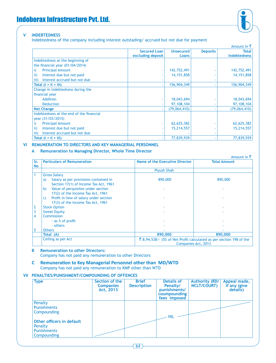

#### **V INDEBTEDNESS**

Indebtedness of the company including interest outstading/ accrued but not due for payment

|                                          |                     |                  |                 | Amount In $\bar{z}$ |
|------------------------------------------|---------------------|------------------|-----------------|---------------------|
|                                          | <b>Secured Loan</b> | <b>Unsecured</b> | <b>Deposits</b> | <b>Total</b>        |
|                                          | excluding deposit   | <b>Loans</b>     |                 | <b>Indebtedness</b> |
| Indebtedness at the beginning of         |                     |                  |                 |                     |
| the financial year $(01/04/2014)$        |                     |                  |                 |                     |
| <b>Principal Amount</b><br>i)            |                     | 142,752,491      |                 | 142,752,491         |
| Interest due but not paid<br>ii)         |                     | 14, 151, 858     |                 | 14, 151, 858        |
| Interest accrued but not due<br>iii)     |                     |                  |                 |                     |
| Total $(i + ii + iii)$                   |                     | 156,904,349      |                 | 156,904,349         |
| Change in indebtedness during the        |                     |                  |                 |                     |
| financial year                           |                     |                  |                 |                     |
| Addition                                 |                     | 18,043,694       |                 | 18,043,694          |
| <b>Deduction</b>                         |                     | 97,108,104       |                 | 97,108,104          |
| <b>Net Change</b>                        | ٠                   | (79,064,410)     |                 | (79,064,410)        |
| Indebtedness at the end of the financial |                     |                  |                 |                     |
| year (31/03/2015)                        |                     |                  |                 |                     |
| <b>Principal Amount</b><br>i)            |                     | 62,625,382       |                 | 62,625,382          |
| Interest due but not paid<br>ii)         |                     | 15,214,557       |                 | 15,214,557          |
| Interest accrued but not due<br>iii)     |                     |                  |                 |                     |
| Total $(i + ii + iii)$                   |                     | 77,839,939       |                 | 77,839,939          |

#### **VI REMUNERATION TO DIRECTORS AND KEY MANAGERIAL PERSONNEL**

**A Remuneration to Managing Director, Whole Time Director**

|                  |                                                                                      |                                | Amount in ₹                                                                                |  |  |  |
|------------------|--------------------------------------------------------------------------------------|--------------------------------|--------------------------------------------------------------------------------------------|--|--|--|
| Sr.<br><b>No</b> | <b>Particulars of Remuneration</b>                                                   | Name of the Executive Director | <b>Total Amount</b>                                                                        |  |  |  |
|                  |                                                                                      | <b>Piyush Shah</b>             |                                                                                            |  |  |  |
|                  | <b>Gross Salary</b>                                                                  |                                |                                                                                            |  |  |  |
|                  | Salary as per provisions contained in<br>a)<br>Section 17(1) of Income Tax Act, 1961 | 890,000                        | 890,000                                                                                    |  |  |  |
|                  | Value of perquisites under section<br>b)<br>17(2) of the Income Tax Act, 1961        |                                |                                                                                            |  |  |  |
|                  | Profit in liew of salary under section<br>C)<br>17(3) of the Income Tax Act, 1961    |                                |                                                                                            |  |  |  |
| 2                | <b>Stock Option</b>                                                                  |                                |                                                                                            |  |  |  |
| 3                | <b>Sweat Equity</b>                                                                  |                                |                                                                                            |  |  |  |
| 4                | Commission                                                                           |                                |                                                                                            |  |  |  |
|                  | - as % of profit                                                                     |                                |                                                                                            |  |  |  |
|                  | - others                                                                             |                                |                                                                                            |  |  |  |
| 5                | <b>Others</b>                                                                        |                                |                                                                                            |  |  |  |
|                  | Total (A)                                                                            | 890,000                        | 890,000                                                                                    |  |  |  |
|                  | Ceiling as per Act                                                                   |                                | ₹ 8,94,538/- (5% of Net Profit calculated as per section 198 of the<br>Companies Act, 2013 |  |  |  |

#### **B Remuneration to other Directors:**

Company has not paid any remuneration to other Directors

#### **C Remuneration to Key Managerial Personnel other than MD/WTD** Company has not paid any remuneration to KMP other than WTD

#### **VII PENALTIES/PUNISHMENT/COMPOUNDING OF OFFENCES**

| <b>Type</b>                                                                                                               | Section of the<br><b>Companies</b><br>Act, 2013 | <b>Brief</b><br><b>Description</b> | <b>Details of</b><br>Penalty/<br>punishments/<br>coumpounding<br>fees imposed | <b>Authority (RD/</b><br>NCLT/COURT) | Appeal made,<br>if any (give<br>details) |
|---------------------------------------------------------------------------------------------------------------------------|-------------------------------------------------|------------------------------------|-------------------------------------------------------------------------------|--------------------------------------|------------------------------------------|
| Penalty<br><b>Punishments</b><br>Compounding<br>Other officers in default<br>Penalty<br><b>Punishments</b><br>Compounding |                                                 |                                    | <b>NIL</b>                                                                    |                                      |                                          |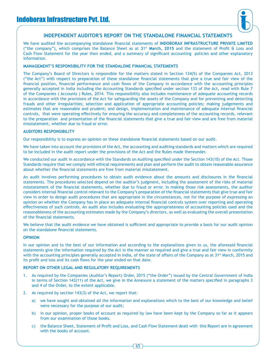

#### **Independent Auditor's REPORT ON THE STANDALONE FINANCIAL STATEMENTS**

We have audited the accompanying standalone financial statements of **INDOBORAX INFRASTRUCTURE PRIVATE LIMITED** ("the company"), which comprises the Balance Sheet as at **3**1st **March, 2015** and the statement of Profit & Loss and Cash Flow Statement for the year then ended, and a summary of significant accounting policies and other explanatory information.

#### **MANAGEMENT'S RESPONSIBILITY FOR THE STANDALONE FINANCIAL STATEMENTS**

The Company's Board of Directors is responsible for the matters stated in Section 134(5) of the Companies Act, 2013 ("the Act") with respect to preparation of these standalone financial statements that give a true and fair view of the financial position, financial performance and cash flows of the Company in accordance with the accounting principles generally accepted in India including the Accounting Standards specified under section 133 of the Act, read with Rule 7 of the Companies ( Accounts ) Rules, 2014. This responsibility also includes maintenance of adequate accounting records in accordance with the provisions of the Act for safeguarding the assets of the Company and for preventing and detecting frauds and other irregularities; selection and application of appropriate accounting policies; making judgements and estimates that are reasonable and prudent; and design, implementation and maintenance of adequate internal financial controls, that were operating effectively for ensuring the accuracy and completeness of the accounting records, relevant to the preparation and presentation of the financial statements that give a true and fair view and are free from material misstatement, whether due to fraud or error.

#### **AUDITORS RESPONSIBILITY**

Our responsibility is to express an opinion on these standalone financial statements based on our audit.

We have taken into account the provisions of the Act, the accounting and auditing standards and matters which are required to be included in the audit report under the provisions of the Act and the Rules made thereunder.

We conducted our audit in accordance with the Standards on Auditing specified under the Section 143(10) of the Act. Those Standards require that we comply with ethical requirements and plan and perform the audit to obtain reasonable assurance about whether the financial statements are free from material misstatement.

An audit involves performing procedures to obtain audit evidence about the amounts and disclosures in the financial statements. The procedures selected depend on the auditor's judgment, including the assessment of the risks of material misstatement of the financial statements, whether due to fraud or error. In making those risk assessments, the auditor considers internal financial control relevant to the Company's preparation of the financial statements that give true and fair view in order to design audit procedures that are appropriate in the circumstances, not for the purpose of expressing an opinion on whether the Company has in place an adequate internal financial controls system over reporting and operating effectiveness of such controls. An audit also includes evaluating the appropriateness of accounting policies used and the reasonableness of the accounting estimates made by the Company's directors, as well as evaluating the overall presentation of the financial statements.

We believe that the audit evidence we have obtained is sufficient and appropriate to provide a basis for our audit opinion on the standalone financial statements.

#### **OPINION**

In our opinion and to the best of our information and according to the explanations given to us, the aforesaid financial statements give the information required by the Act in the manner so required and give a true and fair view in conformity with the accounting principles generally accepted in India, of the state of affairs of the Company as at 31<sup>st</sup> March, 2015 and its profit and loss and its cash flows for the year ended on that date.

#### **REPORT ON OTHER LEGAL AND REGULATORY REQUIREMENTS**

- 1. As required by the Companies (Auditor's Report) Order, 2015 ("the Order") issued by the Central Government of India in terms of Section 143(11) of the Act, we give in the Annexure a statement of the matters specified in paragraphs 3 and 4 of the Order, to the extent applicable.
- 2. As required by section 143(3) of the Act, we report that:
	- a) we have sought and obtained all the information and explanations which to the best of our knowledge and belief were necessary for the purpose of our audit;
	- b) in our opinion, proper books of account as required by law have been kept by the Company so far as it appears from our examination of those books.
	- c) the Balance Sheet, Statement of Profit and Loss, and Cash Flow Statement dealt with this Report are in agreement with the books of account.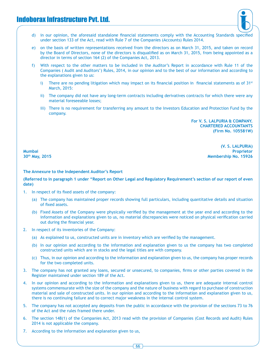

- d) in our opinion, the aforesaid standalone financial statements comply with the Accounting Standards specified under section 133 of the Act, read with Rule 7 of the Companies (Accounts) Rules 2014.
- e) on the basis of written representations received from the directors as on March 31, 2015, and taken on record by the Board of Directors, none of the directors is disqualified as on March 31, 2015, from being appointed as a director in terms of section 164 (2) of the Companies Act, 2013.
- With respect to the other matters to be included in the Auditor's Report in accordance with Rule 11 of the Companies ( Audit and Auditors') Rules, 2014, in our opinion and to the best of our information and according to the explanations given to us:
	- i) There are no pending litigation which may impact on its financial position in financial statements as of  $31<sup>st</sup>$ March, 2015:
	- ii) The company did not have any long-term contracts including derivatives contracts for which there were any material foreseeable losses;
	- iii) There is no requirement for transferring any amount to the Investors Education and Protection Fund by the company.

**For V. S. LALPURIA & COMPANY. CHARTERED ACCOUNTANTS (Firm No. 105581W)**

 **(V. S. LALPURIA) Mumbai Proprietor 30th May, 2015 Membership No. 15926**

#### **The Annexure to the Independent Auditor's Report**

**(Referred to in paragraph 1 under "Report on Other Legal and Regulatory Requirement's section of our report of even date)**

- 1. In respect of its fixed assets of the company:
	- (a) The company has maintained proper records showing full particulars, including quantitative details and situation of fixed assets.
	- (b) Fixed Assets of the Company were physically verified by the management at the year end and according to the information and explanations given to us, no material discrepancies were noticed on physical verification carried out during the financial year.
- 2. In respect of its inventories of the Company:
	- (a) As explained to us, constructed units are in inventory which are verified by the management.
	- (b) In our opinion and according to the information and explanation given to us the company has two completed constructed units which are in stocks and the legal titles are with company.
	- (c) Thus, in our opinion and according to the information and explanation given to us, the company has proper records for the two completed units.
- 3. The company has not granted any loans, secured or unsecured, to companies, firms or other parties covered in the Register maintained under section 189 of the Act.
- 4. In our opinion and according to the information and explanations given to us, there are adequate internal control systems commensurate with the size of the company and the nature of business with regard to purchase of construction material and sale of constructed units. In our opinion and according to the information and explanation given to us, there is no continuing failure and to correct major weakness in the internal control system.
- 5. The company has not accepted any deposits from the public in accordance with the provision of the sections 73 to 76 of the Act and the rules framed there under.
- 6. The section 148(1) of the Companies Act, 2013 read with the provision of Companies (Cost Records and Audit) Rules 2014 is not applicable the company.
- 7. According to the information and explanation given to us,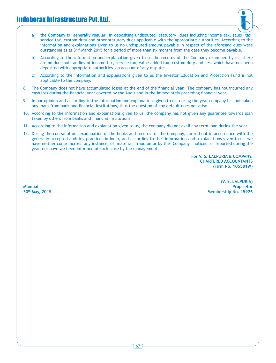### Indoborax Infrastructure Pvt. Ltd.



- a) the Company is generally regular in depositing undisputed statutory dues including income tax, sales tax, service tax, custom duty and other statutory dues applicable with the appropriate authorities. According to the information and explanations given to us no undisputed amount payable in respect of the aforesaid dues were outstanding as at 31st March 2015 for a period of more than six months from the date they become payable.
- b) According to the information and explanation given to us the records of the Company examined by us, there are no dues outstanding of income tax, service tax, value added tax, custom duty and cess which have not been deposited with appropriate authorities on account of any disputes.
- c) According to the information and explanations given to us the Investor Education and Protection Fund is not applicable to the company.
- 8. The Company does not have accumulated losses at the end of the financial year. The company has not incurred any cash loss during the financial year covered by the Audit and in the immediately preceding financial year.
- 9. In our opinion and according to the information and explanations given to us, during the year company has not taken any loans from bank and financial institutions, thus the question of any default does not arise.
- 10. According to the information and explanations given to us, the company has not given any guarantee towards loan taken by others from banks and financial institutions.
- 11. According to the information and explanation given to us, the company did not avail any term loan during the year.
- 12. During the course of our examination of the books and records of the Company, carried out in accordance with the generally accepted auditing practices in India, and according to the information and explanations given to us, we have neither come across any instance of material fraud on or by the Company, noticed or reported during the year, nor have we been informed of such case by the management.

**For V. S. LALPURIA & COMPANY. CHARTERED ACCOUNTANTS (Firm No. 105581W)**

 **(V. S. LALPURIA) Mumbai Proprietor 30th May, 2015 Membership No. 15926**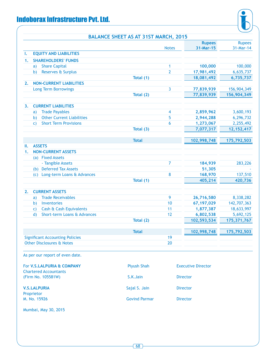### Indoborax Infrastructure Pvt. Ltd.



### **BALANCE SHEET AS AT 31ST MARCH, 2015**

|                                                    |                      |                     | <b>Rupees</b>             | <b>Rupees</b> |
|----------------------------------------------------|----------------------|---------------------|---------------------------|---------------|
| <b>EQUITY AND LIABILITIES</b>                      |                      | <b>Notes</b>        | 31-Mar-15                 | 31-Mar-14     |
| ı.                                                 |                      |                     |                           |               |
| <b>SHAREHOLDERS' FUNDS</b><br>1.                   |                      |                     |                           |               |
| <b>Share Capital</b><br>a)                         |                      | 1<br>$\overline{2}$ | 100,000                   | 100,000       |
| Reserves & Surplus<br>b)                           |                      |                     | 17,981,492                | 6,635,737     |
| <b>NON-CURRENT LIABILITIES</b><br>2.               | Total (1)            |                     | 18,081,492                | 6,735,737     |
| <b>Long Term Borrowings</b>                        |                      | 3                   | 77,839,939                | 156,904,349   |
|                                                    | Total (2)            |                     | 77,839,939                | 156,904,349   |
|                                                    |                      |                     |                           |               |
| <b>CURRENT LIABILITIES</b><br>3.                   |                      |                     |                           |               |
| <b>Trade Payables</b><br>a)                        |                      | 4                   | 2,859,962                 | 3,600,193     |
| <b>Other Current Liabilities</b><br>b)             |                      | 5                   | 2,944,288                 | 6,296,732     |
| <b>Short Term Provisions</b><br>$\mathsf{C}$       |                      | 6                   | 1,273,067                 | 2,255,492     |
|                                                    | Total (3)            |                     | 7,077,317                 | 12, 152, 417  |
|                                                    |                      |                     |                           |               |
|                                                    | <b>Total</b>         |                     | 102,998,748               | 175,792,503   |
| <b>ASSETS</b><br>Ш.                                |                      |                     |                           |               |
| <b>NON-CURRENT ASSETS</b><br>1.                    |                      |                     |                           |               |
| (a) Fixed Assets                                   |                      |                     |                           |               |
| - Tangible Assets                                  |                      | 7                   | 184,939                   | 283,226       |
| (b) Deferred Tax Assets                            |                      |                     | 51,305                    |               |
| (c) Long-term Loans & Advances                     |                      | 8                   | 168,970                   | 137,510       |
|                                                    | Total (1)            |                     | 405,214                   | 420,736       |
|                                                    |                      |                     |                           |               |
| <b>CURRENT ASSETS</b><br>2.                        |                      |                     |                           |               |
| <b>Trade Receivables</b><br>a)                     |                      | 9                   | 26,716,580                | 8,338,282     |
| Inventories<br>b)                                  |                      | 10                  | 67, 197, 029              | 142,707,363   |
| <b>Cash &amp; Cash Equivalents</b><br>$\mathsf{C}$ |                      | 11                  | 1,877,387                 | 18,633,997    |
| Short-term Loans & Advances<br>$\mathsf{d}$        |                      | 12                  | 6,802,538                 | 5,692,125     |
|                                                    | Total (2)            |                     | 102,593,534               | 175, 371, 767 |
|                                                    | <b>Total</b>         |                     | 102,998,748               | 175,792,503   |
| <b>Significant Accounting Policies</b>             |                      | 19                  |                           |               |
| Other Disclosures & Notes                          |                      | 20                  |                           |               |
|                                                    |                      |                     |                           |               |
| As per our report of even date.                    |                      |                     |                           |               |
|                                                    |                      |                     |                           |               |
| For V.S.LALPURIA & COMPANY                         | <b>Piyush Shah</b>   |                     | <b>Executive Director</b> |               |
| <b>Chartered Accountants</b>                       | S.K.Jain             |                     | <b>Director</b>           |               |
| (Firm No. 105581W)                                 |                      |                     |                           |               |
| <b>V.S.LALPURIA</b>                                | Sajal S. Jain        |                     | <b>Director</b>           |               |
| Proprietor                                         |                      |                     |                           |               |
| M. No. 15926                                       | <b>Govind Parmar</b> |                     | <b>Director</b>           |               |
|                                                    |                      |                     |                           |               |
| Mumbai, May 30, 2015                               |                      |                     |                           |               |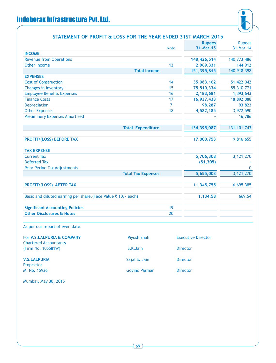

| STATEMENT OF PROFIT & LOSS FOR THE YEAR ENDED 31ST MARCH 2015 |                |               |               |
|---------------------------------------------------------------|----------------|---------------|---------------|
|                                                               |                | <b>Rupees</b> | <b>Rupees</b> |
|                                                               | <b>Note</b>    | 31-Mar-15     | 31-Mar-14     |
| <b>INCOME</b>                                                 |                |               |               |
| <b>Revenue from Operations</b>                                |                | 148,426,514   | 140,773,486   |
| Other Income                                                  | 13             | 2,969,331     | 144,912       |
| <b>Total Income</b>                                           |                | 151,395,845   | 140,918,398   |
| <b>EXPENSES</b>                                               |                |               |               |
| <b>Cost of Construction</b>                                   | 14             | 35,083,162    | 51,422,042    |
| <b>Changes in Inventory</b>                                   | 15             | 75,510,334    | 55,310,771    |
| <b>Employee Benefits Expenses</b>                             | 16             | 2,183,681     | 1,393,643     |
| <b>Finance Costs</b>                                          | 17             | 16,937,438    | 18,892,088    |
| <b>Depreciation</b>                                           | $\overline{7}$ | 98,287        | 93,823        |
| <b>Other Expenses</b>                                         | 18             | 4,582,185     | 3,972,590     |
| <b>Preliminery Expenses Amortised</b>                         |                |               | 16,786        |
|                                                               |                |               |               |
| <b>Total Expenditure</b>                                      |                | 134,395,087   | 131, 101, 743 |
| <b>PROFIT/(LOSS) BEFORE TAX</b>                               |                | 17,000,758    | 9,816,655     |
|                                                               |                |               |               |
| <b>TAX EXPENSE</b>                                            |                |               |               |
| <b>Current Tax</b>                                            |                | 5,706,308     | 3, 121, 270   |
| <b>Deferred Tax</b>                                           |                | (51, 305)     |               |
| <b>Prior Period Tax Adjustments</b>                           |                |               | $\mathbf{0}$  |
| <b>Total Tax Expenses</b>                                     |                | 5,655,003     | 3,121,270     |
|                                                               |                |               |               |
| PROFIT/(LOSS) AFTER TAX                                       |                | 11,345,755    | 6,695,385     |
| Basic and diluted earning per share. (Face Value ₹ 10/- each) |                | 1,134.58      | 669.54        |
|                                                               |                |               |               |
| <b>Significant Accounting Policies</b>                        | 19             |               |               |
| <b>Other Disclosures &amp; Notes</b>                          | 20             |               |               |

#### As per our report of even date.

| For V.S.LALPURIA & COMPANY<br><b>Chartered Accountants</b> | Piyush Shah          | <b>Executive Director</b> |
|------------------------------------------------------------|----------------------|---------------------------|
| (Firm No. 105581W)                                         | S.K.Jain             | <b>Director</b>           |
| <b>V.S.LALPURIA</b><br>Proprietor                          | Sajal S. Jain        | <b>Director</b>           |
| M. No. 15926                                               | <b>Govind Parmar</b> | <b>Director</b>           |

Mumbai, May 30, 2015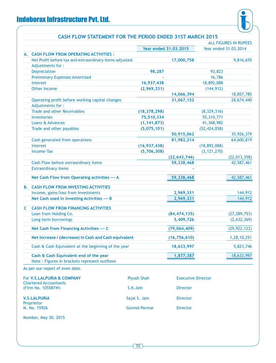### Indoborax Infrastructure Pvt. Ltd.



#### **CASH FLOW STATEMENT FOR THE PERIOD ENDED 31ST MARCH 2015**

|    |                                                            |                    |                              |                | <b>ALL FIGURES IN RUPEES</b> |
|----|------------------------------------------------------------|--------------------|------------------------------|----------------|------------------------------|
|    |                                                            |                    | <b>Year ended 31.03.2015</b> |                | Year ended 31.03.2014        |
|    | A. CASH FLOW FROM OPERATING ACTIVITIES :                   |                    |                              |                |                              |
|    | Net Profit before tax and extraordinary items adjusted.    |                    | 17,000,758                   |                | 9,816,655                    |
|    | Adjustments for:                                           |                    |                              |                |                              |
|    | <b>Depreciation</b>                                        | 98,287             |                              | 93,823         |                              |
|    | <b>Preliminary Expenses Amortised</b>                      |                    |                              | 16,786         |                              |
|    | Interest                                                   | 16,937,438         |                              | 18,892,088     |                              |
|    | Other Income                                               | (2,969,331)        |                              | (144, 912)     |                              |
|    |                                                            |                    | 14,066,394                   |                | 18,857,785                   |
|    | Operating profit before working capital changes            |                    | 31,067,152                   |                | 28,674,440                   |
|    | Adjustments for:                                           |                    |                              |                |                              |
|    | <b>Trade and other Receivables</b>                         | (18, 378, 298)     |                              | (8, 329, 316)  |                              |
|    | Inventories                                                | 75,510,334         |                              | 55,310,771     |                              |
|    | Loans & Advances                                           | (1, 141, 873)      |                              | 41,368,982     |                              |
|    | Trade and other payables                                   | (5,075,101)        |                              | (52, 424, 058) |                              |
|    |                                                            |                    | 50,915,062                   |                | 35,926,379                   |
|    | Cash generated from operations                             |                    | 81,982,214                   |                | 64,600,819                   |
|    | Interest                                                   | (16, 937, 438)     |                              | (18, 892, 088) |                              |
|    | <b>Income-Tax</b>                                          | (5,706,308)        |                              | (3, 121, 270)  |                              |
|    |                                                            |                    | (22, 643, 746)               |                | (22, 013, 358)               |
|    | Cash Flow before extraordinary items                       |                    | 59,338,468                   |                | 42,587,461                   |
|    | <b>Extraordinary items</b>                                 |                    |                              |                |                              |
|    | Net Cash Flow from Operating activities --- A              |                    | 59,338,468                   |                | 42,587,461                   |
|    | <b>B. CASH FLOW FROM INVESTING ACTIVITIES</b>              |                    |                              |                |                              |
|    | Income, gains/loss from Investments                        |                    | 2,969,331                    |                | 144,912                      |
|    | Net Cash used in Investing Activities --- B                |                    | 2,969,331                    |                | 144,912                      |
| C. | <b>CASH FLOW FROM FINANCING ACTIVITIES</b>                 |                    |                              |                |                              |
|    | Loan from Holding Co.                                      |                    | (84, 474, 135)               |                | (27, 289, 753)               |
|    | Long term borrowings                                       |                    | 5,409,726                    |                | (2,632,369)                  |
|    | Net Cash from Financing Activities --- C                   |                    | (79,064,409)                 |                | (29, 922, 122)               |
|    | Net Increase / (decrease) in Cash and Cash equivalent      |                    | (16, 756, 610)               |                | 1,28,10,251                  |
|    | Cash & Cash Equivalent at the beginning of the year        |                    | 18,633,997                   |                | 5,823,746                    |
|    | Cash & Cash Equivalent end of the year                     |                    | 1,877,387                    |                | 18,633,997                   |
|    | Note: Figures in brackets represent outflows               |                    |                              |                |                              |
|    | As per our report of even date.                            |                    |                              |                |                              |
|    | For V.S.LALPURIA & COMPANY<br><b>Chartered Accountants</b> | <b>Piyush Shah</b> | <b>Executive Director</b>    |                |                              |
|    | (Firm No. 105581W)                                         | S.K.Jain           | <b>Director</b>              |                |                              |

**V.S.LALPURIA** Director Sajal S. Jain Director Proprietor<br>M. No. 15926

Mumbai, May 30, 2015

Govind Parmar Director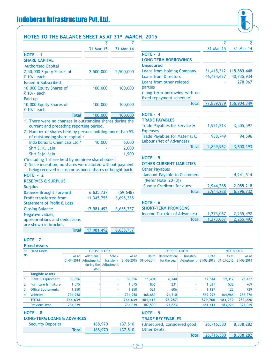

#### **NOTES TO THE BALANCE SHEET AS AT 31st MARCH, 2015**

|                                                                                                                                                                                                    | ₹          | ₹         |
|----------------------------------------------------------------------------------------------------------------------------------------------------------------------------------------------------|------------|-----------|
|                                                                                                                                                                                                    | 31-Mar-15  | 31-Mar-14 |
| NOTE - 1                                                                                                                                                                                           |            |           |
| <b>SHARE CAPITAL</b>                                                                                                                                                                               |            |           |
| <b>Authorised Capital</b>                                                                                                                                                                          |            |           |
| 2,50,000 Equity Shares of<br>₹ 10/- each                                                                                                                                                           | 2,500,000  | 2,500,000 |
| Issued & Subscribed                                                                                                                                                                                |            |           |
| 10,000 Equity Shares of<br>₹ 10/- each                                                                                                                                                             | 100,000    | 100,000   |
| Paid up                                                                                                                                                                                            |            |           |
| 10,000 Equity Shares of<br>₹ 10/- each                                                                                                                                                             | 100,000    | 100,000   |
| <b>Total</b>                                                                                                                                                                                       | 100,000    | 100,000   |
| 1) There were no changes in outstanding shares during the<br>current and preceding reporting period.<br>2) Number of shares held by persons holding more than 5%<br>of outstanding share capital : |            |           |
| Indo Borax & Chemicals Ltd *                                                                                                                                                                       | 10,000     | 6,000     |
| Shri S. K. Jain                                                                                                                                                                                    |            | 2,000     |
| Shri Sajal jain                                                                                                                                                                                    |            | 1,900     |
| (*including 1 share held by nominee shareholder)<br>3) Since inception, no shares were alloted without payment<br>being received in cash or as bonus shares or bought back.                        |            |           |
| <b>NOTE - 2</b>                                                                                                                                                                                    |            |           |
| <b>RESERVES &amp; SURPLUS</b>                                                                                                                                                                      |            |           |
| <b>Surplus</b>                                                                                                                                                                                     |            |           |
| <b>Balance Brought Forward</b>                                                                                                                                                                     | 6,635,737  | (59, 648) |
| Profit transferred from<br><b>Statement of Profit &amp; Loss</b>                                                                                                                                   | 11,345,755 | 6,695,385 |
| <b>Closing Balance</b>                                                                                                                                                                             | 17,981,492 | 6,635,737 |
| Negative values,<br>appropriations and deductions<br>are shown in bracket.                                                                                                                         |            |           |
| <b>Total</b>                                                                                                                                                                                       | 17,981,492 | 6,635,737 |
|                                                                                                                                                                                                    |            |           |

|                                                           | ₹            | ₹           |
|-----------------------------------------------------------|--------------|-------------|
|                                                           | $31$ -Mar-15 | 31-Mar-14   |
| NOTE - 3                                                  |              |             |
| <b>LONG TERM BORROWINGS</b>                               |              |             |
| <b>Unsecured</b>                                          |              |             |
| <b>Loans from Holding Company</b>                         | 31,415,312   | 115,889,448 |
| <b>Loans from Directors</b>                               | 46, 424, 627 | 40,735,934  |
| Loans from other related<br>parties                       |              | 278,967     |
| (Long term borrowing with no<br>fixed repayment schedule) |              |             |
| <b>Total</b>                                              | 77,839,939   | 156,904,349 |
|                                                           |              |             |
| NOTE - 4                                                  |              |             |
| <b>TRADE PAYABLES</b>                                     |              |             |
| Trade Payables for Service &<br><b>Expenses</b>           | 1,921,213    | 3,505,597   |
| Trade Payables for Material &<br>Labour (Net of Advances) | 938,749      | 94.596      |
| <b>Total</b>                                              | 2,859,962    | 3,600,193   |
|                                                           |              |             |
| NOTE - 5                                                  |              |             |
| <b>OTHER CURRENT LIABILTIES</b>                           |              |             |
| <b>Other Payables</b>                                     |              |             |
| -Amount Payable to Customers                              |              | 4,241,514   |
| (Refer Note 20 (3))                                       |              |             |
| -Sundry Creditors for dues                                | 2,944,288    | 2,055,218   |
| <b>Total</b>                                              | 2,944,288    | 6,296,732   |
|                                                           |              |             |
| NOTE - 6                                                  |              |             |
| <b>SHORT-TERM PROVISONS</b>                               |              |             |
| Income Tax (Net of Advances)                              | 1,273,067    | 2,255,492   |
| <b>Total</b>                                              | 1,273,067    | 2,255,492   |

#### **NOTE - 7**

**Fixed Assets** 

| Sr.            | <b>Fixed Assets</b>            |                           | <b>GROSS BLOCK</b>                |                                               |                     |                           | <b>DEPRECIATION</b>                 |                         |                                 | <b>NET BLOCK</b>          |                     |
|----------------|--------------------------------|---------------------------|-----------------------------------|-----------------------------------------------|---------------------|---------------------------|-------------------------------------|-------------------------|---------------------------------|---------------------------|---------------------|
| <b>No</b>      |                                | As at<br>$01 - 04 - 2014$ | Additions/<br>Adjustments<br>vear | Sale /<br>Transfer /<br>during the Adjustment | As at<br>31-03-2015 | Up to<br>$01 - 04 - 2014$ | <b>Depreciation</b><br>for the year | Transfer/<br>Adjustment | <b>Upto</b><br>$31 - 03 - 2015$ | As at<br>$31 - 03 - 2015$ | As at<br>31-03-2014 |
|                | <b>Tangible Assets</b>         |                           |                                   |                                               |                     |                           |                                     |                         |                                 |                           |                     |
|                | Plant & Equipment              | 36,856                    |                                   |                                               | 36,856              | 11,404                    | 6,140                               |                         | 17.544                          | 19,312                    | 25,452              |
| $\mathbf{2}$   | <b>Furniture &amp; Fixture</b> | 1,575                     |                                   |                                               | 1,575               | 806                       | 231                                 |                         | 1,037                           | 538                       | 769                 |
| 3              | <b>Office Equipments</b>       | 1,250                     |                                   |                                               | 1.250               | 521                       | 606                                 |                         | 1.127                           | 123                       | 729                 |
| $\overline{4}$ | <b>Vehicles</b>                | 724,958                   |                                   |                                               | 724,958             | 468,682                   | 91,310                              |                         | 559,992                         | 164,966                   | 256,276             |
|                | <b>TOTAL</b>                   | 764,639                   |                                   |                                               | 764,639             | 481,413                   | 98,287                              |                         | 579,700                         | 184,939                   | 283,226             |
|                | <b>Previous Year</b>           | 764,639                   |                                   |                                               | 764,639             | 387,590                   | 93,823                              |                         | 481,413                         | 283,226                   | 377,049             |

#### **LONG-TERM LOANS & ADVANCES**

| <b>Security Deposits</b> |       | 168,970 | 137,510 |
|--------------------------|-------|---------|---------|
|                          | Total | 168.970 | 137,510 |

# **TRADE RECEIVABLES**

| (Unsecured, considered good)<br>Other Debts. | 26,716,580              | 8,338,282 |
|----------------------------------------------|-------------------------|-----------|
|                                              | <b>Total 26,716,580</b> | 8,338,282 |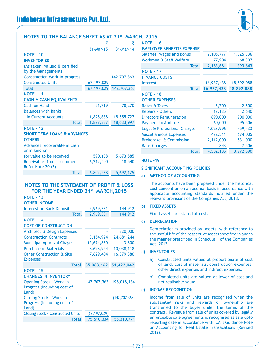

#### **NOTES TO THE BALANCE SHEET AS AT 31st MARCH, 2015**

|                                                     | ₹            | ₹           |
|-----------------------------------------------------|--------------|-------------|
|                                                     | 31-Mar-15    | 31-Mar-14   |
| <b>NOTE - 10</b>                                    |              |             |
| <b>INVENTORIES</b>                                  |              |             |
| (As taken, valued & certified<br>by the Management) |              |             |
| <b>Construction Work-in-progress</b>                |              | 142,707,363 |
| <b>Constructed Units</b>                            | 67, 197, 029 |             |
| <b>Total</b>                                        | 67, 197, 029 | 142,707,363 |
| <b>NOTE - 11</b>                                    |              |             |
| <b>CASH &amp; CASH EQUIVALENTS</b>                  |              |             |
| <b>Cash on Hand</b>                                 | 51,719       | 78,270      |
| <b>Balances with Banks</b>                          |              |             |
| - In Current Accounts                               | 1,825,668    | 18,555,727  |
| <b>Total</b>                                        | 1,877,387    | 18,633,997  |
| <b>NOTE - 12</b>                                    |              |             |
| <b>SHORT TERM LOANS &amp; ADVANCES</b>              |              |             |
| <b>OTHERS</b>                                       |              |             |
| Advances recoverable in cash<br>or in kind or       |              |             |
| for value to be received                            | 590,138      | 5,673,585   |
| Receivable from customers -<br>Refer Note 20 (3)    | 6,212,400    | 18,540      |
| <b>Total</b>                                        | 6,802,538    | 5,692,125   |

#### **NOTES TO THE STATEMENT OF PROFIT & LOSS FOR THE YEAR ENDED 31st MARCH,2015**

| <b>NOTE - 13</b>                         |                |                         |
|------------------------------------------|----------------|-------------------------|
| <b>OTHER INCOME</b>                      |                |                         |
| <b>Interest on Bank Deposit</b>          | 2,969,331      | 144,912                 |
| <b>Total</b>                             | 2,969,331      | 144,912                 |
| <b>NOTE - 14</b>                         |                |                         |
| <b>COST OF CONSTRUCTION</b>              |                |                         |
| Architect & Design Expenses              |                | 320,000                 |
| <b>Construction Contracts</b>            | 3,154,924      | 24,681,244              |
| <b>Municipal Approval Chages</b>         | 15,674,880     | 3,300                   |
| <b>Purchase of Materials</b>             | 8,623,954      | 10,038,118              |
| <b>Other Construction &amp; Site</b>     | 7,629,404      | 16,379,380              |
| <b>Expenses</b>                          |                |                         |
| <b>Total</b>                             |                | 35,083,162 51,422,042   |
| <b>NOTE - 15</b>                         |                |                         |
| <b>CHANGES IN INVENTORY</b>              |                |                         |
| <b>Opening Stock - Work-in-</b>          |                | 142,707,363 198,018,134 |
| Progress (Including cost of              |                |                         |
| Land)                                    |                |                         |
| <b>Closing Stock - Work-in-</b>          |                | (142, 707, 363)         |
| Progress (including cost of              |                |                         |
| Land)                                    |                |                         |
| <b>Closing Stock - Constructed Units</b> | (67, 197, 029) |                         |
| <b>Total</b>                             | 75,510,334     | 55,310,771              |

| <b>NOTE - 16</b>                 |            |            |
|----------------------------------|------------|------------|
| <b>EMPLOYEE BENEFITS EXPENSE</b> |            |            |
| Salaries, Wages and Bonus        | 2,105,777  | 1,325,336  |
| Workmen & Staff Welfare          | 77,904     | 68,307     |
| <b>Total</b>                     | 2,183,681  | 1,393,643  |
| <b>NOTE - 17</b>                 |            |            |
| <b>FINANCE COSTS</b>             |            |            |
| Interest                         | 16,937,438 | 18,892,088 |
| <b>Total</b>                     | 16,937,438 | 18,892,088 |
| <b>NOTE - 18</b>                 |            |            |
| <b>OTHER EXPENSES</b>            |            |            |
| Rates & Taxes                    | 5,700      | 2,500      |
| <b>Repairs - Others</b>          | 17,135     | 2,640      |
| <b>Directors Remuneration</b>    | 890,000    | 900,000    |
| <b>Payment to Auditors</b>       | 60,000     | 95,506     |
| Legal & Professional Charges     | 1,023,996  | 459,433    |
| <b>Miscellaneous Expenses</b>    | 472,511    | 674,005    |
| Brokerage & Commission           | 2,112,000  | 1,831,000  |
| <b>Bank Charges</b>              | 843        | 7,506      |
| <b>Total</b>                     | 4,582,185  | 3,972,590  |

#### **NOTE -19**

#### **SIGNIFICANT ACCOUNTING POLICIES**

#### **a) METHOD OF ACCOUNTING**

 The accounts have been prepared under the historical cost convention on an accrual basis in accordance with applicable accounting standards notified under the relevant provisions of the Companies Act, 2013.

#### **b) FIXED ASSETS**

Fixed assets are stated at cost.

#### **c) DEPRECIATION**

Depreciation is provided on assets with reference to the useful life of the respective assets specified in and in the manner prescribed in Schedule II of the Companies Act, 2013.

#### **d) INVENTORIES**

- a) Constructed units valued at proportionate of cost of land, cost of materials, construction expenses, other direct expenses and indirect expenses.
- b) Completed units are valued at lower of cost and net realisable value.

#### **e) Income Recognition**

Income from sale of units are recognised when the substaintial risks and rewards of ownership are transferred to the buyer under the terms of the contract. Revenue from sale of units covered by legally enforceable sale agreements is recognised as sale upto reporting date in accordance with ICAI's Guidance Note on Accounting for Real Estate Transacations (Revised 2012).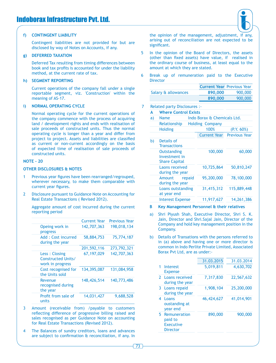#### **f) CONTINGENT LIABILITY**

 Contingent liabilities are not provided for but are disclosed by way of Notes on Accounts, if any.

### **g) DEFERRED TAXATION**

Deferred Tax resulting from timing differences between book and tax profits is accounted for under the liability method, at the current rate of tax.

## **h) SEGMENT REPORTING**

Current operations of the company fall under a single reportable segment, viz. 'Construction' within the meaning of AS-17.

#### **i) NORMAL OPERATING CYCLE**

 Normal operating cycle for the current operations of the company commence with the process of acquiring land / development rights and ends with realisation of sale proceeds of constructed units. Thus the normal operating cycle is longer than a year and differ from project to project. Assets and liabilities are classified as current or non-current accordingly on the basis of expected time of realisation of sale proceeds of constructed units.

#### **NOTE - 20**

#### **OTHER DISCLOSURES & NOTES**

- 1 Previous year figures have been rearranged/regrouped, wherever necessary, to make them comparable with current year figures.
- 2 Disclosure pursuant to Guidance Note on Accounting for Real Estate Transactions ( Revised 2012).

 Aggregate amount of cost incurred during the current reporting period

|                                                                | <b>Current Year</b> | <b>Previous Year</b> |
|----------------------------------------------------------------|---------------------|----------------------|
| Opeing work in<br>progress                                     | 142,707,363         | 198,018,134          |
| Add: Cost incurred<br>during the year                          | 58,884,753          | 75,774,187           |
|                                                                | 201,592,116         | 273,792,321          |
| Less: Closing<br><b>Constructed Units/</b><br>work in progress | 67, 197, 029        | 142,707,363          |
| Cost recognised for<br>the Units sold                          | 134,395,087         | 131,084,958          |
| Revenue<br>recognised during<br>the year                       | 148,426,514         | 140,773,486          |
| Profit from sale of<br>units                                   | 14,031,427          | 9,688,528            |

- 3 Amount (receivable from) /payable to customers reflecting difference of progressive billing raised and sales recognised as per Guidance Note on accounting for Real Estate Transactions (Revised 2012).
- 4 The Balances of sundry creditors, loans and advances are subject to confirmation & reconciliation, if any. In

the opinion of the management, adjustment, if any, arising out of reconciliation are not expected to be significant.

- 5 In the opinion of the Board of Directors, the assets (other than fixed assets) have value, if realised in the ordinary course of business, at least equal to the amount at which they are stated.
- 6 Break up of remuneration paid to the Executive **Director**

|                     | <b>Current Year Previous Year</b> |         |
|---------------------|-----------------------------------|---------|
| Salary & allowances | 890,000                           | 900,000 |
|                     | 890,000                           | 900,000 |

## 7 Related party Disclosures :- **A Where Control Exists** a) Name Indo Borax & Chemicals Ltd.

|                | Relationship Holding Company |             |
|----------------|------------------------------|-------------|
| <b>Holding</b> | 100%                         | (P. Y. 60%) |

|    |                                                             | <b>Current Year</b> | <b>Previous Year</b> |
|----|-------------------------------------------------------------|---------------------|----------------------|
| b) | Details of<br><b>Transactions</b>                           |                     |                      |
|    | <b>Outstanding</b><br>Investment in<br><b>Share Capital</b> | 100,000             | 60,000               |
|    | Laons received<br>during the year                           | 10,725,864          | 50,810,247           |
|    | Amount<br>repaid<br>during the year                         | 95,200,000          | 78,100,000           |
|    | Loans outstanding<br>at year end                            | 31,415,312          | 115,889,448          |
|    | <b>Interest Expense</b>                                     | 11,917,627          | 14,261,386           |

#### **B Key Management Personnel & their relatives**

- a) Shri Piyush Shah, Executive Director, Shri S. K. Jain, Director and Shri.Sajal Jain, Director of the Company and hold key management position in the Company.
- b) Details of Transations with the persons referred to in (a) above and having one or more director is common in Indo Perlite Private Limited, Associated Borax Pvt Ltd, are as under:-

|    |                                                         | 31.03.2015 | 31.03.2014 |
|----|---------------------------------------------------------|------------|------------|
| 1  | <b>Interest</b><br><b>Expense</b>                       | 5,019,811  | 4,630,702  |
|    | 2 Loans received<br>during the year                     | 7,317,830  | 22,567,632 |
|    | 3 Loans repaid<br>during the year                       | 1,908,104  | 25,200,000 |
| 4  | Loans<br>oustanding at<br>year end                      | 46,424,627 | 41,014,901 |
| 5. | Remuneration<br>paid to<br><b>Executive</b><br>Director | 890,000    | 900,000    |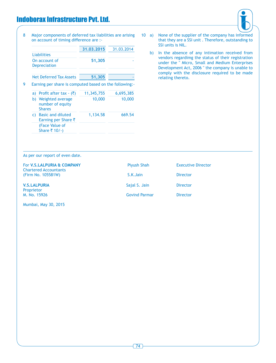## Indoborax Infrastructure Pvt. Ltd.



8 Major components of deferred tax liabilities are arising on account of timing difference are :-

|     |                                                            | 31.03.2015 | 31.03.2014 |
|-----|------------------------------------------------------------|------------|------------|
|     | <b>Liabilities</b>                                         |            |            |
|     | On account of<br><b>Depreciation</b>                       | 51,305     |            |
|     | Net Deferred Tax Assets                                    | 51,305     |            |
|     | Earning per share is computed based on the following:-     |            |            |
| a)  | Profit after tax - $(\bar{\zeta})$                         | 11,345,755 | 6,695,385  |
| b). | Weighted average<br>number of equity<br><b>Shares</b>      | 10,000     | 10,000     |
| C)  | <b>Basic and diluted</b><br>Earning per Share $\bar{\tau}$ | 1,134.58   | 669.54     |
|     | (Face Value of<br>Share ₹ 10/-)                            |            |            |
|     |                                                            |            |            |

- 10 a) None of the supplier of the company has informed that they are a SSI unit . Therefore, outstanding to SSI units is NIL.
	- b) In the absence of any intimation received from vendors regardimg the status of their registration under the " Micro, Small and Medium Enterprises Development Act, 2006 " the company is unable to comply with the disclosure required to be made relating thereto.

As per our report of even date.

| For V.S.LALPURIA & COMPANY<br><b>Chartered Accountants</b> | Piyush Shah          | <b>Executive Director</b> |
|------------------------------------------------------------|----------------------|---------------------------|
| (Firm No. 105581W)                                         | S.K.Jain             | <b>Director</b>           |
| <b>V.S.LALPURIA</b>                                        | Sajal S. Jain        | <b>Director</b>           |
| Proprietor<br>M. No. 15926                                 | <b>Govind Parmar</b> | <b>Director</b>           |

Mumbai, May 30, 2015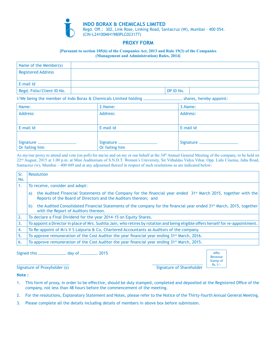**INDO BORAX & CHEMICALS LIMITED**

Regd. Off.: 302, Link Rose, Linking Road, Santacruz (W), Mumbai – 400 054. (CIN-L24100MH1980PLC023177)

## **PROXY FORM**

#### **[Pursuant to section 105(6) of the Companies Act, 2013 and Rule 19(3) of the Companies (Management and Administration) Rules, 2014]**

| Name of the Member(s)     |           |  |
|---------------------------|-----------|--|
| <b>Registered Address</b> |           |  |
| E-mail Id                 |           |  |
| Regd. Folio/Client ID No. | DP ID No. |  |

I/We being the member of Indo Borax & Chemicals Limited holding \_\_\_\_\_\_\_\_\_\_\_\_\_\_\_\_\_\_\_\_\_\_\_ shares, hereby appoint:

| Name:          | 2.Name:        | 3. Name:  |
|----------------|----------------|-----------|
| Address:       | Address:       | Address:  |
|                |                |           |
| E-mail Id      | E-mail Id      | E-mail Id |
|                |                |           |
| Or failing him | Or failing him |           |

As my/our proxy to attend and vote (on poll) for me/us and on my or our behalf at the 34<sup>th</sup> Annual General Meeting of the company, to be held on 22nd August, 2015 at 1.00 p.m. at Mini Auditorium of S.N.D.T. Women's University, Sir Vithaldas Vidya Vihar, Opp. Lido Cinema, Juhu Road, Santacruz (w), Mumbai – 400 049 and at any adjourned thereof in respect of such resolutions as are indicated below:

| Sr.<br>No. | Resolution                                                                                                                                                                                           |
|------------|------------------------------------------------------------------------------------------------------------------------------------------------------------------------------------------------------|
| 1.         | To receive, consider and adopt:                                                                                                                                                                      |
|            | the Audited Financial Statements of the Company for the financial year ended 31 <sup>st</sup> March 2015, together with the<br>a)<br>Reports of the Board of Directors and the Auditors thereon; and |
|            | the Audited Consolidated Financial Statements of the company for the financial year ended 31 <sup>st</sup> March, 2015, together<br>b)<br>with the Report of Auditors thereon.                       |
| 2.         | To declare a Final Dividend for the year 2014-15 on Equity Shares.                                                                                                                                   |
| 3.         | To appoint a Director in place of Mrs. Sushila Jain, who retires by rotation and being eligible offers herself for re-appointment.                                                                   |
| 4.         | To Re-appoint of M/s V S Lalpuria & Co, Chartered Accountants as Auditors of the company.                                                                                                            |
| 5.         | To approve remuneration of the Cost Auditor the year financial year ending 31 <sup>st</sup> March, 2016.                                                                                             |
| 6.         | To approve remuneration of the Cost Auditor the year financial year ending 31 <sup>st</sup> March, 2015.                                                                                             |
|            | Signed this<br>Affix<br>2015<br>day of                                                                                                                                                               |

Signed this \_\_\_\_\_\_\_\_\_\_\_\_\_\_\_\_\_ day of \_\_\_\_\_\_\_\_\_\_\_ 2015

Signature of Proxyholder (s) Signature of Shareholder

Revenue Stamp of  $Rs.1/$ 

#### **Note :**

- 1. This form of proxy, in order to be effective, should be duly stamped, completed and deposited at the Registered Office of the company, not less than 48 hours before the commencement of the meeting.
- 2. For the resolutions, Explanatory Statement and Notes, please refer to the Notice of the Thirty-fourth Annual General Meeting.
- 3. Please complete all the details including details of members in above box before submission.